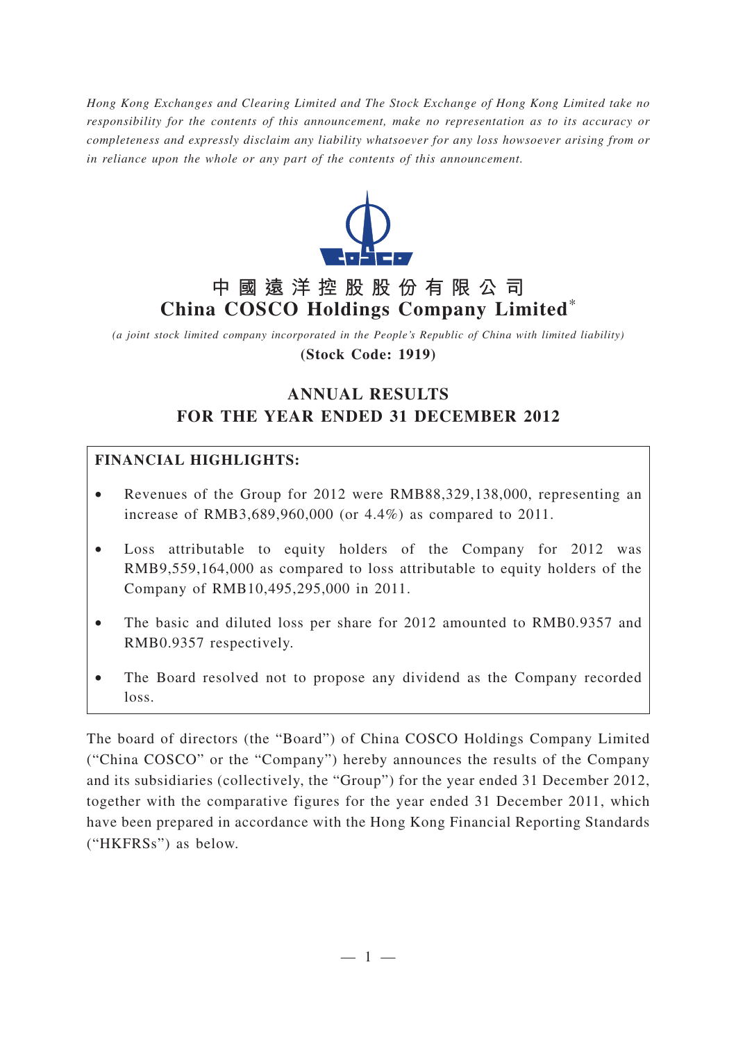*Hong Kong Exchanges and Clearing Limited and The Stock Exchange of Hong Kong Limited take no responsibility for the contents of this announcement, make no representation as to its accuracy or completeness and expressly disclaim any liability whatsoever for any loss howsoever arising from or in reliance upon the whole or any part of the contents of this announcement.*



# **中國遠洋控股股份有限公司 China COSCO Holdings Company Limited**\*

*(a joint stock limited company incorporated in the People's Republic of China with limited liability)* **(Stock Code: 1919)**

# **ANNUAL RESULTS FOR THE YEAR ENDED 31 DECEMBER 2012**

## **FINANCIAL HIGHLIGHTS:**

- Revenues of the Group for 2012 were RMB88,329,138,000, representing an increase of RMB3,689,960,000 (or 4.4%) as compared to 2011.
- Loss attributable to equity holders of the Company for 2012 was RMB9,559,164,000 as compared to loss attributable to equity holders of the Company of RMB10,495,295,000 in 2011.
- The basic and diluted loss per share for 2012 amounted to RMB0.9357 and RMB0.9357 respectively.
- The Board resolved not to propose any dividend as the Company recorded loss.

The board of directors (the "Board") of China COSCO Holdings Company Limited ("China COSCO" or the "Company") hereby announces the results of the Company and its subsidiaries (collectively, the "Group") for the year ended 31 December 2012, together with the comparative figures for the year ended 31 December 2011, which have been prepared in accordance with the Hong Kong Financial Reporting Standards ("HKFRSs") as below.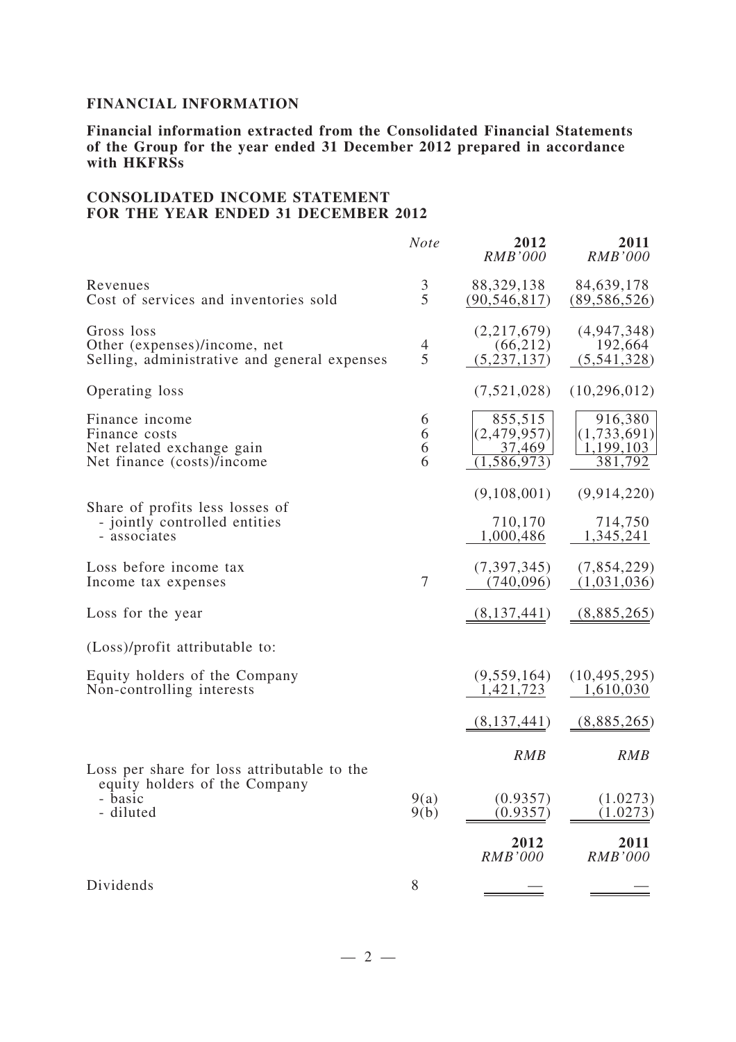## **FINANCIAL INFORMATION**

**Financial information extracted from the Consolidated Financial Statements of the Group for the year ended 31 December 2012 prepared in accordance with HKFRSs**

#### **CONSOLIDATED INCOME STATEMENT FOR THE YEAR ENDED 31 DECEMBER 2012**

|                                                                                            | <b>Note</b>         | 2012<br><b>RMB'000</b>                            | 2011<br><b>RMB'000</b>                         |
|--------------------------------------------------------------------------------------------|---------------------|---------------------------------------------------|------------------------------------------------|
| Revenues<br>Cost of services and inventories sold                                          | $rac{3}{5}$         | 88,329,138<br>(90, 546, 817)                      | 84,639,178<br>(89, 586, 526)                   |
| Gross loss<br>Other (expenses)/income, net<br>Selling, administrative and general expenses | $\overline{4}$<br>5 | (2,217,679)<br>(66, 212)<br>(5, 237, 137)         | (4, 947, 348)<br>192,664<br>(5,541,328)        |
| Operating loss                                                                             |                     | (7,521,028)                                       | (10,296,012)                                   |
| Finance income<br>Finance costs<br>Net related exchange gain<br>Net finance (costs)/income | 6<br>6<br>6<br>6    | 855,515<br>(2,479,957)<br>37,469<br>(1, 586, 973) | 916,380<br>(1,733,691)<br>1,199,103<br>381,792 |
| Share of profits less losses of                                                            |                     | (9,108,001)                                       | (9, 914, 220)                                  |
| - jointly controlled entities<br>- associates                                              |                     | 710,170<br>1,000,486                              | 714,750<br>1,345,241                           |
| Loss before income tax<br>Income tax expenses                                              | 7                   | (7,397,345)<br>(740,096)                          | (7,854,229)<br>(1,031,036)                     |
| Loss for the year                                                                          |                     | (8,137,441)                                       | (8,885,265)                                    |
| (Loss)/profit attributable to:                                                             |                     |                                                   |                                                |
| Equity holders of the Company<br>Non-controlling interests                                 |                     | (9,559,164)<br>1,421,723                          | (10, 495, 295)<br>1,610,030                    |
|                                                                                            |                     | (8,137,441)                                       | (8,885,265)                                    |
| Loss per share for loss attributable to the                                                |                     | <b>RMB</b>                                        | <b>RMB</b>                                     |
| equity holders of the Company<br>basic<br>- diluted                                        | 9(a)<br>9(b)        | (0.9357)<br>(0.9357)                              | (1.0273)<br>(1.0273)                           |
|                                                                                            |                     | 2012<br><b>RMB'000</b>                            | 2011<br><b>RMB'000</b>                         |
| Dividends                                                                                  | 8                   |                                                   |                                                |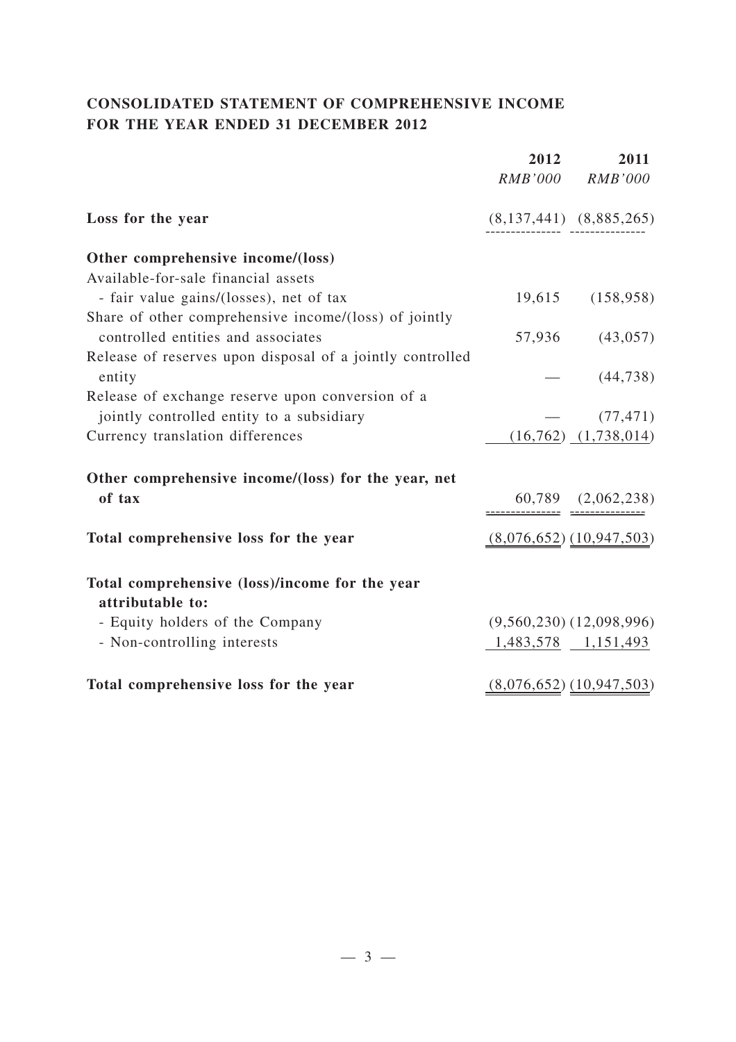## **CONSOLIDATED STATEMENT OF COMPREHENSIVE INCOME FOR THE YEAR ENDED 31 DECEMBER 2012**

|                                                                    | 2012<br><i>RMB'000</i> | 2011<br><b>RMB'000</b>       |
|--------------------------------------------------------------------|------------------------|------------------------------|
| Loss for the year                                                  |                        | $(8,137,441)$ $(8,885,265)$  |
| Other comprehensive income/(loss)                                  |                        |                              |
| Available-for-sale financial assets                                |                        |                              |
| - fair value gains/(losses), net of tax                            | 19,615                 | (158, 958)                   |
| Share of other comprehensive income/(loss) of jointly              |                        |                              |
| controlled entities and associates                                 |                        | 57,936 (43,057)              |
| Release of reserves upon disposal of a jointly controlled          |                        |                              |
| entity                                                             |                        | $-$ (44,738)                 |
| Release of exchange reserve upon conversion of a                   |                        |                              |
| jointly controlled entity to a subsidiary                          |                        | (77, 471)                    |
| Currency translation differences                                   |                        | $(16,762)$ $(1,738,014)$     |
| Other comprehensive income/(loss) for the year, net                |                        |                              |
| of tax                                                             |                        | $60,789$ $(2,062,238)$       |
| Total comprehensive loss for the year                              |                        | $(8,076,652)$ $(10,947,503)$ |
| Total comprehensive (loss)/income for the year<br>attributable to: |                        |                              |
| - Equity holders of the Company                                    |                        | $(9,560,230)$ $(12,098,996)$ |
| - Non-controlling interests                                        |                        | $1,483,578$ $1,151,493$      |
| Total comprehensive loss for the year                              |                        | $(8,076,652)$ $(10,947,503)$ |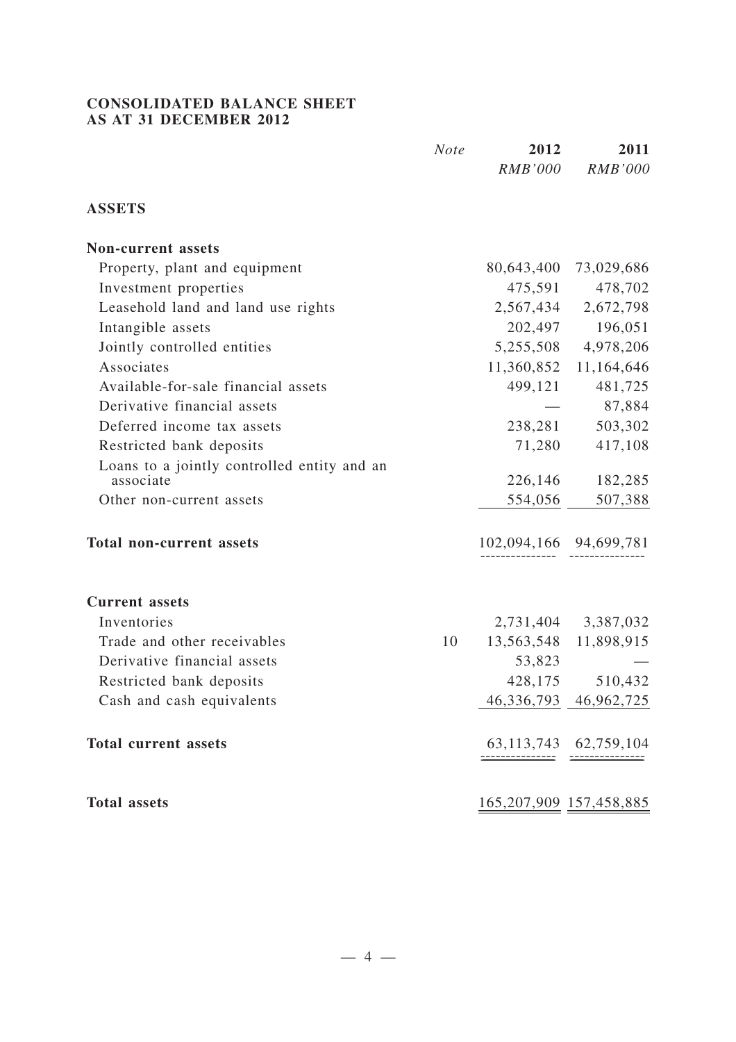#### **CONSOLIDATED BALANCE SHEET AS AT 31 DECEMBER 2012**

|                                                          | <b>Note</b> | 2012<br><b>RMB'000</b> | 2011<br><b>RMB'000</b>         |
|----------------------------------------------------------|-------------|------------------------|--------------------------------|
| <b>ASSETS</b>                                            |             |                        |                                |
| <b>Non-current assets</b>                                |             |                        |                                |
| Property, plant and equipment                            |             | 80,643,400             | 73,029,686                     |
| Investment properties                                    |             | 475,591                | 478,702                        |
| Leasehold land and land use rights                       |             | 2,567,434              | 2,672,798                      |
| Intangible assets                                        |             | 202,497                | 196,051                        |
| Jointly controlled entities                              |             | 5,255,508              | 4,978,206                      |
| Associates                                               |             | 11,360,852             | 11,164,646                     |
| Available-for-sale financial assets                      |             | 499,121                | 481,725                        |
| Derivative financial assets                              |             |                        | 87,884                         |
| Deferred income tax assets                               |             | 238,281                | 503,302                        |
| Restricted bank deposits                                 |             | 71,280                 | 417,108                        |
| Loans to a jointly controlled entity and an<br>associate |             | 226,146                | 182,285                        |
| Other non-current assets                                 |             | 554,056                | 507,388                        |
| <b>Total non-current assets</b>                          |             |                        | 102,094,166 94,699,781         |
| <b>Current</b> assets                                    |             |                        |                                |
| Inventories                                              |             | 2,731,404              | 3,387,032                      |
| Trade and other receivables                              | 10          | 13,563,548             | 11,898,915                     |
| Derivative financial assets                              |             | 53,823                 |                                |
| Restricted bank deposits                                 |             | 428,175                | 510,432                        |
| Cash and cash equivalents                                |             |                        | 46, 336, 793 46, 962, 725      |
| <b>Total current assets</b>                              |             |                        | 63, 113, 743 62, 759, 104      |
| <b>Total assets</b>                                      |             |                        | <u>165,207,909</u> 157,458,885 |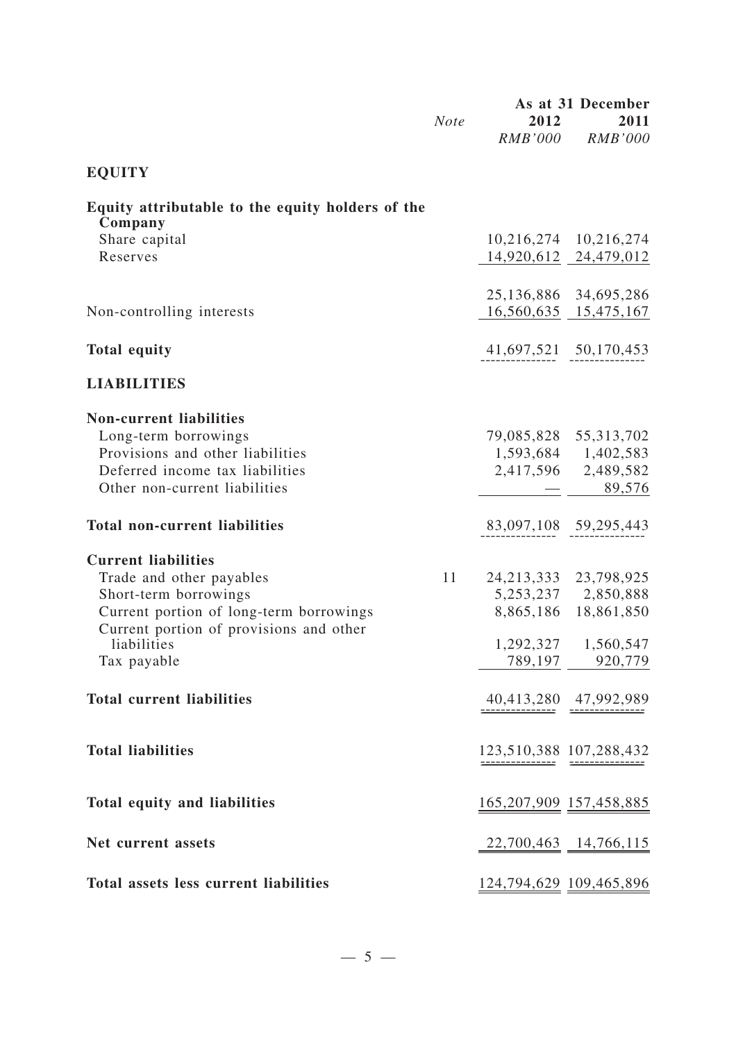|                                                                                                                                                                                                     | <b>Note</b> | 2012<br><i>RMB'000</i> | As at 31 December<br>2011<br><b>RMB'000</b>                                                                        |
|-----------------------------------------------------------------------------------------------------------------------------------------------------------------------------------------------------|-------------|------------------------|--------------------------------------------------------------------------------------------------------------------|
| <b>EQUITY</b>                                                                                                                                                                                       |             |                        |                                                                                                                    |
| Equity attributable to the equity holders of the<br>Company                                                                                                                                         |             |                        |                                                                                                                    |
| Share capital<br>Reserves                                                                                                                                                                           |             |                        | 10,216,274 10,216,274<br>14,920,612 24,479,012                                                                     |
| Non-controlling interests                                                                                                                                                                           |             |                        | 25, 136, 886 34, 695, 286<br>16,560,635 15,475,167                                                                 |
| <b>Total equity</b>                                                                                                                                                                                 |             |                        | 41,697,521 50,170,453                                                                                              |
| <b>LIABILITIES</b>                                                                                                                                                                                  |             |                        |                                                                                                                    |
| <b>Non-current liabilities</b><br>Long-term borrowings<br>Provisions and other liabilities<br>Deferred income tax liabilities<br>Other non-current liabilities                                      |             |                        | 79,085,828 55,313,702<br>1,593,684 1,402,583<br>2,417,596 2,489,582<br>89,576<br>$\pm$ 100 $\pm$                   |
| <b>Total non-current liabilities</b>                                                                                                                                                                |             |                        | 83,097,108 59,295,443                                                                                              |
| <b>Current liabilities</b><br>Trade and other payables<br>Short-term borrowings<br>Current portion of long-term borrowings<br>Current portion of provisions and other<br>liabilities<br>Tax payable | 11          |                        | 24, 213, 333 23, 798, 925<br>5,253,237 2,850,888<br>8,865,186 18,861,850<br>1,292,327 1,560,547<br>789,197 920,779 |
| <b>Total current liabilities</b>                                                                                                                                                                    |             |                        | $40,413,280$ $47,992,989$                                                                                          |
| <b>Total liabilities</b>                                                                                                                                                                            |             |                        |                                                                                                                    |
| Total equity and liabilities                                                                                                                                                                        |             |                        | <u>165,207,909</u> 157,458,885                                                                                     |
| Net current assets                                                                                                                                                                                  |             |                        | $22,700,463$ 14,766,115                                                                                            |
| Total assets less current liabilities                                                                                                                                                               |             |                        | <u>124,794,629</u> 109,465,896                                                                                     |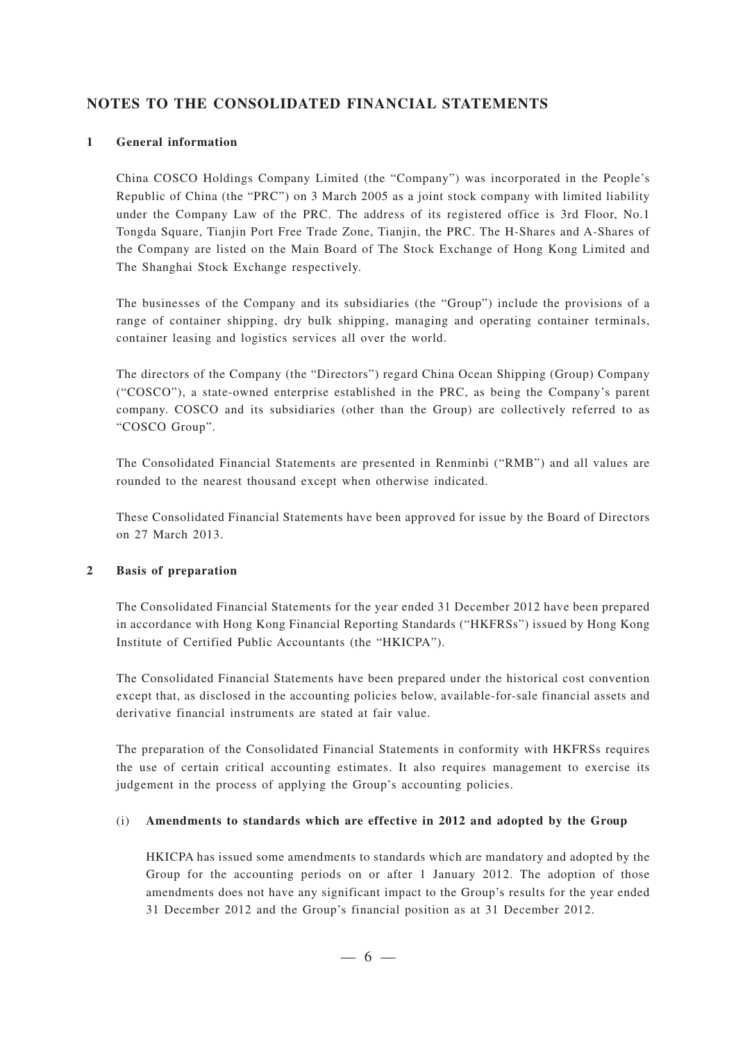### **NOTES TO THE CONSOLIDATED FINANCIAL STATEMENTS**

#### **1 General information**

China COSCO Holdings Company Limited (the "Company") was incorporated in the People's Republic of China (the "PRC") on 3 March 2005 as a joint stock company with limited liability under the Company Law of the PRC. The address of its registered office is 3rd Floor, No.1 Tongda Square, Tianjin Port Free Trade Zone, Tianjin, the PRC. The H-Shares and A-Shares of the Company are listed on the Main Board of The Stock Exchange of Hong Kong Limited and The Shanghai Stock Exchange respectively.

The businesses of the Company and its subsidiaries (the "Group") include the provisions of a range of container shipping, dry bulk shipping, managing and operating container terminals, container leasing and logistics services all over the world.

The directors of the Company (the "Directors") regard China Ocean Shipping (Group) Company ("COSCO"), a state-owned enterprise established in the PRC, as being the Company's parent company. COSCO and its subsidiaries (other than the Group) are collectively referred to as "COSCO Group".

The Consolidated Financial Statements are presented in Renminbi ("RMB") and all values are rounded to the nearest thousand except when otherwise indicated.

These Consolidated Financial Statements have been approved for issue by the Board of Directors on 27 March 2013.

#### **2 Basis of preparation**

The Consolidated Financial Statements for the year ended 31 December 2012 have been prepared in accordance with Hong Kong Financial Reporting Standards ("HKFRSs") issued by Hong Kong Institute of Certified Public Accountants (the "HKICPA").

The Consolidated Financial Statements have been prepared under the historical cost convention except that, as disclosed in the accounting policies below, available-for-sale financial assets and derivative financial instruments are stated at fair value.

The preparation of the Consolidated Financial Statements in conformity with HKFRSs requires the use of certain critical accounting estimates. It also requires management to exercise its judgement in the process of applying the Group's accounting policies.

#### (i) **Amendments to standards which are effective in 2012 and adopted by the Group**

HKICPA has issued some amendments to standards which are mandatory and adopted by the Group for the accounting periods on or after 1 January 2012. The adoption of those amendments does not have any significant impact to the Group's results for the year ended 31 December 2012 and the Group's financial position as at 31 December 2012.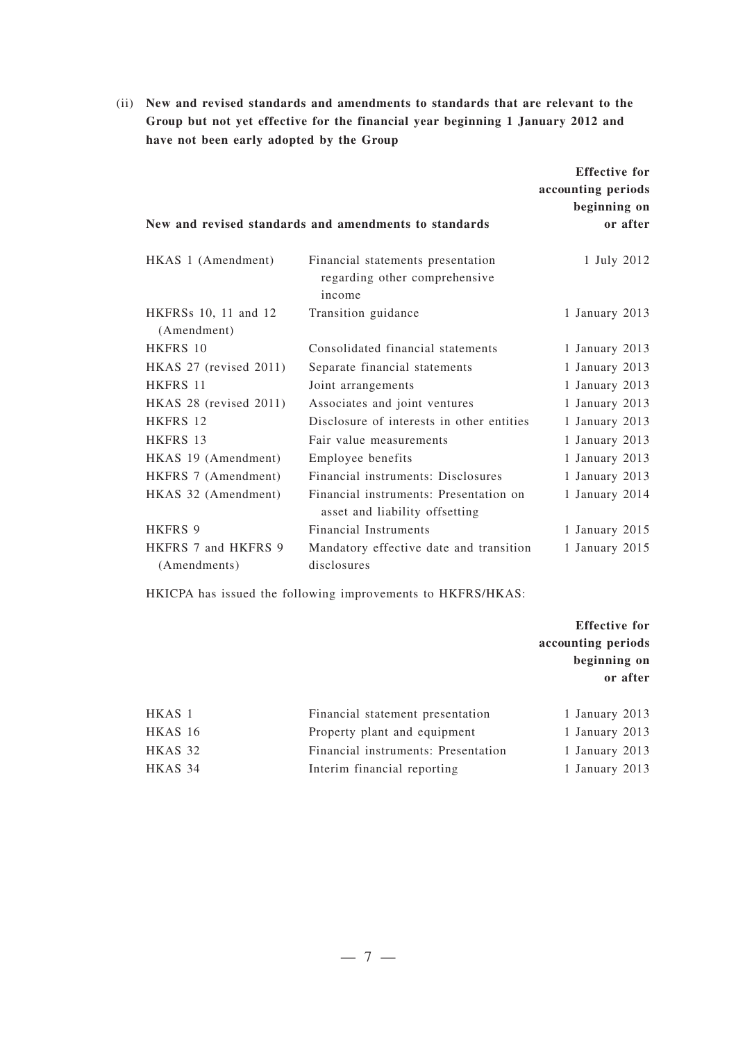(ii) **New and revised standards and amendments to standards that are relevant to the Group but not yet effective for the financial year beginning 1 January 2012 and have not been early adopted by the Group**

|                                     |                                                                              | <b>Effective for</b> |
|-------------------------------------|------------------------------------------------------------------------------|----------------------|
|                                     |                                                                              | accounting periods   |
|                                     |                                                                              | beginning on         |
|                                     | New and revised standards and amendments to standards                        | or after             |
| HKAS 1 (Amendment)                  | Financial statements presentation<br>regarding other comprehensive<br>income | 1 July 2012          |
| HKFRSs 10, 11 and 12<br>(Amendment) | Transition guidance                                                          | 1 January 2013       |
| <b>HKFRS 10</b>                     | Consolidated financial statements                                            | 1 January 2013       |
| HKAS 27 (revised 2011)              | Separate financial statements                                                | 1 January 2013       |
| HKFRS 11                            | Joint arrangements                                                           | 1 January 2013       |
| HKAS 28 (revised 2011)              | Associates and joint ventures                                                | 1 January 2013       |
| HKFRS 12                            | Disclosure of interests in other entities                                    | 1 January 2013       |
| HKFRS 13                            | Fair value measurements                                                      | 1 January 2013       |
| HKAS 19 (Amendment)                 | Employee benefits                                                            | 1 January 2013       |
| HKFRS 7 (Amendment)                 | Financial instruments: Disclosures                                           | 1 January 2013       |
| HKAS 32 (Amendment)                 | Financial instruments: Presentation on<br>asset and liability offsetting     | 1 January 2014       |
| <b>HKFRS 9</b>                      | <b>Financial Instruments</b>                                                 | 1 January 2015       |
| HKFRS 7 and HKFRS 9                 | Mandatory effective date and transition                                      | 1 January 2015       |
| (Amendments)                        | disclosures                                                                  |                      |

HKICPA has issued the following improvements to HKFRS/HKAS:

**Effective for accounting periods beginning on or after**

| HKAS 1  | Financial statement presentation    | 1 January 2013 |  |
|---------|-------------------------------------|----------------|--|
| HKAS 16 | Property plant and equipment        | 1 January 2013 |  |
| HKAS 32 | Financial instruments: Presentation | 1 January 2013 |  |
| HKAS 34 | Interim financial reporting         | 1 January 2013 |  |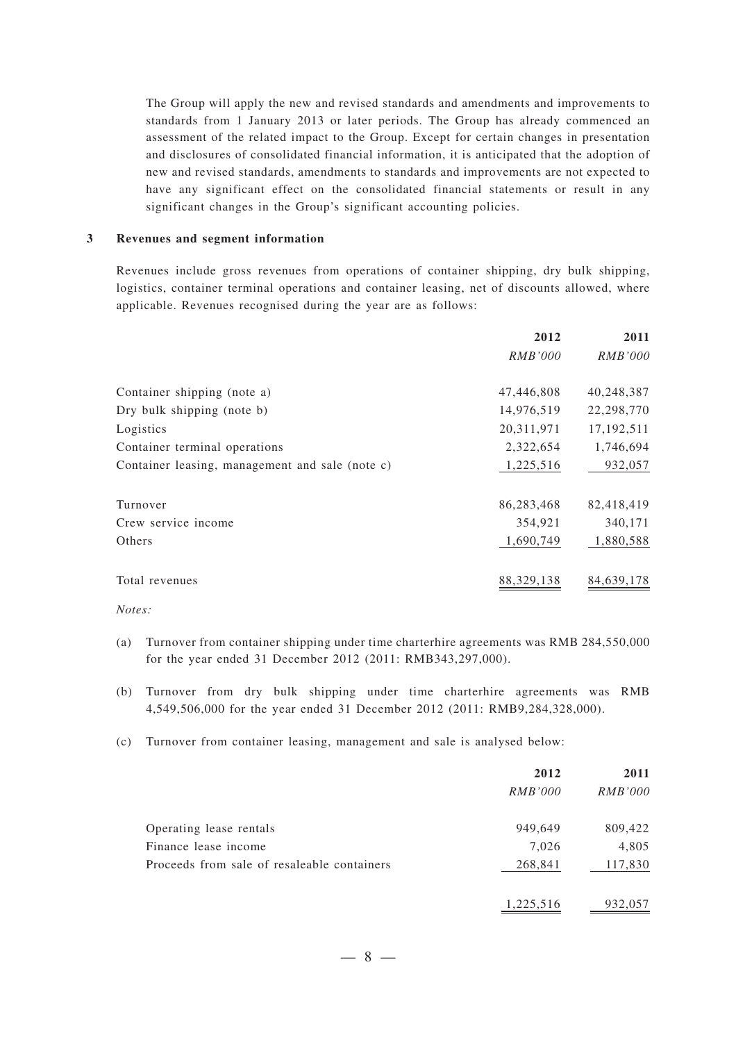The Group will apply the new and revised standards and amendments and improvements to standards from 1 January 2013 or later periods. The Group has already commenced an assessment of the related impact to the Group. Except for certain changes in presentation and disclosures of consolidated financial information, it is anticipated that the adoption of new and revised standards, amendments to standards and improvements are not expected to have any significant effect on the consolidated financial statements or result in any significant changes in the Group's significant accounting policies.

#### **3 Revenues and segment information**

Revenues include gross revenues from operations of container shipping, dry bulk shipping, logistics, container terminal operations and container leasing, net of discounts allowed, where applicable. Revenues recognised during the year are as follows:

|                                                 | 2012       | 2011           |
|-------------------------------------------------|------------|----------------|
|                                                 | RMB'000    | <b>RMB'000</b> |
| Container shipping (note a)                     | 47,446,808 | 40,248,387     |
| Dry bulk shipping (note b)                      | 14,976,519 | 22,298,770     |
| Logistics                                       | 20,311,971 | 17, 192, 511   |
| Container terminal operations                   | 2,322,654  | 1,746,694      |
| Container leasing, management and sale (note c) | 1,225,516  | 932,057        |
| Turnover                                        | 86,283,468 | 82,418,419     |
| Crew service income                             | 354,921    | 340,171        |
| Others                                          | 1,690,749  | 1,880,588      |
| Total revenues                                  | 88,329,138 | 84,639,178     |

*Notes:*

- (a) Turnover from container shipping under time charterhire agreements was RMB 284,550,000 for the year ended 31 December 2012 (2011: RMB343,297,000).
- (b) Turnover from dry bulk shipping under time charterhire agreements was RMB 4,549,506,000 for the year ended 31 December 2012 (2011: RMB9,284,328,000).
- (c) Turnover from container leasing, management and sale is analysed below:

|                                             | 2012      | 2011    |
|---------------------------------------------|-----------|---------|
|                                             | RMB'000   | RMB'000 |
| Operating lease rentals                     | 949,649   | 809,422 |
| Finance lease income                        | 7,026     | 4,805   |
| Proceeds from sale of resaleable containers | 268,841   | 117,830 |
|                                             | 1,225,516 | 932,057 |

—8—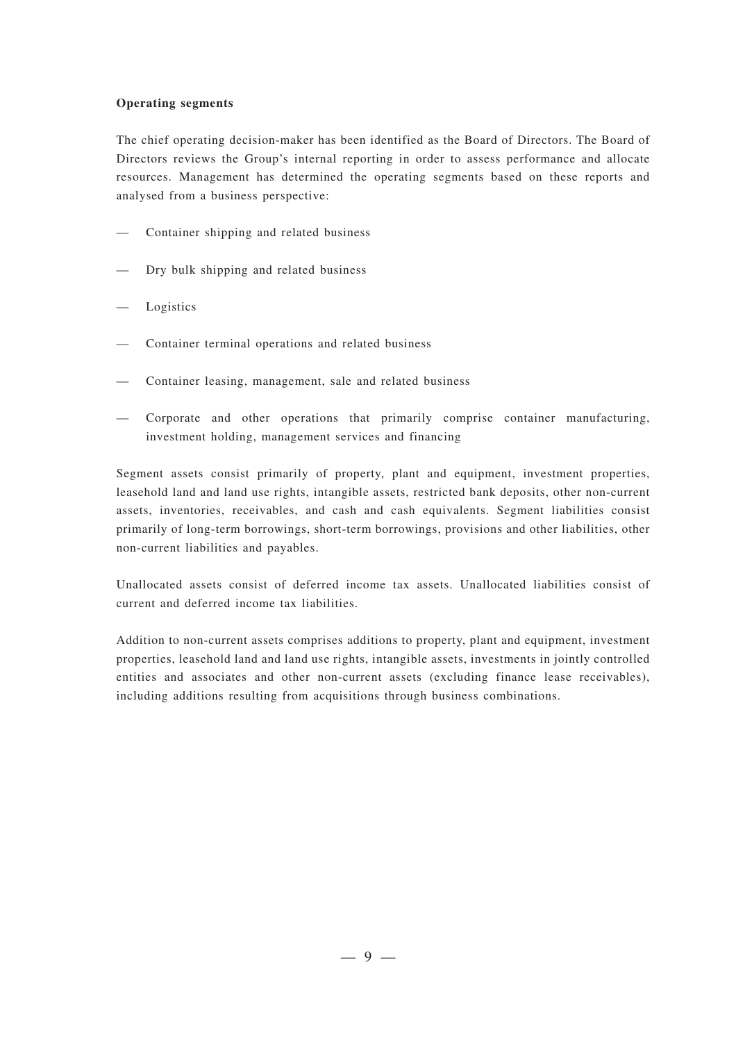#### **Operating segments**

The chief operating decision-maker has been identified as the Board of Directors. The Board of Directors reviews the Group's internal reporting in order to assess performance and allocate resources. Management has determined the operating segments based on these reports and analysed from a business perspective:

- Container shipping and related business
- Dry bulk shipping and related business
- Logistics
- Container terminal operations and related business
- Container leasing, management, sale and related business
- Corporate and other operations that primarily comprise container manufacturing, investment holding, management services and financing

Segment assets consist primarily of property, plant and equipment, investment properties, leasehold land and land use rights, intangible assets, restricted bank deposits, other non-current assets, inventories, receivables, and cash and cash equivalents. Segment liabilities consist primarily of long-term borrowings, short-term borrowings, provisions and other liabilities, other non-current liabilities and payables.

Unallocated assets consist of deferred income tax assets. Unallocated liabilities consist of current and deferred income tax liabilities.

Addition to non-current assets comprises additions to property, plant and equipment, investment properties, leasehold land and land use rights, intangible assets, investments in jointly controlled entities and associates and other non-current assets (excluding finance lease receivables), including additions resulting from acquisitions through business combinations.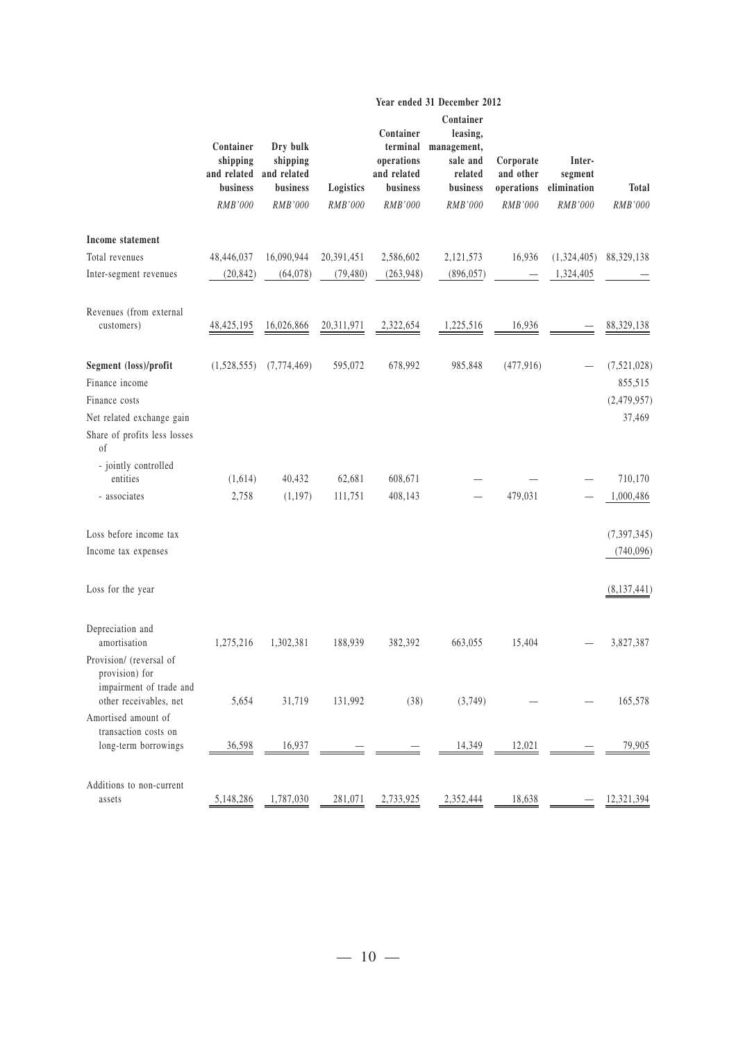|                                                                                                | Container<br>shipping<br>business<br>RMB'000 | Dry bulk<br>shipping<br>and related and related<br>business<br>RMB'000 | Logistics<br>RMB'000 | Container<br>terminal<br>operations<br>and related<br>business<br>RMB'000 | Container<br>leasing,<br>management,<br>sale and<br>related<br>business<br>RMB'000 | Corporate<br>and other<br>operations<br>RMB'000 | Inter-<br>segment<br>elimination<br>RMB'000 | <b>Total</b><br>RMB'000               |
|------------------------------------------------------------------------------------------------|----------------------------------------------|------------------------------------------------------------------------|----------------------|---------------------------------------------------------------------------|------------------------------------------------------------------------------------|-------------------------------------------------|---------------------------------------------|---------------------------------------|
| Income statement                                                                               |                                              |                                                                        |                      |                                                                           |                                                                                    |                                                 |                                             |                                       |
| Total revenues                                                                                 | 48,446,037                                   | 16,090,944                                                             | 20,391,451           | 2,586,602                                                                 | 2,121,573                                                                          | 16,936                                          | (1,324,405)                                 | 88,329,138                            |
| Inter-segment revenues                                                                         | (20, 842)                                    | (64,078)                                                               | (79, 480)            | (263,948)                                                                 | (896, 057)                                                                         |                                                 | 1,324,405                                   |                                       |
| Revenues (from external<br>customers)                                                          | 48, 425, 195                                 | 16,026,866                                                             | 20,311,971           | 2,322,654                                                                 | 1,225,516                                                                          | 16,936                                          |                                             | 88,329,138                            |
| Segment (loss)/profit<br>Finance income<br>Finance costs                                       | (1,528,555)                                  | (7,774,469)                                                            | 595,072              | 678,992                                                                   | 985,848                                                                            | (477, 916)                                      |                                             | (7,521,028)<br>855,515<br>(2,479,957) |
| Net related exchange gain<br>Share of profits less losses<br>of                                |                                              |                                                                        |                      |                                                                           |                                                                                    |                                                 |                                             | 37,469                                |
| - jointly controlled<br>entities                                                               |                                              |                                                                        |                      |                                                                           |                                                                                    |                                                 |                                             |                                       |
| - associates                                                                                   | (1,614)                                      | 40,432                                                                 | 62,681               | 608,671                                                                   |                                                                                    | 479,031                                         |                                             | 710,170                               |
|                                                                                                | 2,758                                        | (1, 197)                                                               | 111,751              | 408,143                                                                   |                                                                                    |                                                 |                                             | 1,000,486                             |
| Loss before income tax                                                                         |                                              |                                                                        |                      |                                                                           |                                                                                    |                                                 |                                             | (7, 397, 345)                         |
| Income tax expenses                                                                            |                                              |                                                                        |                      |                                                                           |                                                                                    |                                                 |                                             | (740, 096)                            |
| Loss for the year                                                                              |                                              |                                                                        |                      |                                                                           |                                                                                    |                                                 |                                             | (8,137,441)                           |
| Depreciation and<br>amortisation                                                               | 1,275,216                                    | 1,302,381                                                              | 188,939              | 382,392                                                                   | 663,055                                                                            | 15,404                                          |                                             | 3,827,387                             |
| Provision/ (reversal of<br>provision) for<br>impairment of trade and<br>other receivables, net | 5,654                                        | 31,719                                                                 | 131,992              | (38)                                                                      | (3,749)                                                                            |                                                 |                                             | 165,578                               |
| Amortised amount of<br>transaction costs on                                                    |                                              |                                                                        |                      |                                                                           |                                                                                    |                                                 |                                             |                                       |
| long-term borrowings                                                                           | 36,598                                       | 16,937                                                                 |                      |                                                                           | 14,349                                                                             | 12,021                                          |                                             | 79,905                                |
| Additions to non-current<br>assets                                                             | 5,148,286                                    | 1,787,030                                                              | 281,071              | 2,733,925                                                                 | 2,352,444                                                                          | 18,638                                          |                                             | 12,321,394                            |

#### **Year ended 31 December 2012**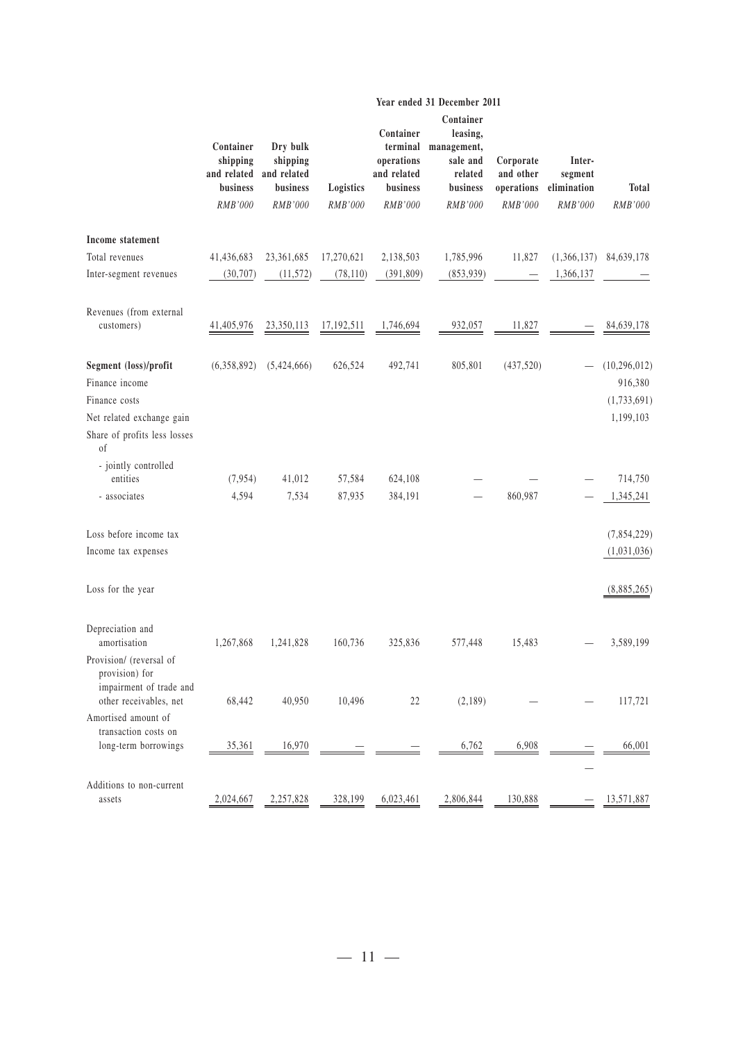|                                                                                                | Container<br>shipping<br>business<br>RMB'000 | Dry bulk<br>shipping<br>and related and related<br>business<br>RMB'000 | Logistics<br>RMB'000 | Container<br>terminal<br>operations<br>and related<br>business<br>RMB'000 | Container<br>leasing,<br>management,<br>sale and<br>related<br>business<br>RMB'000 | Corporate<br>and other<br>operations<br>RMB'000 | Inter-<br>segment<br>elimination<br>RMB'000 | <b>Total</b><br>RMB'000                               |
|------------------------------------------------------------------------------------------------|----------------------------------------------|------------------------------------------------------------------------|----------------------|---------------------------------------------------------------------------|------------------------------------------------------------------------------------|-------------------------------------------------|---------------------------------------------|-------------------------------------------------------|
| Income statement                                                                               |                                              |                                                                        |                      |                                                                           |                                                                                    |                                                 |                                             |                                                       |
| Total revenues                                                                                 | 41,436,683                                   | 23,361,685                                                             | 17,270,621           | 2,138,503                                                                 | 1,785,996                                                                          | 11,827                                          | (1,366,137)                                 | 84,639,178                                            |
| Inter-segment revenues                                                                         | (30,707)                                     | (11, 572)                                                              | (78, 110)            | (391,809)                                                                 | (853,939)                                                                          |                                                 | 1,366,137                                   |                                                       |
| Revenues (from external<br>customers)                                                          | 41,405,976                                   | 23,350,113                                                             | 17,192,511           | 1,746,694                                                                 | 932,057                                                                            | 11,827                                          |                                             | 84,639,178                                            |
| Segment (loss)/profit<br>Finance income<br>Finance costs<br>Net related exchange gain          | (6,358,892)                                  | (5,424,666)                                                            | 626,524              | 492,741                                                                   | 805,801                                                                            | (437, 520)                                      |                                             | (10, 296, 012)<br>916,380<br>(1,733,691)<br>1,199,103 |
| Share of profits less losses<br>of                                                             |                                              |                                                                        |                      |                                                                           |                                                                                    |                                                 |                                             |                                                       |
| - jointly controlled<br>entities                                                               | (7, 954)                                     | 41,012                                                                 | 57,584               | 624,108                                                                   |                                                                                    |                                                 |                                             | 714,750                                               |
| - associates                                                                                   | 4,594                                        | 7,534                                                                  | 87,935               | 384,191                                                                   |                                                                                    | 860,987                                         |                                             | 1,345,241                                             |
| Loss before income tax<br>Income tax expenses                                                  |                                              |                                                                        |                      |                                                                           |                                                                                    |                                                 |                                             | (7,854,229)<br>(1,031,036)                            |
| Loss for the year                                                                              |                                              |                                                                        |                      |                                                                           |                                                                                    |                                                 |                                             | (8,885,265)                                           |
| Depreciation and<br>amortisation                                                               | 1,267,868                                    | 1,241,828                                                              | 160,736              | 325,836                                                                   | 577,448                                                                            | 15,483                                          |                                             | 3,589,199                                             |
| Provision/ (reversal of<br>provision) for<br>impairment of trade and<br>other receivables, net | 68,442                                       | 40,950                                                                 | 10,496               | 22                                                                        | (2,189)                                                                            |                                                 |                                             | 117,721                                               |
| Amortised amount of<br>transaction costs on                                                    |                                              |                                                                        |                      |                                                                           |                                                                                    |                                                 |                                             |                                                       |
| long-term borrowings                                                                           | 35,361                                       | 16,970                                                                 |                      |                                                                           | 6,762                                                                              | 6,908                                           |                                             | 66,001                                                |
| Additions to non-current<br>assets                                                             | 2,024,667                                    | 2,257,828                                                              | 328,199              | 6,023,461                                                                 | 2,806,844                                                                          | 130,888                                         |                                             | 13,571,887                                            |

#### **Year ended 31 December 2011**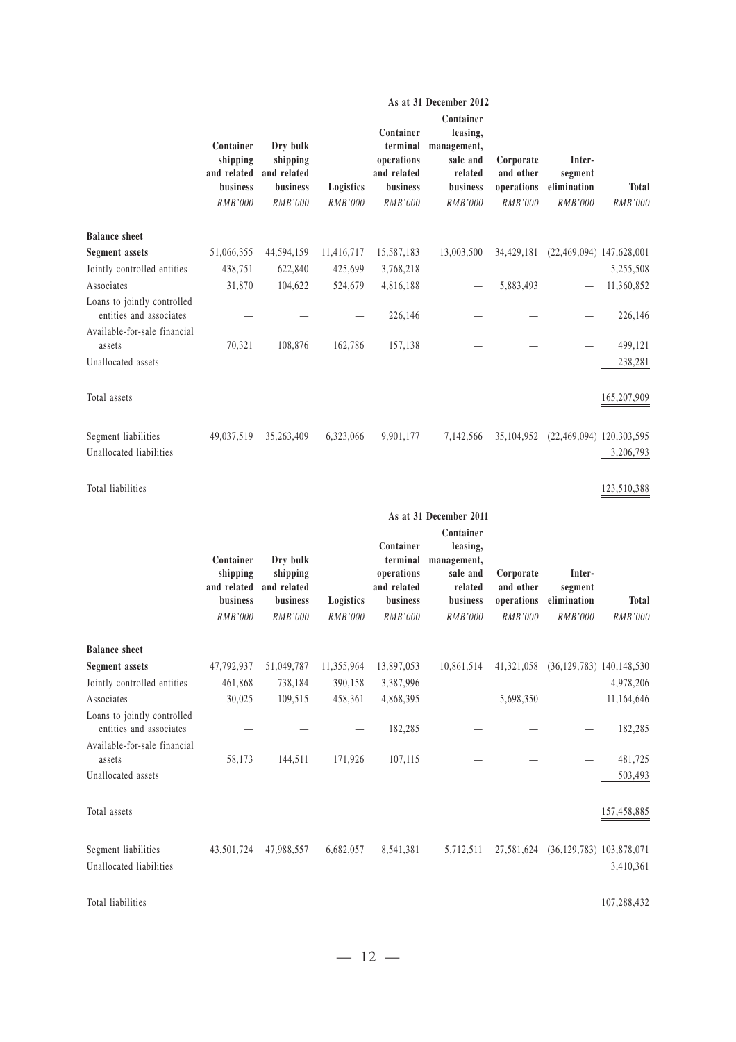|                                                        |                                                                    |                                                            |                      |                                                                           | As at 31 December 2012                                                             |                                                 |                                             |                                |
|--------------------------------------------------------|--------------------------------------------------------------------|------------------------------------------------------------|----------------------|---------------------------------------------------------------------------|------------------------------------------------------------------------------------|-------------------------------------------------|---------------------------------------------|--------------------------------|
|                                                        | Container<br>shipping<br>and related<br>business<br>RMB'000        | Dry bulk<br>shipping<br>and related<br>business<br>RMB'000 | Logistics<br>RMB'000 | Container<br>terminal<br>operations<br>and related<br>business<br>RMB'000 | Container<br>leasing,<br>management,<br>sale and<br>related<br>business<br>RMB'000 | Corporate<br>and other<br>operations<br>RMB'000 | Inter-<br>segment<br>elimination<br>RMB'000 | <b>Total</b><br>RMB'000        |
| <b>Balance sheet</b>                                   |                                                                    |                                                            |                      |                                                                           |                                                                                    |                                                 |                                             |                                |
| <b>Segment</b> assets                                  | 51,066,355                                                         | 44,594,159                                                 | 11,416,717           | 15,587,183                                                                | 13,003,500                                                                         | 34,429,181                                      | $(22,469,094)$ 147,628,001                  |                                |
| Jointly controlled entities                            | 438,751                                                            | 622,840                                                    | 425,699              | 3,768,218                                                                 |                                                                                    |                                                 |                                             | 5,255,508                      |
| Associates                                             | 31,870                                                             | 104,622                                                    | 524,679              | 4,816,188                                                                 |                                                                                    | 5,883,493                                       |                                             | 11,360,852                     |
| Loans to jointly controlled<br>entities and associates |                                                                    |                                                            |                      | 226,146                                                                   |                                                                                    |                                                 |                                             | 226,146                        |
| Available-for-sale financial                           |                                                                    |                                                            |                      |                                                                           |                                                                                    |                                                 |                                             |                                |
| assets<br>Unallocated assets                           | 70,321                                                             | 108,876                                                    | 162,786              | 157,138                                                                   |                                                                                    |                                                 |                                             | 499,121<br>238,281             |
| Total assets                                           |                                                                    |                                                            |                      |                                                                           |                                                                                    |                                                 |                                             | 165,207,909                    |
| Segment liabilities<br>Unallocated liabilities         | 49,037,519                                                         | 35,263,409                                                 | 6,323,066            | 9,901,177                                                                 | 7,142,566                                                                          | 35, 104, 952                                    | $(22,469,094)$ 120,303,595                  | 3,206,793                      |
| Total liabilities                                      |                                                                    |                                                            |                      |                                                                           |                                                                                    |                                                 |                                             | 123,510,388                    |
|                                                        |                                                                    |                                                            |                      |                                                                           | As at 31 December 2011                                                             |                                                 |                                             |                                |
|                                                        |                                                                    |                                                            |                      |                                                                           | Container                                                                          |                                                 |                                             |                                |
|                                                        | Container<br>shipping<br>and related<br>business<br><b>RMB'000</b> | Dry bulk<br>shipping<br>and related<br>business<br>RMB'000 | Logistics<br>RMB'000 | Container<br>terminal<br>operations<br>and related<br>business<br>RMB'000 | leasing,<br>management,<br>sale and<br>related<br>business<br>RMB'000              | Corporate<br>and other<br>operations<br>RMB'000 | Inter-<br>segment<br>elimination<br>RMB'000 | <b>Total</b><br><b>RMB'000</b> |
| <b>Balance</b> sheet                                   |                                                                    |                                                            |                      |                                                                           |                                                                                    |                                                 |                                             |                                |
| <b>Segment</b> assets                                  | 47,792,937                                                         | 51,049,787                                                 | 11,355,964           | 13,897,053                                                                | 10,861,514                                                                         |                                                 | 41,321,058 (36,129,783) 140,148,530         |                                |
| Jointly controlled entities                            | 461,868                                                            | 738,184                                                    | 390,158              | 3,387,996                                                                 |                                                                                    |                                                 |                                             | 4,978,206                      |
| Associates                                             | 30,025                                                             | 109,515                                                    | 458,361              | 4,868,395                                                                 |                                                                                    | 5,698,350                                       |                                             | 11,164,646                     |
| Loans to jointly controlled<br>entities and associates |                                                                    |                                                            |                      | 182,285                                                                   |                                                                                    |                                                 |                                             | 182,285                        |
| Available-for-sale financial                           |                                                                    |                                                            |                      |                                                                           |                                                                                    |                                                 |                                             |                                |
| assets<br>Unallocated assets                           | 58,173                                                             | 144,511                                                    | 171,926              | 107,115                                                                   |                                                                                    |                                                 |                                             | 481,725<br>503,493             |
| Total assets                                           |                                                                    |                                                            |                      |                                                                           |                                                                                    |                                                 |                                             | 157,458,885                    |
| Segment liabilities<br>Unallocated liabilities         | 43,501,724                                                         | 47,988,557                                                 | 6,682,057            | 8,541,381                                                                 | 5,712,511                                                                          |                                                 | 27,581,624 (36,129,783) 103,878,071         | 3,410,361                      |

Total liabilities 107,288,432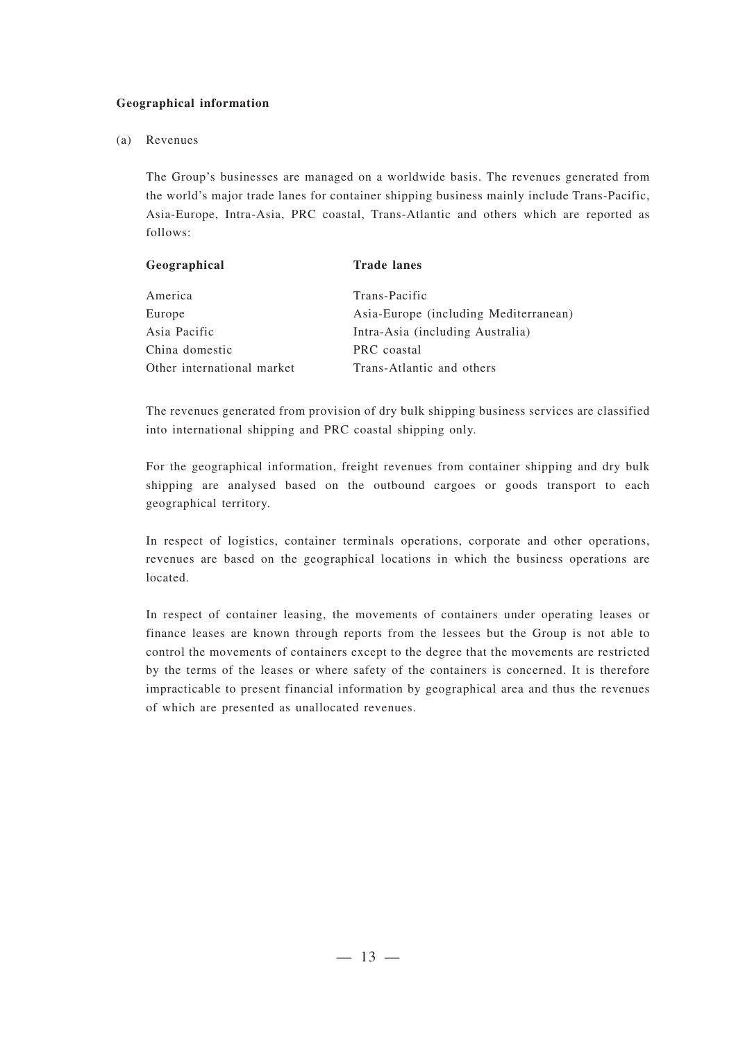#### **Geographical information**

#### (a) Revenues

The Group's businesses are managed on a worldwide basis. The revenues generated from the world's major trade lanes for container shipping business mainly include Trans-Pacific, Asia-Europe, Intra-Asia, PRC coastal, Trans-Atlantic and others which are reported as follows:

| Geographical               | <b>Trade lanes</b>                    |
|----------------------------|---------------------------------------|
| America                    | Trans-Pacific                         |
| Europe                     | Asia-Europe (including Mediterranean) |
| Asia Pacific               | Intra-Asia (including Australia)      |
| China domestic             | PRC coastal                           |
| Other international market | Trans-Atlantic and others             |

The revenues generated from provision of dry bulk shipping business services are classified into international shipping and PRC coastal shipping only.

For the geographical information, freight revenues from container shipping and dry bulk shipping are analysed based on the outbound cargoes or goods transport to each geographical territory.

In respect of logistics, container terminals operations, corporate and other operations, revenues are based on the geographical locations in which the business operations are located.

In respect of container leasing, the movements of containers under operating leases or finance leases are known through reports from the lessees but the Group is not able to control the movements of containers except to the degree that the movements are restricted by the terms of the leases or where safety of the containers is concerned. It is therefore impracticable to present financial information by geographical area and thus the revenues of which are presented as unallocated revenues.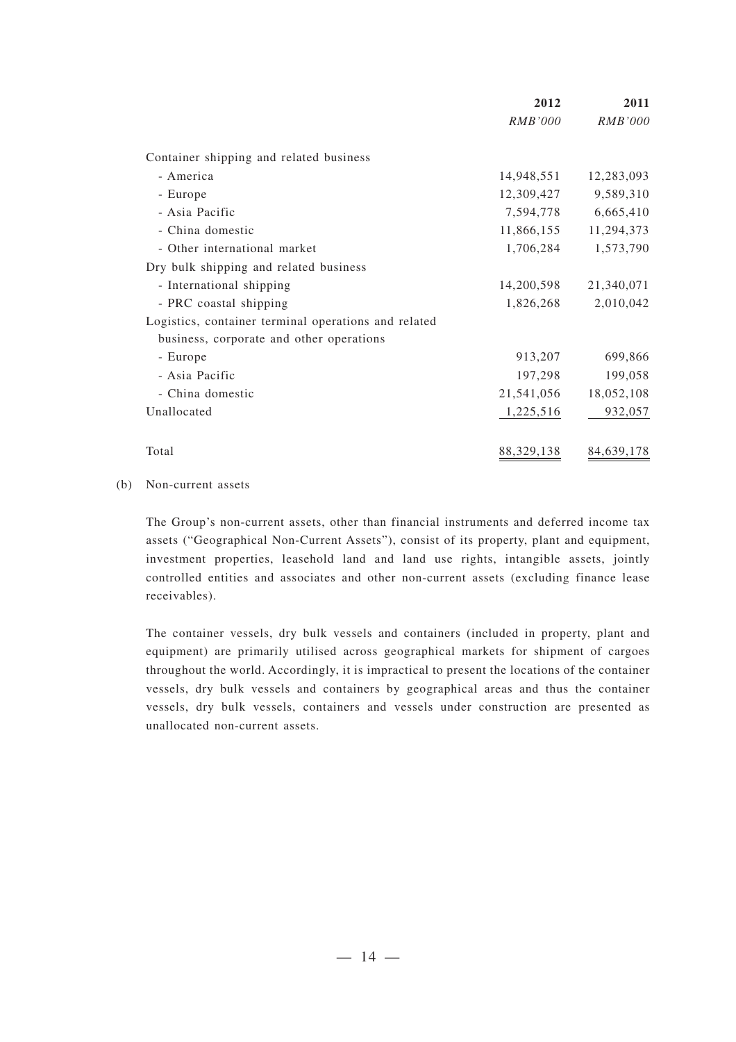|                                                      | 2012           | 2011           |
|------------------------------------------------------|----------------|----------------|
|                                                      | <i>RMB'000</i> | <i>RMB'000</i> |
| Container shipping and related business              |                |                |
| - America                                            | 14,948,551     | 12,283,093     |
| - Europe                                             | 12,309,427     | 9,589,310      |
| - Asia Pacific                                       | 7,594,778      | 6,665,410      |
| - China domestic                                     | 11,866,155     | 11,294,373     |
| - Other international market                         | 1,706,284      | 1,573,790      |
| Dry bulk shipping and related business               |                |                |
| - International shipping                             | 14,200,598     | 21,340,071     |
| - PRC coastal shipping                               | 1,826,268      | 2,010,042      |
| Logistics, container terminal operations and related |                |                |
| business, corporate and other operations             |                |                |
| - Europe                                             | 913,207        | 699,866        |
| - Asia Pacific                                       | 197,298        | 199,058        |
| - China domestic                                     | 21,541,056     | 18,052,108     |
| Unallocated                                          | 1,225,516      | 932,057        |
| Total                                                | 88, 329, 138   | 84,639,178     |

#### (b) Non-current assets

The Group's non-current assets, other than financial instruments and deferred income tax assets ("Geographical Non-Current Assets"), consist of its property, plant and equipment, investment properties, leasehold land and land use rights, intangible assets, jointly controlled entities and associates and other non-current assets (excluding finance lease receivables).

The container vessels, dry bulk vessels and containers (included in property, plant and equipment) are primarily utilised across geographical markets for shipment of cargoes throughout the world. Accordingly, it is impractical to present the locations of the container vessels, dry bulk vessels and containers by geographical areas and thus the container vessels, dry bulk vessels, containers and vessels under construction are presented as unallocated non-current assets.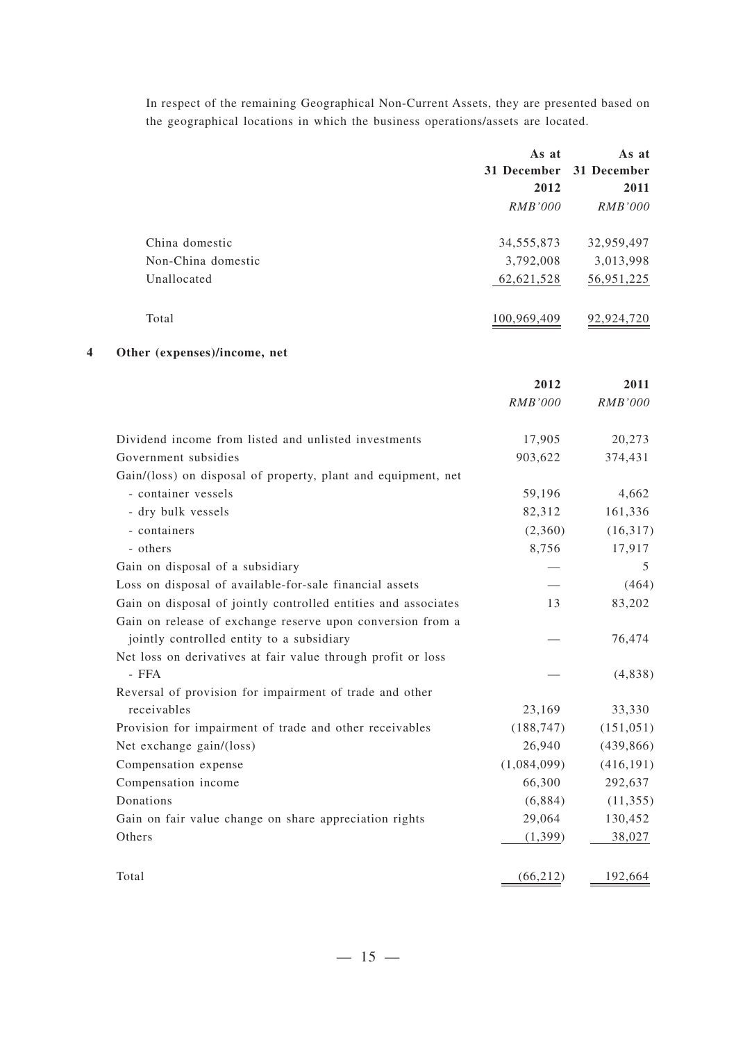In respect of the remaining Geographical Non-Current Assets, they are presented based on the geographical locations in which the business operations/assets are located.

|                    | As at          | As at          |
|--------------------|----------------|----------------|
|                    | 31 December    | 31 December    |
|                    | 2012           | 2011           |
|                    | <i>RMB'000</i> | <i>RMB'000</i> |
| China domestic     | 34, 555, 873   | 32,959,497     |
| Non-China domestic | 3,792,008      | 3,013,998      |
| Unallocated        | 62,621,528     | 56,951,225     |
| Total              | 100,969,409    | 92,924,720     |

#### **4 Other (expenses)/income, net**

|                                                                | 2012           | 2011           |
|----------------------------------------------------------------|----------------|----------------|
|                                                                | <b>RMB'000</b> | <b>RMB'000</b> |
| Dividend income from listed and unlisted investments           | 17,905         | 20,273         |
| Government subsidies                                           | 903,622        | 374,431        |
| Gain/(loss) on disposal of property, plant and equipment, net  |                |                |
| - container vessels                                            | 59,196         | 4,662          |
| - dry bulk vessels                                             | 82,312         | 161,336        |
| - containers                                                   | (2,360)        | (16,317)       |
| - others                                                       | 8,756          | 17,917         |
| Gain on disposal of a subsidiary                               |                | 5              |
| Loss on disposal of available-for-sale financial assets        |                | (464)          |
| Gain on disposal of jointly controlled entities and associates | 13             | 83,202         |
| Gain on release of exchange reserve upon conversion from a     |                |                |
| jointly controlled entity to a subsidiary                      |                | 76,474         |
| Net loss on derivatives at fair value through profit or loss   |                |                |
| - FFA                                                          |                | (4,838)        |
| Reversal of provision for impairment of trade and other        |                |                |
| receivables                                                    | 23,169         | 33,330         |
| Provision for impairment of trade and other receivables        | (188, 747)     | (151, 051)     |
| Net exchange gain/(loss)                                       | 26,940         | (439, 866)     |
| Compensation expense                                           | (1,084,099)    | (416, 191)     |
| Compensation income                                            | 66,300         | 292,637        |
| Donations                                                      | (6,884)        | (11, 355)      |
| Gain on fair value change on share appreciation rights         | 29,064         | 130,452        |
| Others                                                         | (1,399)        | 38,027         |
| Total                                                          | (66, 212)      | 192,664        |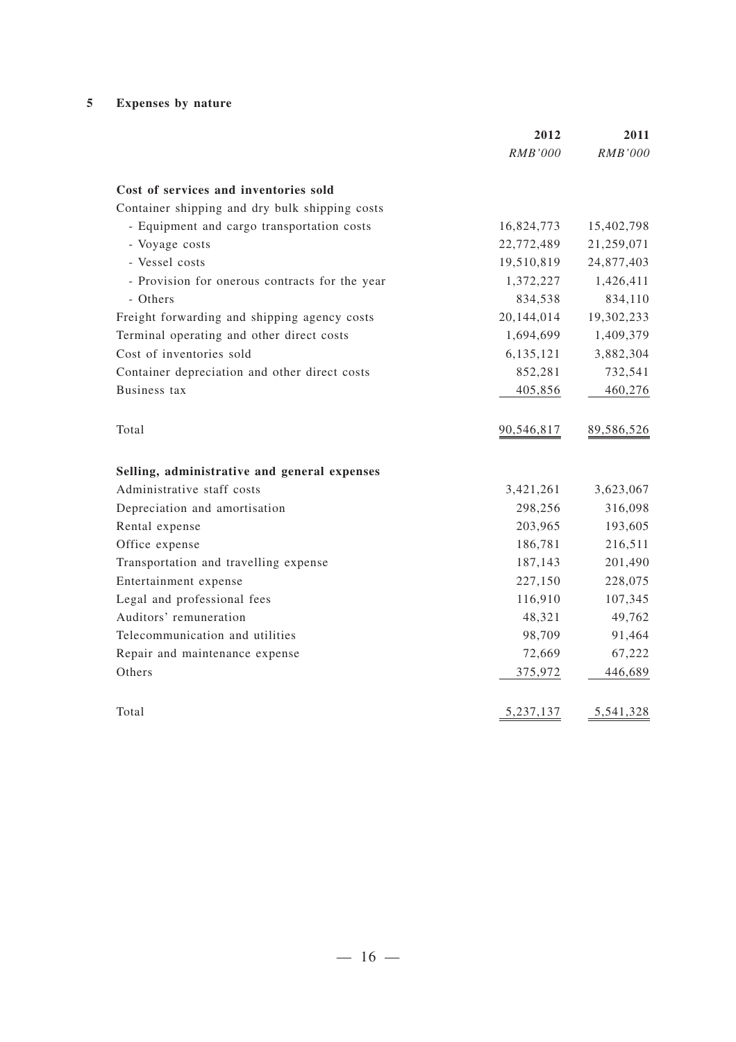#### **5 Expenses by nature**

|                                                | 2012           | 2011       |
|------------------------------------------------|----------------|------------|
|                                                | <b>RMB'000</b> | RMB'000    |
| Cost of services and inventories sold          |                |            |
| Container shipping and dry bulk shipping costs |                |            |
| - Equipment and cargo transportation costs     | 16,824,773     | 15,402,798 |
| - Voyage costs                                 | 22,772,489     | 21,259,071 |
| - Vessel costs                                 | 19,510,819     | 24,877,403 |
| - Provision for onerous contracts for the year | 1,372,227      | 1,426,411  |
| - Others                                       | 834,538        | 834,110    |
| Freight forwarding and shipping agency costs   | 20,144,014     | 19,302,233 |
| Terminal operating and other direct costs      | 1,694,699      | 1,409,379  |
| Cost of inventories sold                       | 6,135,121      | 3,882,304  |
| Container depreciation and other direct costs  | 852,281        | 732,541    |
| Business tax                                   | 405,856        | 460,276    |
| Total                                          | 90,546,817     | 89,586,526 |
| Selling, administrative and general expenses   |                |            |
| Administrative staff costs                     | 3,421,261      | 3,623,067  |
| Depreciation and amortisation                  | 298,256        | 316,098    |
| Rental expense                                 | 203,965        | 193,605    |
| Office expense                                 | 186,781        | 216,511    |
| Transportation and travelling expense          | 187,143        | 201,490    |
| Entertainment expense                          | 227,150        | 228,075    |
| Legal and professional fees                    | 116,910        | 107,345    |
| Auditors' remuneration                         | 48,321         | 49,762     |
| Telecommunication and utilities                | 98,709         | 91,464     |
| Repair and maintenance expense                 | 72,669         | 67,222     |
| Others                                         | 375,972        | 446,689    |
| Total                                          | 5,237,137      | 5,541,328  |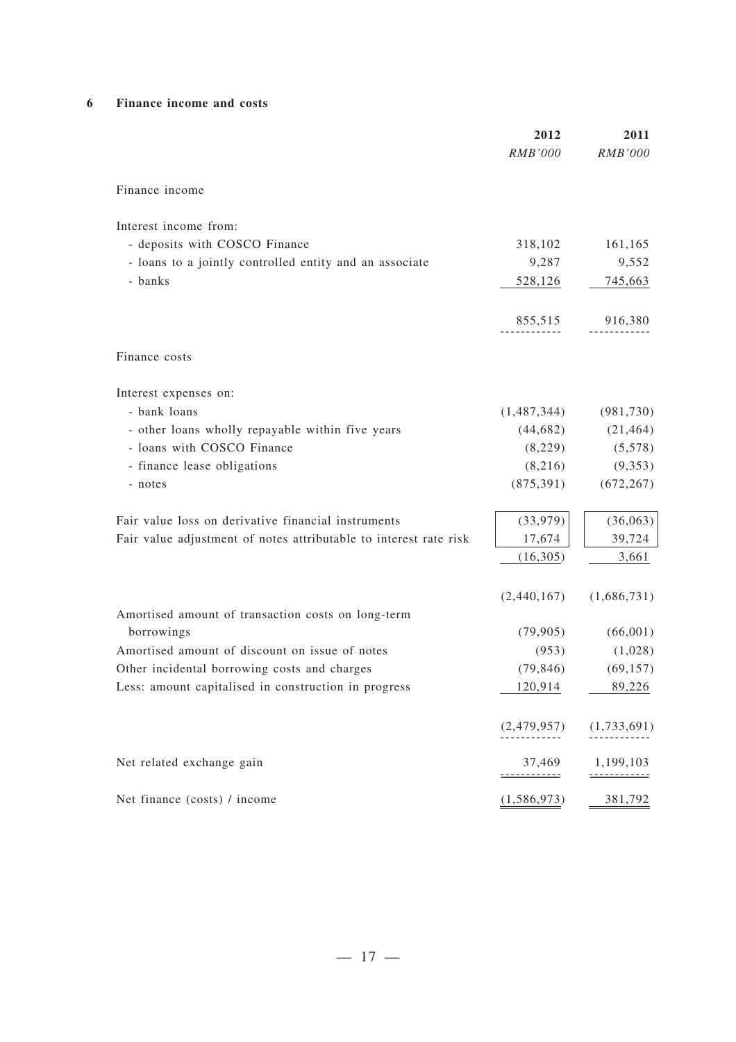#### **6 Finance income and costs**

|                                                                   | 2012<br><b>RMB'000</b> | 2011<br>RMB'000      |
|-------------------------------------------------------------------|------------------------|----------------------|
| Finance income                                                    |                        |                      |
| Interest income from:                                             |                        |                      |
| - deposits with COSCO Finance                                     | 318,102                | 161,165              |
| - loans to a jointly controlled entity and an associate           | 9,287                  | 9,552                |
| - banks                                                           | 528,126                | 745,663              |
|                                                                   | 855,515                | 916,380              |
| Finance costs                                                     |                        |                      |
| Interest expenses on:                                             |                        |                      |
| - bank loans                                                      | (1,487,344)            | (981, 730)           |
| - other loans wholly repayable within five years                  | (44, 682)              | (21, 464)            |
| - loans with COSCO Finance                                        | (8,229)                | (5,578)              |
| - finance lease obligations                                       | (8,216)                | (9,353)              |
| - notes                                                           | (875, 391)             | (672, 267)           |
| Fair value loss on derivative financial instruments               | (33,979)               | (36,063)             |
| Fair value adjustment of notes attributable to interest rate risk | 17,674                 | 39,724               |
|                                                                   | (16,305)               | 3,661                |
|                                                                   | (2,440,167)            | (1,686,731)          |
| Amortised amount of transaction costs on long-term<br>borrowings  |                        |                      |
| Amortised amount of discount on issue of notes                    | (79, 905)<br>(953)     | (66,001)             |
| Other incidental borrowing costs and charges                      | (79, 846)              | (1,028)<br>(69, 157) |
| Less: amount capitalised in construction in progress              | 120,914                | 89,226               |
|                                                                   |                        |                      |
|                                                                   | (2,479,957)            | (1,733,691)          |
| Net related exchange gain                                         | 37,469                 | 1,199,103            |
| Net finance (costs) / income                                      | (1, 586, 973)          | 381,792              |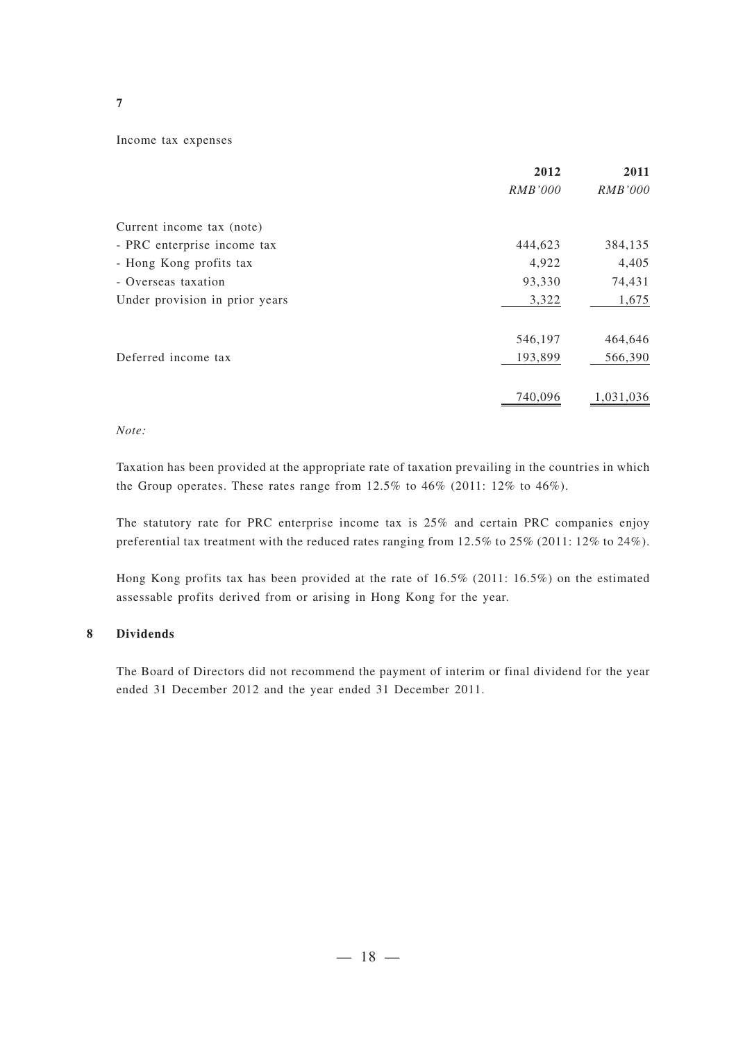#### **7**

#### Income tax expenses

|                                | 2012           | 2011           |
|--------------------------------|----------------|----------------|
|                                | <i>RMB'000</i> | <b>RMB'000</b> |
| Current income tax (note)      |                |                |
| - PRC enterprise income tax    | 444,623        | 384,135        |
| - Hong Kong profits tax        | 4,922          | 4,405          |
| - Overseas taxation            | 93,330         | 74,431         |
| Under provision in prior years | 3,322          | 1,675          |
|                                | 546,197        | 464,646        |
| Deferred income tax            | 193,899        | 566,390        |
|                                | 740,096        | 1,031,036      |

#### *Note:*

Taxation has been provided at the appropriate rate of taxation prevailing in the countries in which the Group operates. These rates range from 12.5% to 46% (2011: 12% to 46%).

The statutory rate for PRC enterprise income tax is 25% and certain PRC companies enjoy preferential tax treatment with the reduced rates ranging from 12.5% to 25% (2011: 12% to 24%).

Hong Kong profits tax has been provided at the rate of 16.5% (2011: 16.5%) on the estimated assessable profits derived from or arising in Hong Kong for the year.

#### **8 Dividends**

The Board of Directors did not recommend the payment of interim or final dividend for the year ended 31 December 2012 and the year ended 31 December 2011.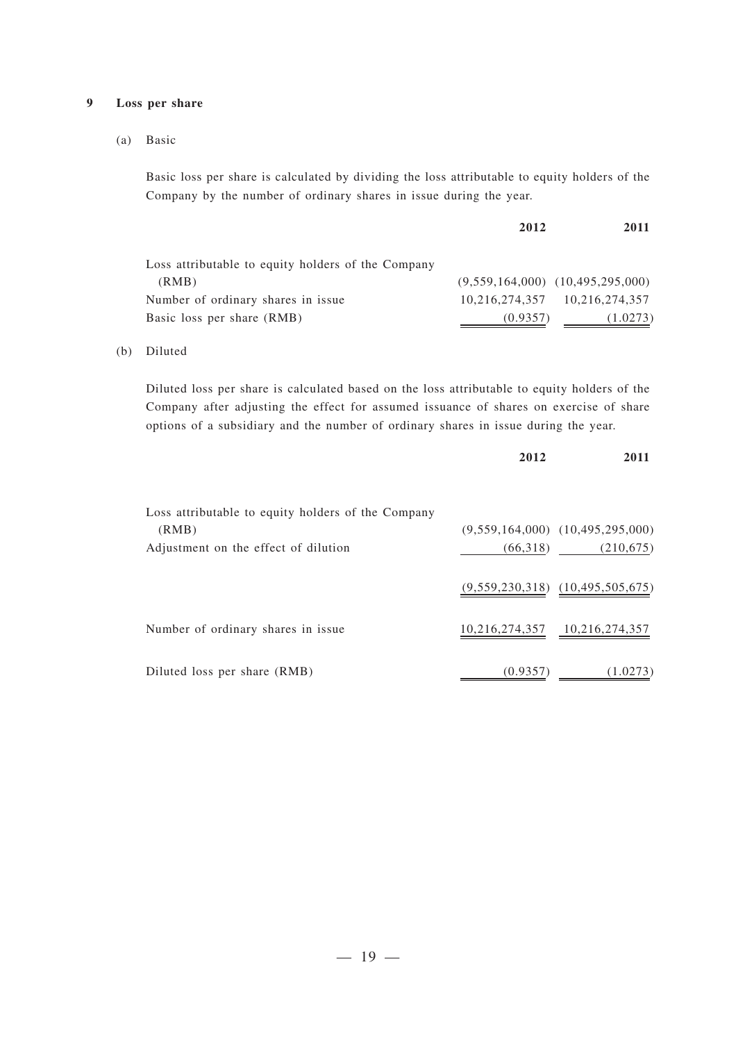#### **9 Loss per share**

(a) Basic

Basic loss per share is calculated by dividing the loss attributable to equity holders of the Company by the number of ordinary shares in issue during the year.

|                                                    | 2012     | 2011                                 |
|----------------------------------------------------|----------|--------------------------------------|
| Loss attributable to equity holders of the Company |          |                                      |
| (RMB)                                              |          | $(9,559,164,000)$ $(10,495,295,000)$ |
| Number of ordinary shares in issue                 |          | 10,216,274,357 10,216,274,357        |
| Basic loss per share (RMB)                         | (0.9357) | (1.0273)                             |

#### (b) Diluted

Diluted loss per share is calculated based on the loss attributable to equity holders of the Company after adjusting the effect for assumed issuance of shares on exercise of share options of a subsidiary and the number of ordinary shares in issue during the year.

|                                                    | 2012     | 2011                                 |
|----------------------------------------------------|----------|--------------------------------------|
| Loss attributable to equity holders of the Company |          |                                      |
| (RMB)                                              |          | $(9,559,164,000)$ $(10,495,295,000)$ |
| Adjustment on the effect of dilution               | (66,318) | (210,675)                            |
|                                                    |          | $(9,559,230,318)$ $(10,495,505,675)$ |
| Number of ordinary shares in issue.                |          | 10,216,274,357 10,216,274,357        |
| Diluted loss per share (RMB)                       | (0.9357) | (1.0273)                             |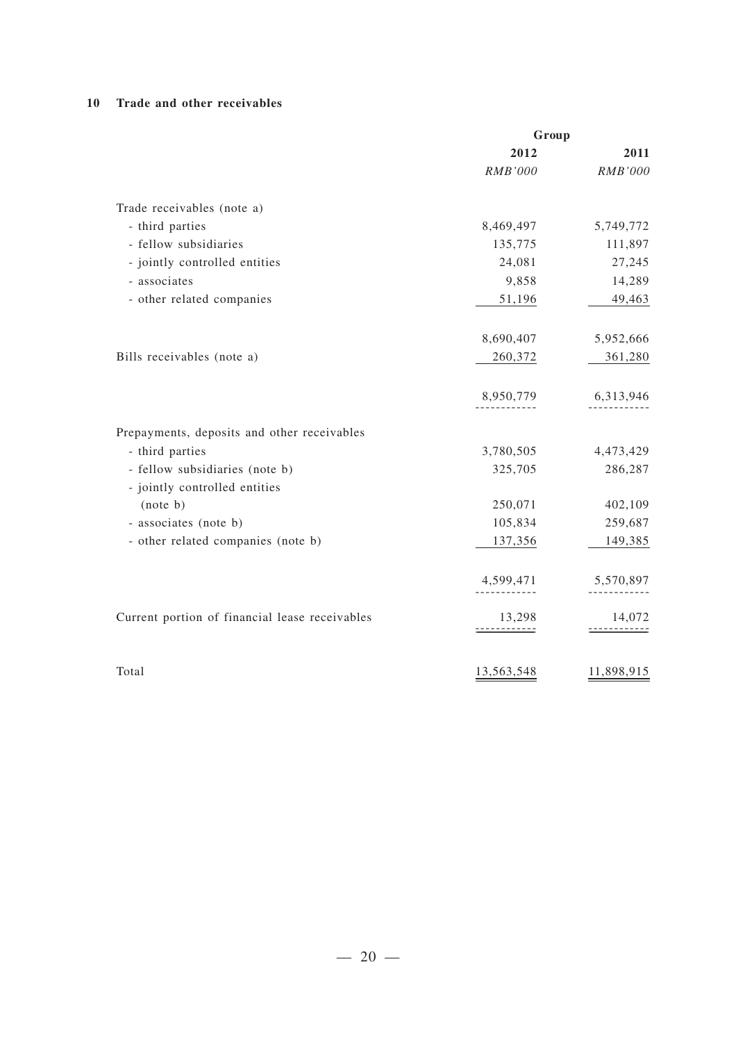#### **10 Trade and other receivables**

| Group          |                      |
|----------------|----------------------|
| 2012           | 2011                 |
| <b>RMB'000</b> | RMB'000              |
|                |                      |
| 8,469,497      | 5,749,772            |
| 135,775        | 111,897              |
| 24,081         | 27,245               |
| 9,858          | 14,289               |
| 51,196         | 49,463               |
|                |                      |
|                | 5,952,666            |
|                | 361,280              |
| 8,950,779      | 6,313,946            |
|                |                      |
| 3,780,505      | 4,473,429            |
| 325,705        | 286,287              |
|                |                      |
| 250,071        | 402,109              |
| 105,834        | 259,687              |
| 137,356        | 149,385              |
| 4,599,471      | 5,570,897            |
| 13,298         | 14,072               |
| -----------    |                      |
| 13,563,548     | 11,898,915           |
|                | 8,690,407<br>260,372 |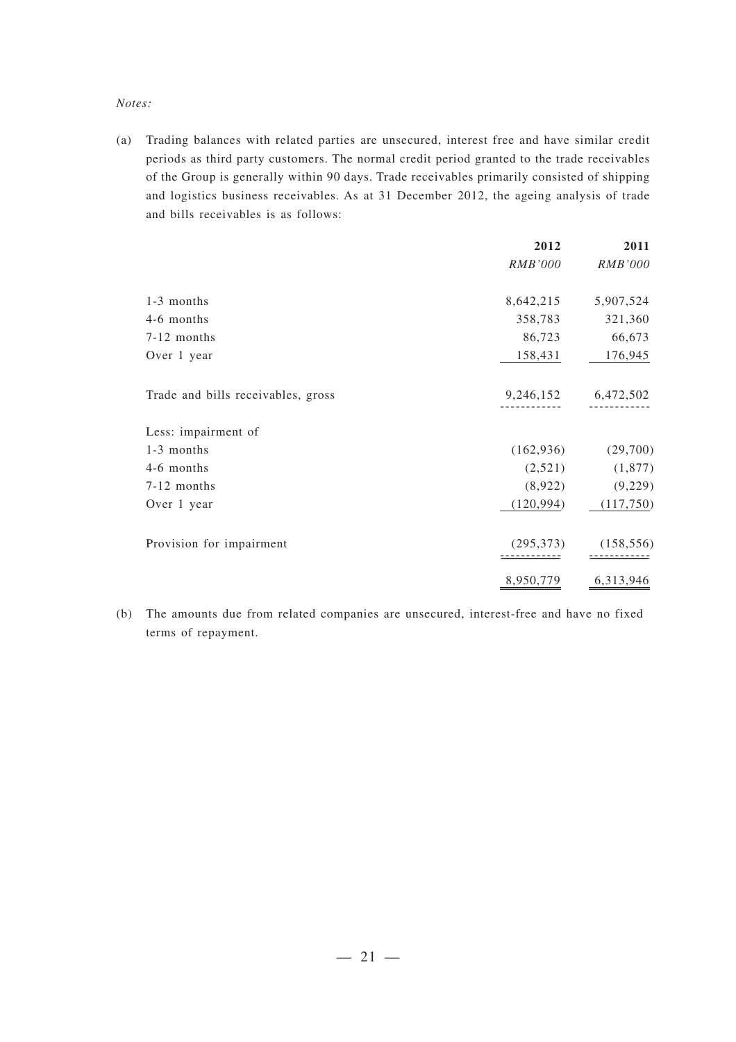#### *Notes:*

(a) Trading balances with related parties are unsecured, interest free and have similar credit periods as third party customers. The normal credit period granted to the trade receivables of the Group is generally within 90 days. Trade receivables primarily consisted of shipping and logistics business receivables. As at 31 December 2012, the ageing analysis of trade and bills receivables is as follows:

|                                    | 2012       | 2011                |
|------------------------------------|------------|---------------------|
|                                    | RMB'000    | RMB'000             |
| 1-3 months                         | 8,642,215  | 5,907,524           |
| 4-6 months                         | 358,783    | 321,360             |
| 7-12 months                        | 86,723     | 66,673              |
| Over 1 year                        | 158,431    | 176,945             |
| Trade and bills receivables, gross |            | 9,246,152 6,472,502 |
| Less: impairment of                |            |                     |
| 1-3 months                         | (162, 936) | (29,700)            |
| 4-6 months                         | (2,521)    | (1,877)             |
| 7-12 months                        | (8,922)    | (9,229)             |
| Over 1 year                        | (120, 994) | (117,750)           |
| Provision for impairment           | (295, 373) | (158, 556)          |
|                                    | 8,950,779  | 6,313,946           |

(b) The amounts due from related companies are unsecured, interest-free and have no fixed terms of repayment.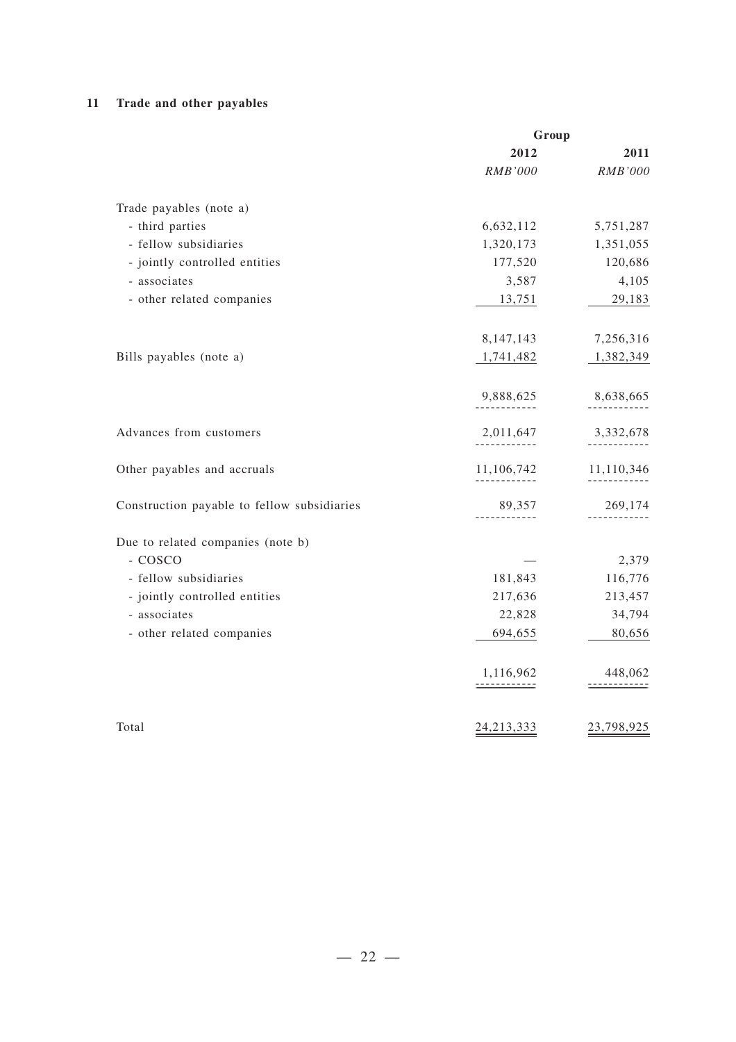#### **11 Trade and other payables**

|                                             | Group                     |                                 |
|---------------------------------------------|---------------------------|---------------------------------|
|                                             | 2012                      | 2011                            |
|                                             | RMB'000                   | RMB'000                         |
| Trade payables (note a)                     |                           |                                 |
| - third parties                             | 6,632,112                 | 5,751,287                       |
| - fellow subsidiaries                       | 1,320,173                 | 1,351,055                       |
| - jointly controlled entities               | 177,520                   | 120,686                         |
| - associates                                | 3,587                     | 4,105                           |
| - other related companies                   | 13,751                    | 29,183                          |
|                                             |                           |                                 |
|                                             | 8,147,143                 | 7,256,316                       |
| Bills payables (note a)                     | 1,741,482                 | 1,382,349                       |
|                                             | 9,888,625                 | 8,638,665                       |
| Advances from customers                     | 2,011,647                 | 3,332,678                       |
| Other payables and accruals                 | 11,106,742                | 11,110,346                      |
| Construction payable to fellow subsidiaries | 89,357                    | 269,174                         |
| Due to related companies (note b)           |                           |                                 |
| - COSCO                                     |                           | 2,379                           |
| - fellow subsidiaries                       | 181,843                   | 116,776                         |
| - jointly controlled entities               | 217,636                   | 213,457                         |
| - associates                                | 22,828                    | 34,794                          |
| - other related companies                   | 694,655                   | 80,656                          |
|                                             | 1,116,962<br>------------ | 448,062<br><u>---------</u> --- |
| Total                                       | 24, 213, 333              | 23,798,925                      |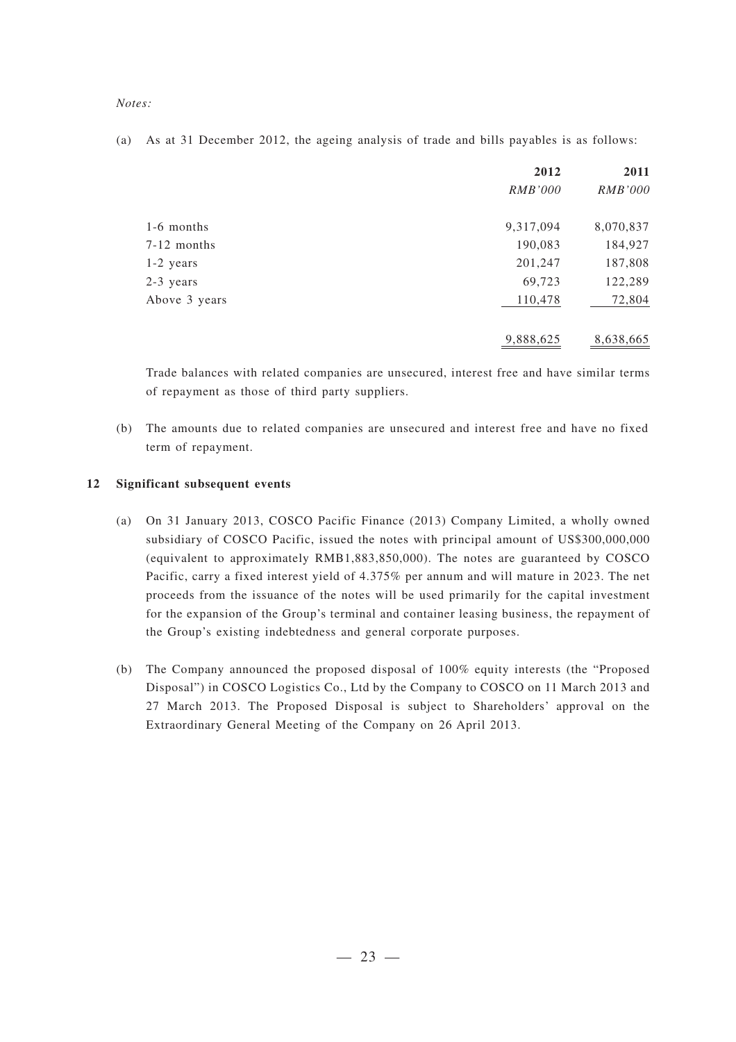*Notes:*

(a) As at 31 December 2012, the ageing analysis of trade and bills payables is as follows:

|               | 2012           | 2011           |
|---------------|----------------|----------------|
|               | <i>RMB'000</i> | <i>RMB'000</i> |
| 1-6 months    | 9,317,094      | 8,070,837      |
| $7-12$ months | 190,083        | 184,927        |
| $1-2$ years   | 201,247        | 187,808        |
| 2-3 years     | 69,723         | 122,289        |
| Above 3 years | 110,478        | 72,804         |
|               | 9,888,625      | 8,638,665      |

Trade balances with related companies are unsecured, interest free and have similar terms of repayment as those of third party suppliers.

(b) The amounts due to related companies are unsecured and interest free and have no fixed term of repayment.

#### **12 Significant subsequent events**

- (a) On 31 January 2013, COSCO Pacific Finance (2013) Company Limited, a wholly owned subsidiary of COSCO Pacific, issued the notes with principal amount of US\$300,000,000 (equivalent to approximately RMB1,883,850,000). The notes are guaranteed by COSCO Pacific, carry a fixed interest yield of 4.375% per annum and will mature in 2023. The net proceeds from the issuance of the notes will be used primarily for the capital investment for the expansion of the Group's terminal and container leasing business, the repayment of the Group's existing indebtedness and general corporate purposes.
- (b) The Company announced the proposed disposal of 100% equity interests (the "Proposed Disposal") in COSCO Logistics Co., Ltd by the Company to COSCO on 11 March 2013 and 27 March 2013. The Proposed Disposal is subject to Shareholders' approval on the Extraordinary General Meeting of the Company on 26 April 2013.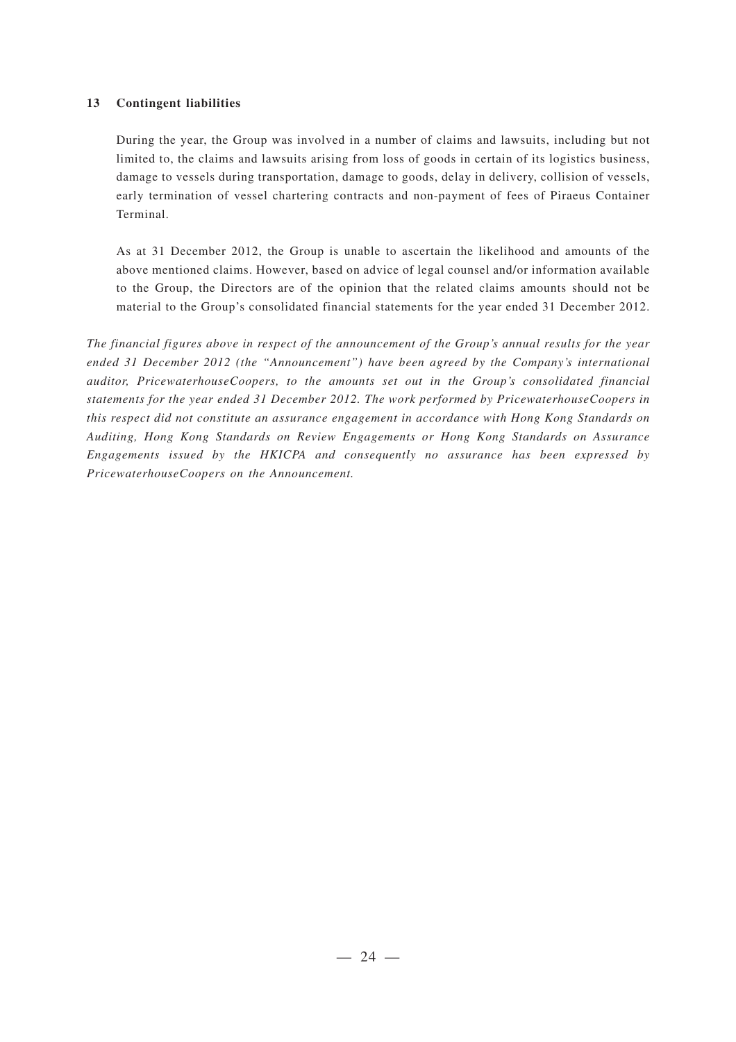#### **13 Contingent liabilities**

During the year, the Group was involved in a number of claims and lawsuits, including but not limited to, the claims and lawsuits arising from loss of goods in certain of its logistics business, damage to vessels during transportation, damage to goods, delay in delivery, collision of vessels, early termination of vessel chartering contracts and non-payment of fees of Piraeus Container Terminal.

As at 31 December 2012, the Group is unable to ascertain the likelihood and amounts of the above mentioned claims. However, based on advice of legal counsel and/or information available to the Group, the Directors are of the opinion that the related claims amounts should not be material to the Group's consolidated financial statements for the year ended 31 December 2012.

*The financial figures above in respect of the announcement of the Group's annual results for the year ended 31 December 2012 (the "Announcement") have been agreed by the Company's international auditor, PricewaterhouseCoopers, to the amounts set out in the Group's consolidated financial statements for the year ended 31 December 2012. The work performed by PricewaterhouseCoopers in this respect did not constitute an assurance engagement in accordance with Hong Kong Standards on Auditing, Hong Kong Standards on Review Engagements or Hong Kong Standards on Assurance Engagements issued by the HKICPA and consequently no assurance has been expressed by PricewaterhouseCoopers on the Announcement.*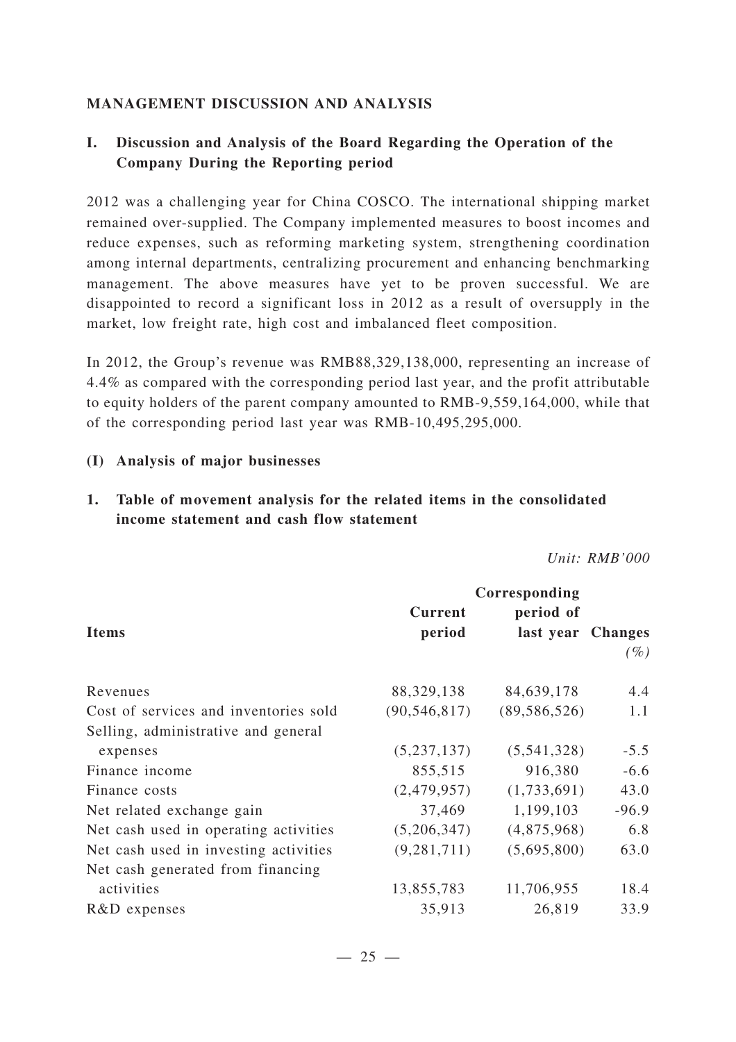## **MANAGEMENT DISCUSSION AND ANALYSIS**

## **I. Discussion and Analysis of the Board Regarding the Operation of the Company During the Reporting period**

2012 was a challenging year for China COSCO. The international shipping market remained over-supplied. The Company implemented measures to boost incomes and reduce expenses, such as reforming marketing system, strengthening coordination among internal departments, centralizing procurement and enhancing benchmarking management. The above measures have yet to be proven successful. We are disappointed to record a significant loss in 2012 as a result of oversupply in the market, low freight rate, high cost and imbalanced fleet composition.

In 2012, the Group's revenue was RMB88,329,138,000, representing an increase of 4.4% as compared with the corresponding period last year, and the profit attributable to equity holders of the parent company amounted to RMB-9,559,164,000, while that of the corresponding period last year was RMB-10,495,295,000.

#### **(I) Analysis of major businesses**

## **1. Table of movement analysis for the related items in the consolidated income statement and cash flow statement**

*Unit: RMB'000*

|                                       |                | Corresponding     |         |
|---------------------------------------|----------------|-------------------|---------|
|                                       | <b>Current</b> | period of         |         |
| <b>Items</b>                          | period         | last year Changes |         |
|                                       |                |                   | $(\%)$  |
| Revenues                              | 88, 329, 138   | 84,639,178        | 4.4     |
| Cost of services and inventories sold | (90, 546, 817) | (89, 586, 526)    | 1.1     |
| Selling, administrative and general   |                |                   |         |
| expenses                              | (5, 237, 137)  | (5,541,328)       | $-5.5$  |
| Finance income                        | 855,515        | 916,380           | $-6.6$  |
| Finance costs                         | (2,479,957)    | (1,733,691)       | 43.0    |
| Net related exchange gain             | 37,469         | 1,199,103         | $-96.9$ |
| Net cash used in operating activities | (5,206,347)    | (4,875,968)       | 6.8     |
| Net cash used in investing activities | (9, 281, 711)  | (5,695,800)       | 63.0    |
| Net cash generated from financing     |                |                   |         |
| activities                            | 13,855,783     | 11,706,955        | 18.4    |
| R&D expenses                          | 35,913         | 26,819            | 33.9    |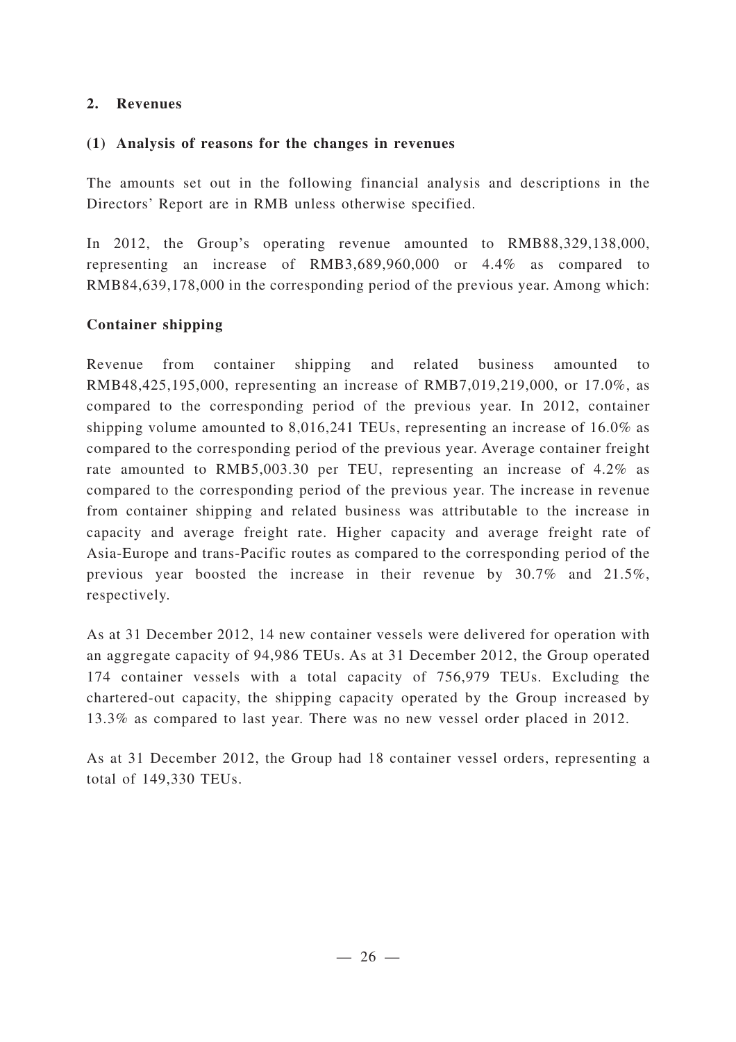## **2. Revenues**

### **(1) Analysis of reasons for the changes in revenues**

The amounts set out in the following financial analysis and descriptions in the Directors' Report are in RMB unless otherwise specified.

In 2012, the Group's operating revenue amounted to RMB88,329,138,000, representing an increase of RMB3,689,960,000 or 4.4% as compared to RMB84,639,178,000 in the corresponding period of the previous year. Among which:

## **Container shipping**

Revenue from container shipping and related business amounted to RMB48,425,195,000, representing an increase of RMB7,019,219,000, or 17.0%, as compared to the corresponding period of the previous year. In 2012, container shipping volume amounted to 8,016,241 TEUs, representing an increase of 16.0% as compared to the corresponding period of the previous year. Average container freight rate amounted to RMB5,003.30 per TEU, representing an increase of 4.2% as compared to the corresponding period of the previous year. The increase in revenue from container shipping and related business was attributable to the increase in capacity and average freight rate. Higher capacity and average freight rate of Asia-Europe and trans-Pacific routes as compared to the corresponding period of the previous year boosted the increase in their revenue by 30.7% and 21.5%, respectively.

As at 31 December 2012, 14 new container vessels were delivered for operation with an aggregate capacity of 94,986 TEUs. As at 31 December 2012, the Group operated 174 container vessels with a total capacity of 756,979 TEUs. Excluding the chartered-out capacity, the shipping capacity operated by the Group increased by 13.3% as compared to last year. There was no new vessel order placed in 2012.

As at 31 December 2012, the Group had 18 container vessel orders, representing a total of 149,330 TEUs.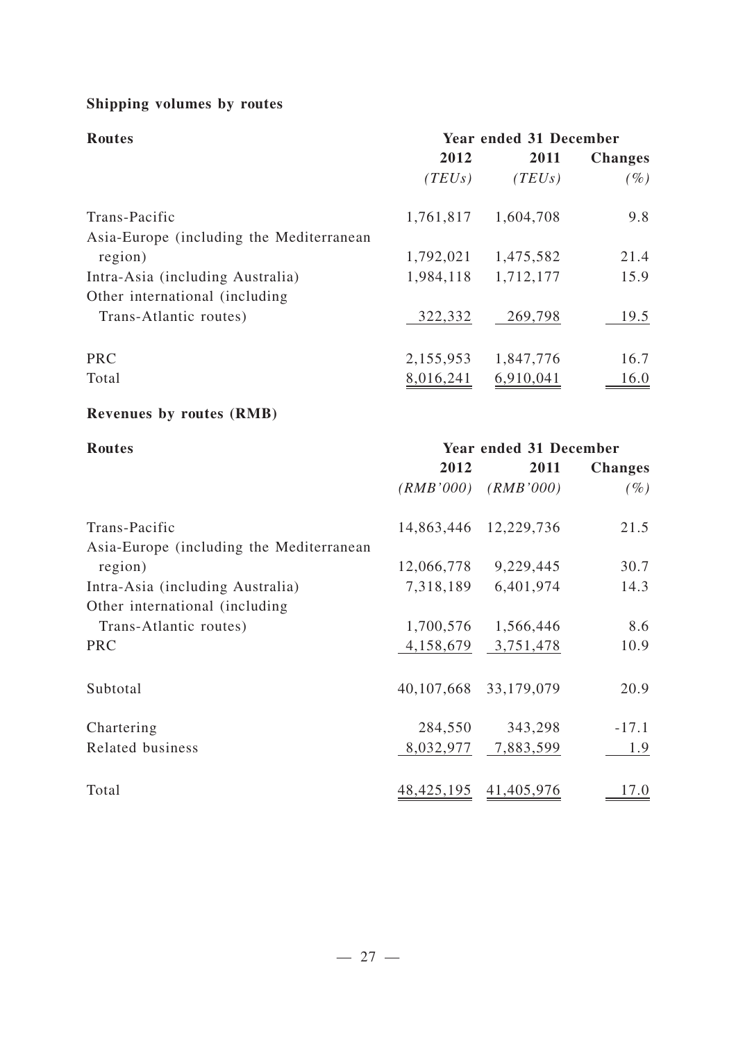# **Shipping volumes by routes**

| <b>Routes</b>                            | Year ended 31 December |           |                |  |
|------------------------------------------|------------------------|-----------|----------------|--|
|                                          | 2012                   | 2011      | <b>Changes</b> |  |
|                                          | (TEUs)                 | (TEUs)    | $(\%)$         |  |
| Trans-Pacific                            | 1,761,817              | 1,604,708 | 9.8            |  |
| Asia-Europe (including the Mediterranean |                        |           |                |  |
| region)                                  | 1,792,021              | 1,475,582 | 21.4           |  |
| Intra-Asia (including Australia)         | 1,984,118              | 1,712,177 | 15.9           |  |
| Other international (including)          |                        |           |                |  |
| Trans-Atlantic routes)                   | 322,332                | 269,798   | 19.5           |  |
| <b>PRC</b>                               | 2,155,953              | 1,847,776 | 16.7           |  |
| Total                                    | 8,016,241              | 6,910,041 | 16.0           |  |

# **Revenues by routes (RMB)**

| <b>Routes</b>                            | Year ended 31 December |                         |                |  |
|------------------------------------------|------------------------|-------------------------|----------------|--|
|                                          | 2012                   | 2011                    | <b>Changes</b> |  |
|                                          |                        | $(RMB'000)$ $(RMB'000)$ | $(\%)$         |  |
| Trans-Pacific                            |                        | 14,863,446 12,229,736   | 21.5           |  |
| Asia-Europe (including the Mediterranean |                        |                         |                |  |
| region)                                  | 12,066,778             | 9,229,445               | 30.7           |  |
| Intra-Asia (including Australia)         | 7,318,189              | 6,401,974               | 14.3           |  |
| Other international (including           |                        |                         |                |  |
| Trans-Atlantic routes)                   | 1,700,576              | 1,566,446               | 8.6            |  |
| <b>PRC</b>                               |                        | 4, 158, 679 3, 751, 478 | 10.9           |  |
| Subtotal                                 | 40,107,668             | 33,179,079              | 20.9           |  |
| Chartering                               | 284,550                | 343,298                 | $-17.1$        |  |
| Related business                         |                        | 8,032,977 7,883,599     | 1.9            |  |
| Total                                    | 48,425,195             | 41,405,976              | 17.0           |  |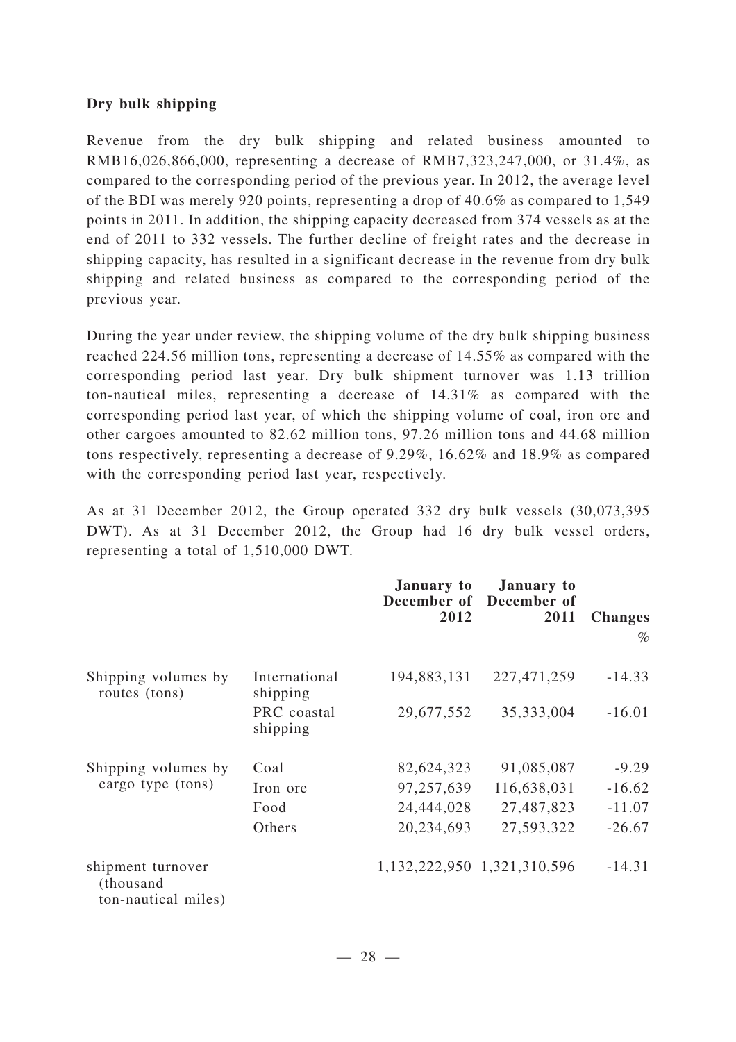### **Dry bulk shipping**

Revenue from the dry bulk shipping and related business amounted to RMB16,026,866,000, representing a decrease of RMB7,323,247,000, or 31.4%, as compared to the corresponding period of the previous year. In 2012, the average level of the BDI was merely 920 points, representing a drop of 40.6% as compared to 1,549 points in 2011. In addition, the shipping capacity decreased from 374 vessels as at the end of 2011 to 332 vessels. The further decline of freight rates and the decrease in shipping capacity, has resulted in a significant decrease in the revenue from dry bulk shipping and related business as compared to the corresponding period of the previous year.

During the year under review, the shipping volume of the dry bulk shipping business reached 224.56 million tons, representing a decrease of 14.55% as compared with the corresponding period last year. Dry bulk shipment turnover was 1.13 trillion ton-nautical miles, representing a decrease of 14.31% as compared with the corresponding period last year, of which the shipping volume of coal, iron ore and other cargoes amounted to 82.62 million tons, 97.26 million tons and 44.68 million tons respectively, representing a decrease of 9.29%, 16.62% and 18.9% as compared with the corresponding period last year, respectively.

As at 31 December 2012, the Group operated 332 dry bulk vessels (30,073,395 DWT). As at 31 December 2012, the Group had 16 dry bulk vessel orders, representing a total of 1,510,000 DWT.

|                                                       |                           | January to<br>2012 | <b>January to</b><br>December of December of<br>2011 | <b>Changes</b><br>$\%$ |
|-------------------------------------------------------|---------------------------|--------------------|------------------------------------------------------|------------------------|
| Shipping volumes by<br>routes (tons)                  | International<br>shipping | 194,883,131        | 227,471,259                                          | $-14.33$               |
|                                                       | PRC coastal<br>shipping   | 29,677,552         | 35,333,004                                           | $-16.01$               |
| Shipping volumes by                                   | Coal                      | 82,624,323         | 91,085,087                                           | $-9.29$                |
| cargo type (tons)                                     | Iron ore                  | 97,257,639         | 116,638,031                                          | $-16.62$               |
|                                                       | Food                      | 24,444,028         | 27,487,823                                           | $-11.07$               |
|                                                       | Others                    | 20,234,693         | 27,593,322                                           | $-26.67$               |
| shipment turnover<br>(thousand<br>ton-nautical miles) |                           |                    | 1,132,222,950 1,321,310,596                          | $-14.31$               |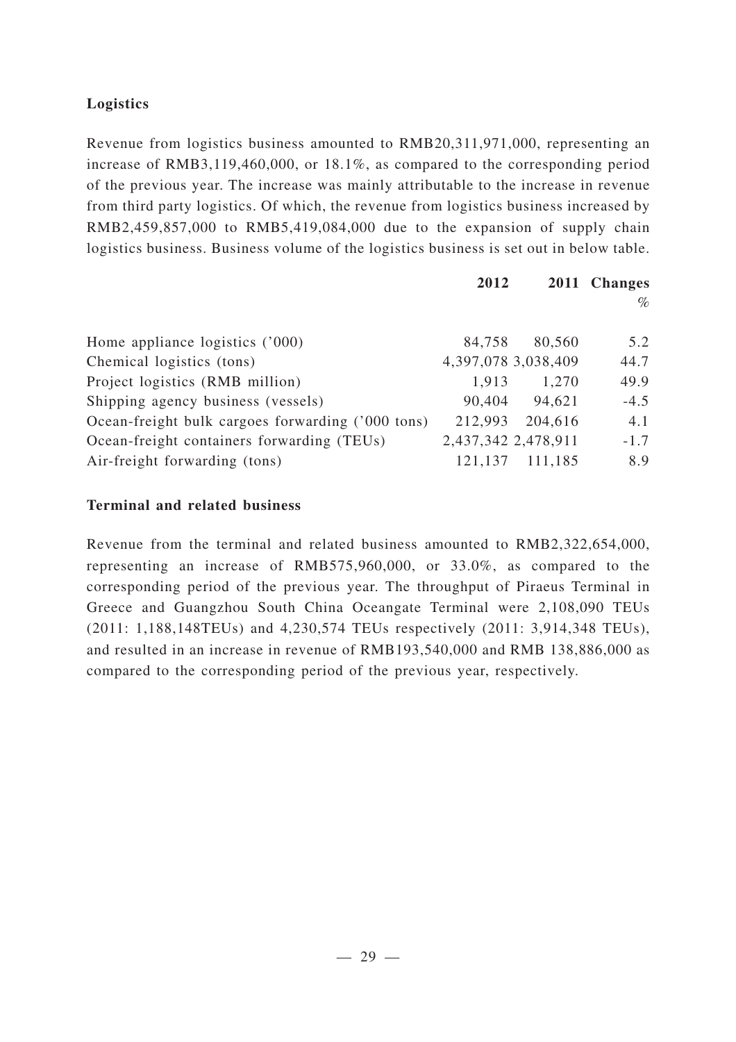## **Logistics**

Revenue from logistics business amounted to RMB20,311,971,000, representing an increase of RMB3,119,460,000, or 18.1%, as compared to the corresponding period of the previous year. The increase was mainly attributable to the increase in revenue from third party logistics. Of which, the revenue from logistics business increased by RMB2,459,857,000 to RMB5,419,084,000 due to the expansion of supply chain logistics business. Business volume of the logistics business is set out in below table.

|                                                   | 2012                |         | 2011 Changes |
|---------------------------------------------------|---------------------|---------|--------------|
|                                                   |                     |         | $\%$         |
|                                                   |                     |         |              |
| Home appliance logistics $('000)$                 | 84,758              | 80,560  | 5.2          |
| Chemical logistics (tons)                         | 4,397,078 3,038,409 |         | 44.7         |
| Project logistics (RMB million)                   | 1,913               | 1,270   | 49.9         |
| Shipping agency business (vessels)                | 90,404              | 94,621  | $-4.5$       |
| Ocean-freight bulk cargoes forwarding ('000 tons) | 212,993             | 204,616 | 4.1          |
| Ocean-freight containers forwarding (TEUs)        | 2,437,342 2,478,911 |         | $-1.7$       |
| Air-freight forwarding (tons)                     | 121,137             | 111,185 | 8.9          |

## **Terminal and related business**

Revenue from the terminal and related business amounted to RMB2,322,654,000, representing an increase of RMB575,960,000, or 33.0%, as compared to the corresponding period of the previous year. The throughput of Piraeus Terminal in Greece and Guangzhou South China Oceangate Terminal were 2,108,090 TEUs (2011: 1,188,148TEUs) and 4,230,574 TEUs respectively (2011: 3,914,348 TEUs), and resulted in an increase in revenue of RMB193,540,000 and RMB 138,886,000 as compared to the corresponding period of the previous year, respectively.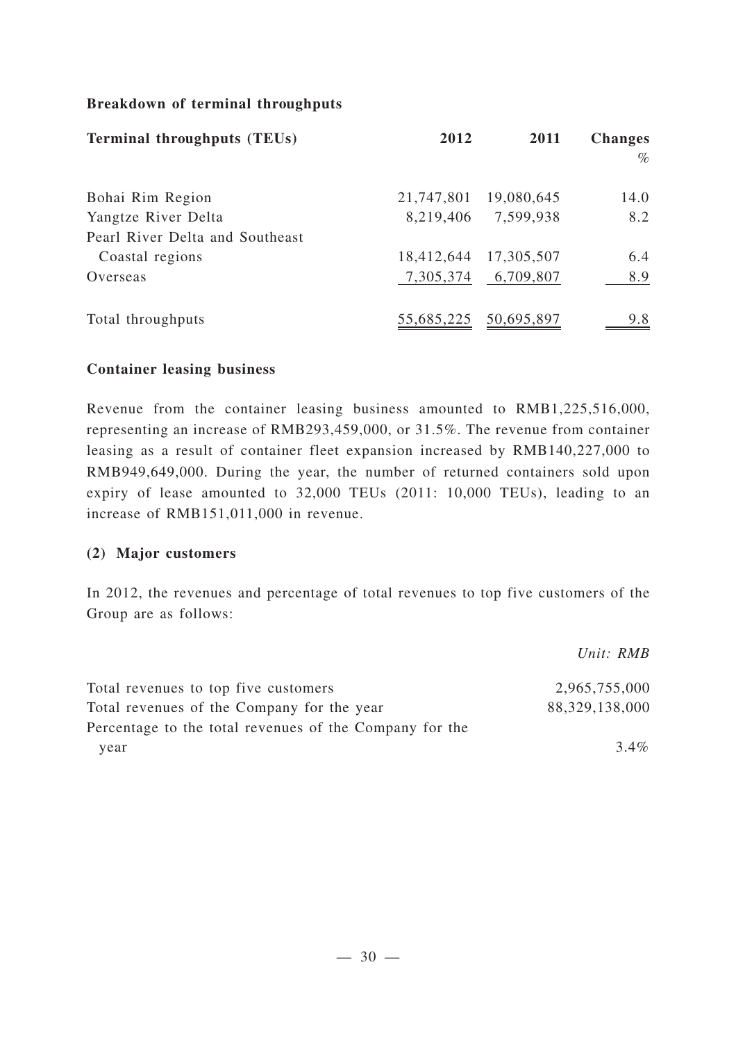## **Breakdown of terminal throughputs**

| <b>Terminal throughputs (TEUs)</b> | 2012       | 2011                  | <b>Changes</b><br>$\%$ |
|------------------------------------|------------|-----------------------|------------------------|
| Bohai Rim Region                   |            | 21,747,801 19,080,645 | 14.0                   |
| Yangtze River Delta                | 8,219,406  | 7,599,938             | 8.2                    |
| Pearl River Delta and Southeast    |            |                       |                        |
| Coastal regions                    |            | 18,412,644 17,305,507 | 6.4                    |
| Overseas                           |            | 7,305,374 6,709,807   | 8.9                    |
| Total throughputs                  | 55,685,225 | 50,695,897            | 9.8                    |

### **Container leasing business**

Revenue from the container leasing business amounted to RMB1,225,516,000, representing an increase of RMB293,459,000, or 31.5%. The revenue from container leasing as a result of container fleet expansion increased by RMB140,227,000 to RMB949,649,000. During the year, the number of returned containers sold upon expiry of lease amounted to 32,000 TEUs (2011: 10,000 TEUs), leading to an increase of RMB151,011,000 in revenue.

### **(2) Major customers**

In 2012, the revenues and percentage of total revenues to top five customers of the Group are as follows:

|                                                         | Unit: RMB      |
|---------------------------------------------------------|----------------|
| Total revenues to top five customers                    | 2,965,755,000  |
| Total revenues of the Company for the year              | 88,329,138,000 |
| Percentage to the total revenues of the Company for the |                |
| year                                                    | 3.4%           |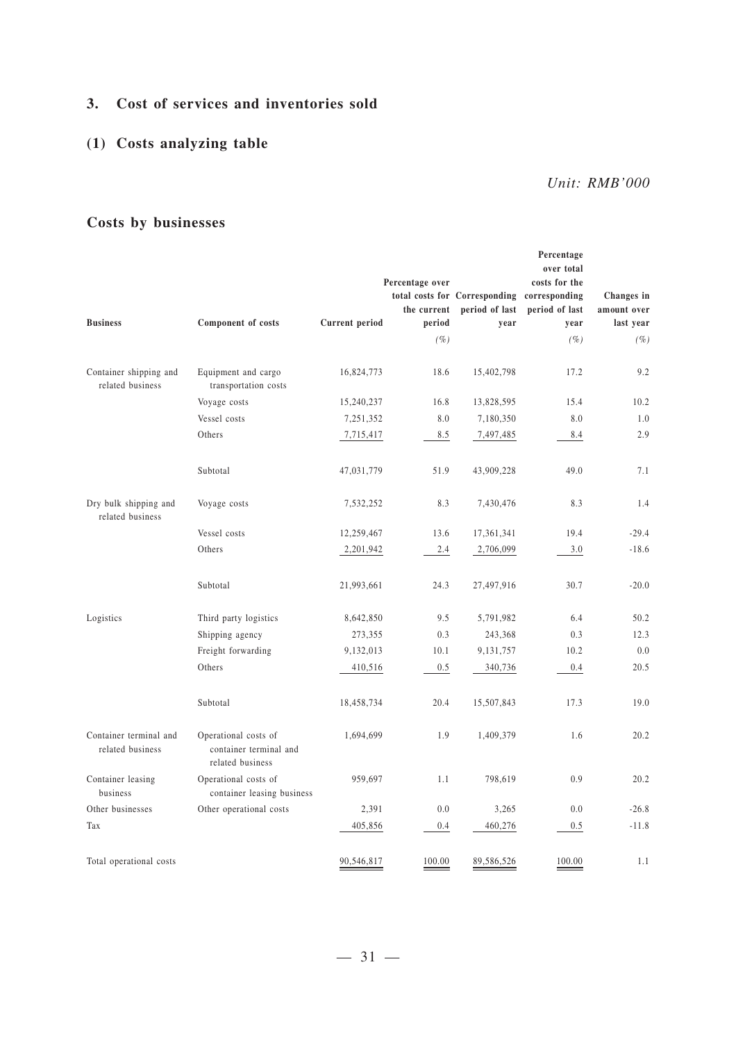## **3. Cost of services and inventories sold**

## **(1) Costs analyzing table**

*Unit: RMB'000*

## **Costs by businesses**

|                                            |                                                                    |                | Percentage over |                                             | Percentage<br>over total<br>costs for the |             |
|--------------------------------------------|--------------------------------------------------------------------|----------------|-----------------|---------------------------------------------|-------------------------------------------|-------------|
|                                            |                                                                    |                |                 | total costs for Corresponding corresponding |                                           | Changes in  |
|                                            |                                                                    |                | the current     | period of last                              | period of last                            | amount over |
| <b>Business</b>                            | Component of costs                                                 | Current period | period          | year                                        | year                                      | last year   |
|                                            |                                                                    |                | $(\%)$          |                                             | (%                                        | $(\%)$      |
| Container shipping and<br>related business | Equipment and cargo<br>transportation costs                        | 16,824,773     | 18.6            | 15,402,798                                  | 17.2                                      | 9.2         |
|                                            | Voyage costs                                                       | 15,240,237     | 16.8            | 13,828,595                                  | 15.4                                      | 10.2        |
|                                            | Vessel costs                                                       | 7,251,352      | 8.0             | 7,180,350                                   | 8.0                                       | 1.0         |
|                                            | Others                                                             | 7,715,417      | 8.5             | 7,497,485                                   | 8.4                                       | 2.9         |
|                                            | Subtotal                                                           | 47,031,779     | 51.9            | 43,909,228                                  | 49.0                                      | 7.1         |
| Dry bulk shipping and<br>related business  | Voyage costs                                                       | 7,532,252      | 8.3             | 7,430,476                                   | 8.3                                       | 1.4         |
|                                            | Vessel costs                                                       | 12,259,467     | 13.6            | 17,361,341                                  | 19.4                                      | $-29.4$     |
|                                            | Others                                                             | 2,201,942      | 2.4             | 2,706,099                                   | 3.0                                       | $-18.6$     |
|                                            | Subtotal                                                           | 21,993,661     | 24.3            | 27,497,916                                  | 30.7                                      | $-20.0$     |
| Logistics                                  | Third party logistics                                              | 8,642,850      | 9.5             | 5,791,982                                   | 6.4                                       | 50.2        |
|                                            | Shipping agency                                                    | 273,355        | 0.3             | 243,368                                     | 0.3                                       | 12.3        |
|                                            | Freight forwarding                                                 | 9,132,013      | 10.1            | 9,131,757                                   | 10.2                                      | 0.0         |
|                                            | Others                                                             | 410,516        | 0.5             | 340,736                                     | 0.4                                       | 20.5        |
|                                            | Subtotal                                                           | 18,458,734     | 20.4            | 15,507,843                                  | 17.3                                      | 19.0        |
| Container terminal and<br>related business | Operational costs of<br>container terminal and<br>related business | 1,694,699      | 1.9             | 1,409,379                                   | 1.6                                       | 20.2        |
| Container leasing<br>business              | Operational costs of<br>container leasing business                 | 959,697        | 1.1             | 798,619                                     | 0.9                                       | 20.2        |
| Other businesses                           | Other operational costs                                            | 2,391          | 0.0             | 3,265                                       | 0.0                                       | $-26.8$     |
| Tax                                        |                                                                    | 405,856        | 0.4             | 460,276                                     | 0.5                                       | $-11.8$     |
| Total operational costs                    |                                                                    | 90,546,817     | 100.00          | 89,586,526                                  | 100.00                                    | 1.1         |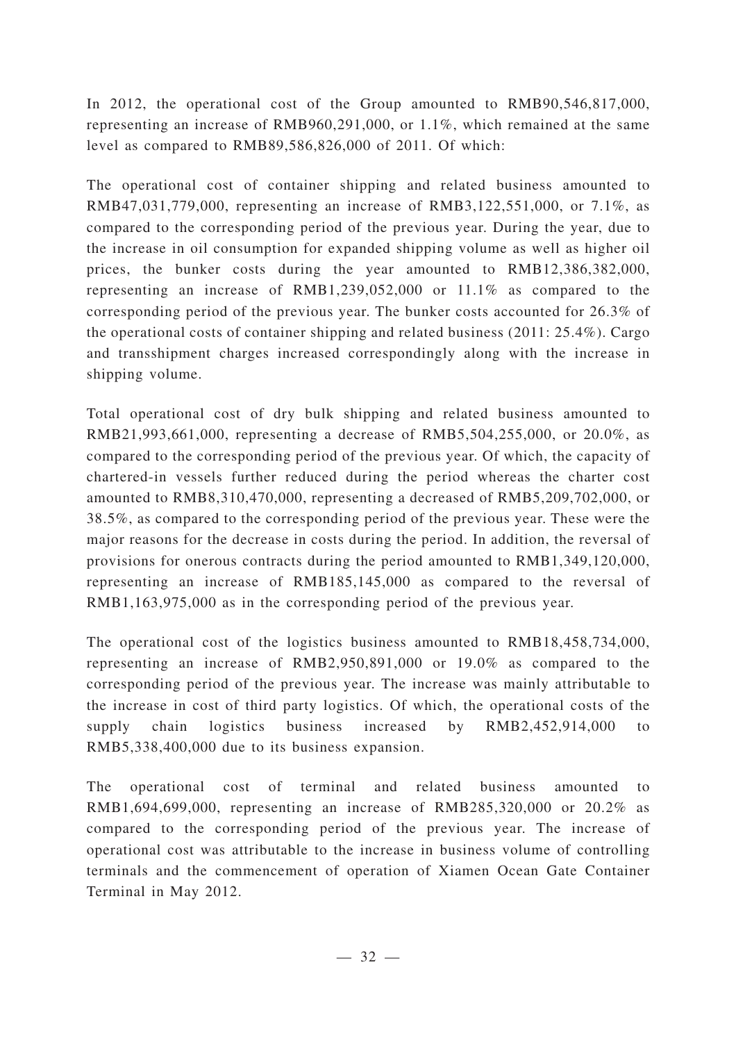In 2012, the operational cost of the Group amounted to RMB90,546,817,000, representing an increase of RMB960,291,000, or 1.1%, which remained at the same level as compared to RMB89,586,826,000 of 2011. Of which:

The operational cost of container shipping and related business amounted to RMB47,031,779,000, representing an increase of RMB3,122,551,000, or 7.1%, as compared to the corresponding period of the previous year. During the year, due to the increase in oil consumption for expanded shipping volume as well as higher oil prices, the bunker costs during the year amounted to RMB12,386,382,000, representing an increase of RMB1,239,052,000 or 11.1% as compared to the corresponding period of the previous year. The bunker costs accounted for 26.3% of the operational costs of container shipping and related business (2011: 25.4%). Cargo and transshipment charges increased correspondingly along with the increase in shipping volume.

Total operational cost of dry bulk shipping and related business amounted to RMB21,993,661,000, representing a decrease of RMB5,504,255,000, or 20.0%, as compared to the corresponding period of the previous year. Of which, the capacity of chartered-in vessels further reduced during the period whereas the charter cost amounted to RMB8,310,470,000, representing a decreased of RMB5,209,702,000, or 38.5%, as compared to the corresponding period of the previous year. These were the major reasons for the decrease in costs during the period. In addition, the reversal of provisions for onerous contracts during the period amounted to RMB1,349,120,000, representing an increase of RMB185,145,000 as compared to the reversal of RMB1,163,975,000 as in the corresponding period of the previous year.

The operational cost of the logistics business amounted to RMB18,458,734,000, representing an increase of RMB2,950,891,000 or 19.0% as compared to the corresponding period of the previous year. The increase was mainly attributable to the increase in cost of third party logistics. Of which, the operational costs of the supply chain logistics business increased by RMB2,452,914,000 to RMB5,338,400,000 due to its business expansion.

The operational cost of terminal and related business amounted to RMB1,694,699,000, representing an increase of RMB285,320,000 or 20.2% as compared to the corresponding period of the previous year. The increase of operational cost was attributable to the increase in business volume of controlling terminals and the commencement of operation of Xiamen Ocean Gate Container Terminal in May 2012.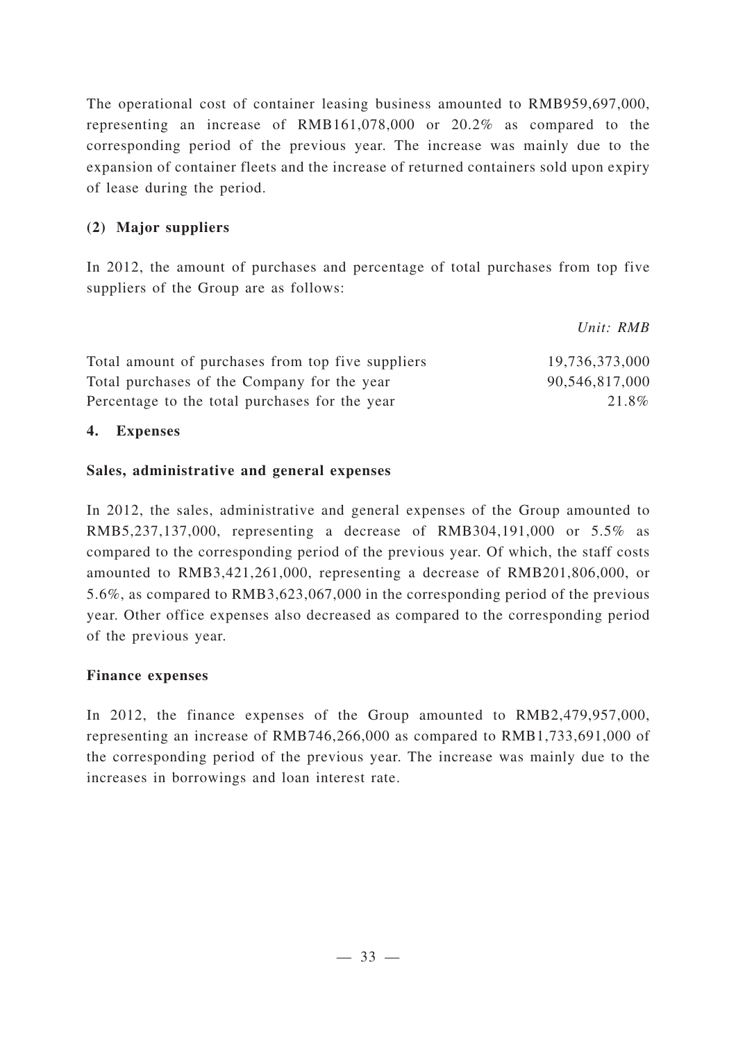The operational cost of container leasing business amounted to RMB959,697,000, representing an increase of RMB161,078,000 or 20.2% as compared to the corresponding period of the previous year. The increase was mainly due to the expansion of container fleets and the increase of returned containers sold upon expiry of lease during the period.

## **(2) Major suppliers**

In 2012, the amount of purchases and percentage of total purchases from top five suppliers of the Group are as follows:

|                                                   | Unit: RMB      |
|---------------------------------------------------|----------------|
| Total amount of purchases from top five suppliers | 19,736,373,000 |
| Total purchases of the Company for the year       | 90,546,817,000 |
| Percentage to the total purchases for the year    | 21.8%          |

## **4. Expenses**

## **Sales, administrative and general expenses**

In 2012, the sales, administrative and general expenses of the Group amounted to RMB5,237,137,000, representing a decrease of RMB304,191,000 or 5.5% as compared to the corresponding period of the previous year. Of which, the staff costs amounted to RMB3,421,261,000, representing a decrease of RMB201,806,000, or 5.6%, as compared to RMB3,623,067,000 in the corresponding period of the previous year. Other office expenses also decreased as compared to the corresponding period of the previous year.

### **Finance expenses**

In 2012, the finance expenses of the Group amounted to RMB2,479,957,000, representing an increase of RMB746,266,000 as compared to RMB1,733,691,000 of the corresponding period of the previous year. The increase was mainly due to the increases in borrowings and loan interest rate.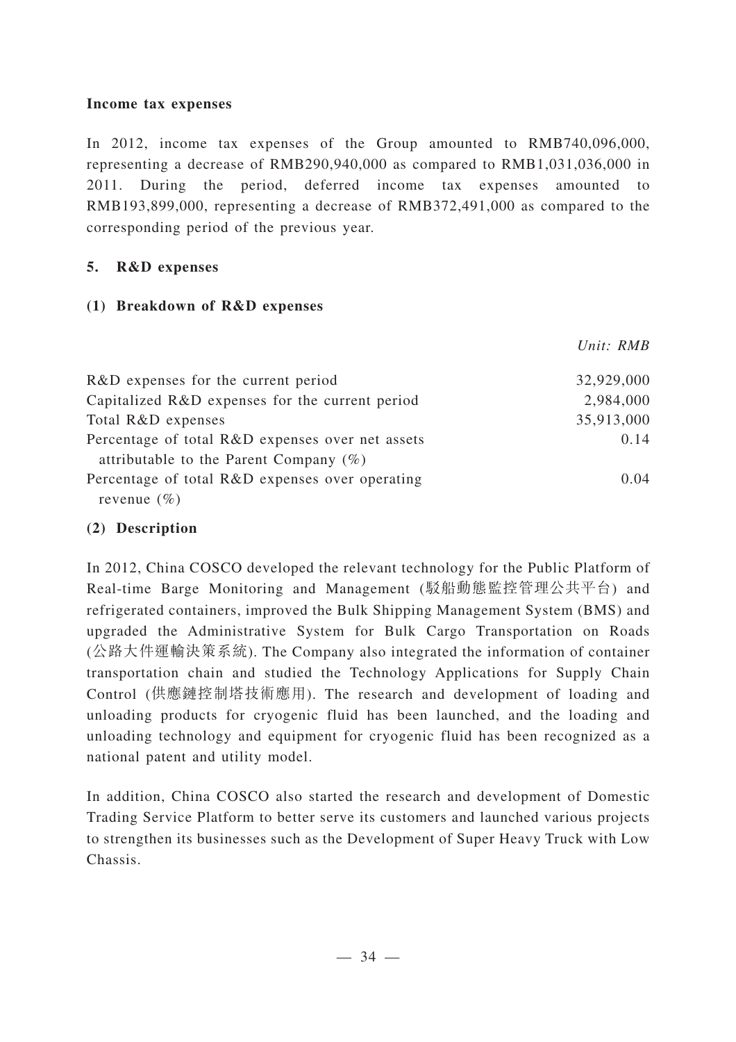#### **Income tax expenses**

In 2012, income tax expenses of the Group amounted to RMB740,096,000, representing a decrease of RMB290,940,000 as compared to RMB1,031,036,000 in 2011. During the period, deferred income tax expenses amounted to RMB193,899,000, representing a decrease of RMB372,491,000 as compared to the corresponding period of the previous year.

## **5. R&D expenses**

## **(1) Breakdown of R&D expenses**

|                                                  | Unit: RMB  |
|--------------------------------------------------|------------|
| R&D expenses for the current period              | 32,929,000 |
| Capitalized R&D expenses for the current period  | 2,984,000  |
| Total R&D expenses                               | 35,913,000 |
| Percentage of total R&D expenses over net assets | 0.14       |
| attributable to the Parent Company $(\%)$        |            |
| Percentage of total R&D expenses over operating  | 0.04       |
| revenue $(\% )$                                  |            |

## **(2) Description**

In 2012, China COSCO developed the relevant technology for the Public Platform of Real-time Barge Monitoring and Management (駁船動態監控管理公共平台) and refrigerated containers, improved the Bulk Shipping Management System (BMS) and upgraded the Administrative System for Bulk Cargo Transportation on Roads (公路大件運輸決策系統). The Company also integrated the information of container transportation chain and studied the Technology Applications for Supply Chain Control (供應鏈控制塔技術應用). The research and development of loading and unloading products for cryogenic fluid has been launched, and the loading and unloading technology and equipment for cryogenic fluid has been recognized as a national patent and utility model.

In addition, China COSCO also started the research and development of Domestic Trading Service Platform to better serve its customers and launched various projects to strengthen its businesses such as the Development of Super Heavy Truck with Low Chassis.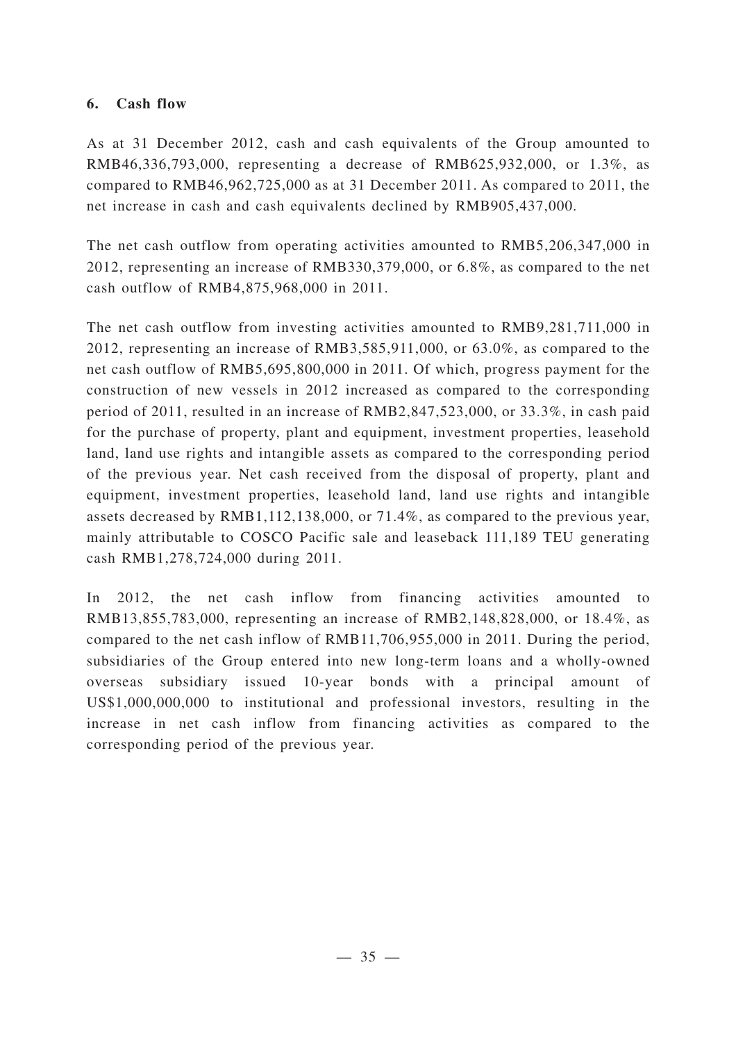## **6. Cash flow**

As at 31 December 2012, cash and cash equivalents of the Group amounted to RMB46,336,793,000, representing a decrease of RMB625,932,000, or 1.3%, as compared to RMB46,962,725,000 as at 31 December 2011. As compared to 2011, the net increase in cash and cash equivalents declined by RMB905,437,000.

The net cash outflow from operating activities amounted to RMB5,206,347,000 in 2012, representing an increase of RMB330,379,000, or 6.8%, as compared to the net cash outflow of RMB4,875,968,000 in 2011.

The net cash outflow from investing activities amounted to RMB9,281,711,000 in 2012, representing an increase of RMB3,585,911,000, or 63.0%, as compared to the net cash outflow of RMB5,695,800,000 in 2011. Of which, progress payment for the construction of new vessels in 2012 increased as compared to the corresponding period of 2011, resulted in an increase of RMB2,847,523,000, or 33.3%, in cash paid for the purchase of property, plant and equipment, investment properties, leasehold land, land use rights and intangible assets as compared to the corresponding period of the previous year. Net cash received from the disposal of property, plant and equipment, investment properties, leasehold land, land use rights and intangible assets decreased by RMB1,112,138,000, or 71.4%, as compared to the previous year, mainly attributable to COSCO Pacific sale and leaseback 111,189 TEU generating cash RMB1,278,724,000 during 2011.

In 2012, the net cash inflow from financing activities amounted to RMB13,855,783,000, representing an increase of RMB2,148,828,000, or 18.4%, as compared to the net cash inflow of RMB11,706,955,000 in 2011. During the period, subsidiaries of the Group entered into new long-term loans and a wholly-owned overseas subsidiary issued 10-year bonds with a principal amount of US\$1,000,000,000 to institutional and professional investors, resulting in the increase in net cash inflow from financing activities as compared to the corresponding period of the previous year.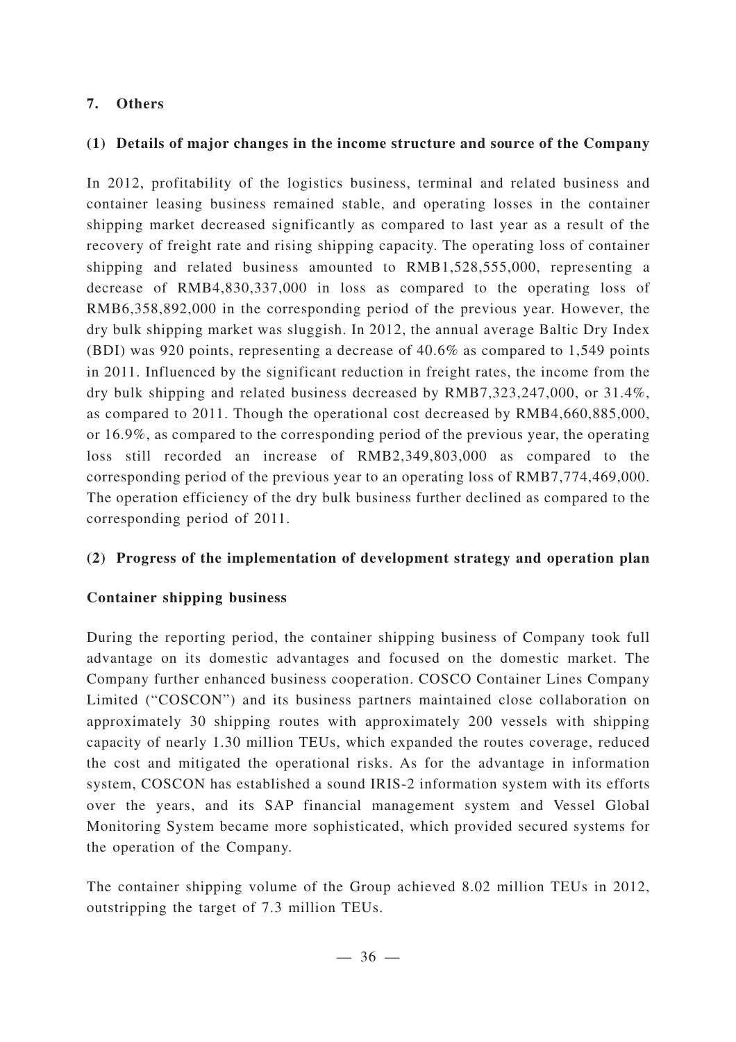## **7. Others**

## **(1) Details of major changes in the income structure and source of the Company**

In 2012, profitability of the logistics business, terminal and related business and container leasing business remained stable, and operating losses in the container shipping market decreased significantly as compared to last year as a result of the recovery of freight rate and rising shipping capacity. The operating loss of container shipping and related business amounted to RMB1,528,555,000, representing a decrease of RMB4,830,337,000 in loss as compared to the operating loss of RMB6,358,892,000 in the corresponding period of the previous year. However, the dry bulk shipping market was sluggish. In 2012, the annual average Baltic Dry Index (BDI) was 920 points, representing a decrease of 40.6% as compared to 1,549 points in 2011. Influenced by the significant reduction in freight rates, the income from the dry bulk shipping and related business decreased by RMB7,323,247,000, or 31.4%, as compared to 2011. Though the operational cost decreased by RMB4,660,885,000, or 16.9%, as compared to the corresponding period of the previous year, the operating loss still recorded an increase of RMB2,349,803,000 as compared to the corresponding period of the previous year to an operating loss of RMB7,774,469,000. The operation efficiency of the dry bulk business further declined as compared to the corresponding period of 2011.

## **(2) Progress of the implementation of development strategy and operation plan**

## **Container shipping business**

During the reporting period, the container shipping business of Company took full advantage on its domestic advantages and focused on the domestic market. The Company further enhanced business cooperation. COSCO Container Lines Company Limited ("COSCON") and its business partners maintained close collaboration on approximately 30 shipping routes with approximately 200 vessels with shipping capacity of nearly 1.30 million TEUs, which expanded the routes coverage, reduced the cost and mitigated the operational risks. As for the advantage in information system, COSCON has established a sound IRIS-2 information system with its efforts over the years, and its SAP financial management system and Vessel Global Monitoring System became more sophisticated, which provided secured systems for the operation of the Company.

The container shipping volume of the Group achieved 8.02 million TEUs in 2012, outstripping the target of 7.3 million TEUs.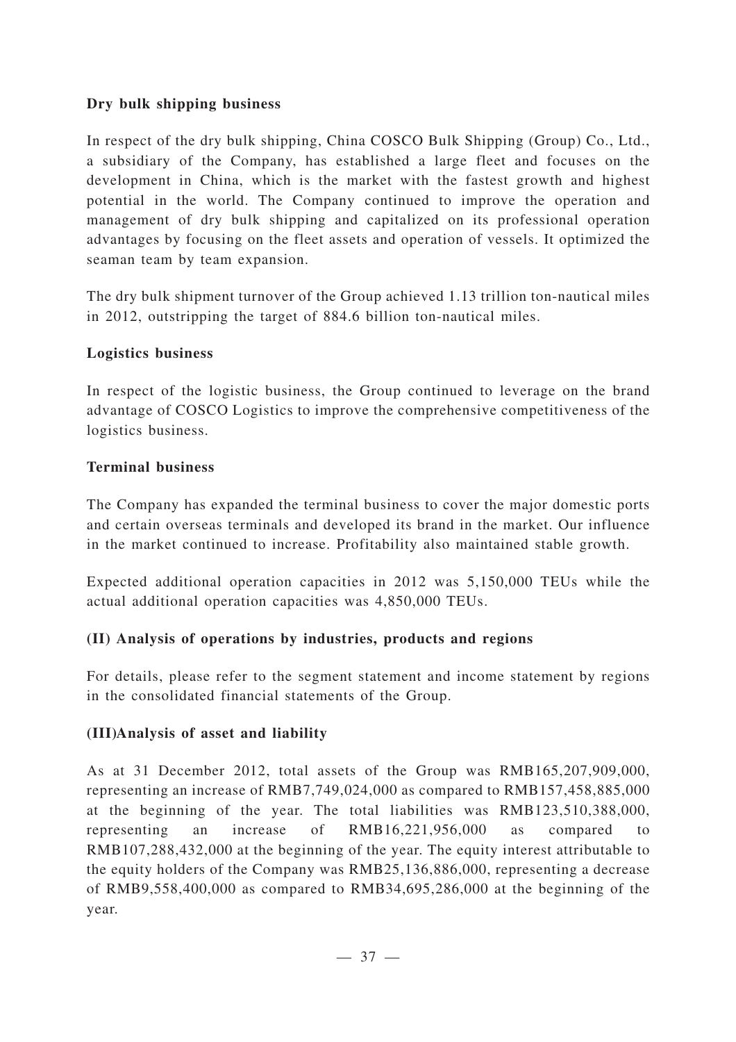## **Dry bulk shipping business**

In respect of the dry bulk shipping, China COSCO Bulk Shipping (Group) Co., Ltd., a subsidiary of the Company, has established a large fleet and focuses on the development in China, which is the market with the fastest growth and highest potential in the world. The Company continued to improve the operation and management of dry bulk shipping and capitalized on its professional operation advantages by focusing on the fleet assets and operation of vessels. It optimized the seaman team by team expansion.

The dry bulk shipment turnover of the Group achieved 1.13 trillion ton-nautical miles in 2012, outstripping the target of 884.6 billion ton-nautical miles.

### **Logistics business**

In respect of the logistic business, the Group continued to leverage on the brand advantage of COSCO Logistics to improve the comprehensive competitiveness of the logistics business.

## **Terminal business**

The Company has expanded the terminal business to cover the major domestic ports and certain overseas terminals and developed its brand in the market. Our influence in the market continued to increase. Profitability also maintained stable growth.

Expected additional operation capacities in 2012 was 5,150,000 TEUs while the actual additional operation capacities was 4,850,000 TEUs.

## **(II) Analysis of operations by industries, products and regions**

For details, please refer to the segment statement and income statement by regions in the consolidated financial statements of the Group.

## **(III)Analysis of asset and liability**

As at 31 December 2012, total assets of the Group was RMB165,207,909,000, representing an increase of RMB7,749,024,000 as compared to RMB157,458,885,000 at the beginning of the year. The total liabilities was RMB123,510,388,000, representing an increase of RMB16,221,956,000 as compared to RMB107,288,432,000 at the beginning of the year. The equity interest attributable to the equity holders of the Company was RMB25,136,886,000, representing a decrease of RMB9,558,400,000 as compared to RMB34,695,286,000 at the beginning of the year.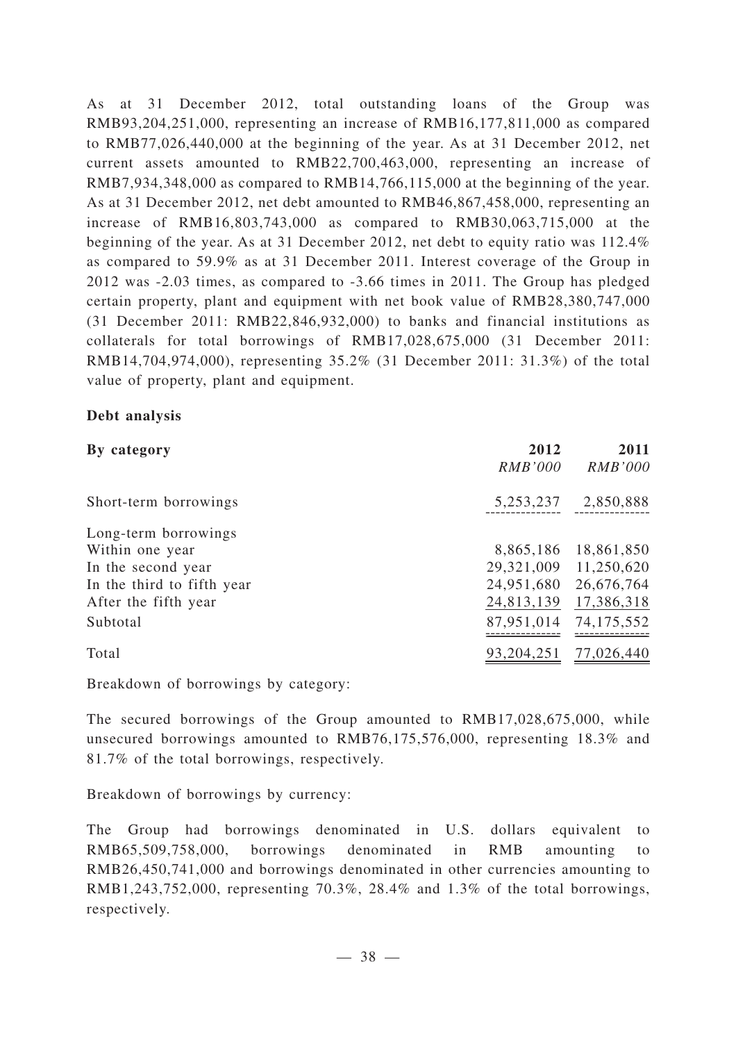As at 31 December 2012, total outstanding loans of the Group was RMB93,204,251,000, representing an increase of RMB16,177,811,000 as compared to RMB77,026,440,000 at the beginning of the year. As at 31 December 2012, net current assets amounted to RMB22,700,463,000, representing an increase of RMB7,934,348,000 as compared to RMB14,766,115,000 at the beginning of the year. As at 31 December 2012, net debt amounted to RMB46,867,458,000, representing an increase of RMB16,803,743,000 as compared to RMB30,063,715,000 at the beginning of the year. As at 31 December 2012, net debt to equity ratio was 112.4% as compared to 59.9% as at 31 December 2011. Interest coverage of the Group in 2012 was -2.03 times, as compared to -3.66 times in 2011. The Group has pledged certain property, plant and equipment with net book value of RMB28,380,747,000 (31 December 2011: RMB22,846,932,000) to banks and financial institutions as collaterals for total borrowings of RMB17,028,675,000 (31 December 2011: RMB14,704,974,000), representing 35.2% (31 December 2011: 31.3%) of the total value of property, plant and equipment.

## **Debt analysis**

| By category                | 2012<br><i>RMB'000</i> | 2011<br><b>RMB'000</b> |
|----------------------------|------------------------|------------------------|
| Short-term borrowings      | 5, 253, 237            | 2,850,888              |
| Long-term borrowings       |                        |                        |
| Within one year            | 8,865,186              | 18,861,850             |
| In the second year         | 29,321,009             | 11,250,620             |
| In the third to fifth year | 24,951,680             | 26,676,764             |
| After the fifth year       | 24,813,139             | 17,386,318             |
| Subtotal                   | 87,951,014             | 74, 175, 552           |
| Total                      | 93, 204, 251           | 77,026,440             |

Breakdown of borrowings by category:

The secured borrowings of the Group amounted to RMB17,028,675,000, while unsecured borrowings amounted to RMB76,175,576,000, representing 18.3% and 81.7% of the total borrowings, respectively.

Breakdown of borrowings by currency:

The Group had borrowings denominated in U.S. dollars equivalent to RMB65,509,758,000, borrowings denominated in RMB amounting to RMB26,450,741,000 and borrowings denominated in other currencies amounting to RMB1,243,752,000, representing 70.3%, 28.4% and 1.3% of the total borrowings, respectively.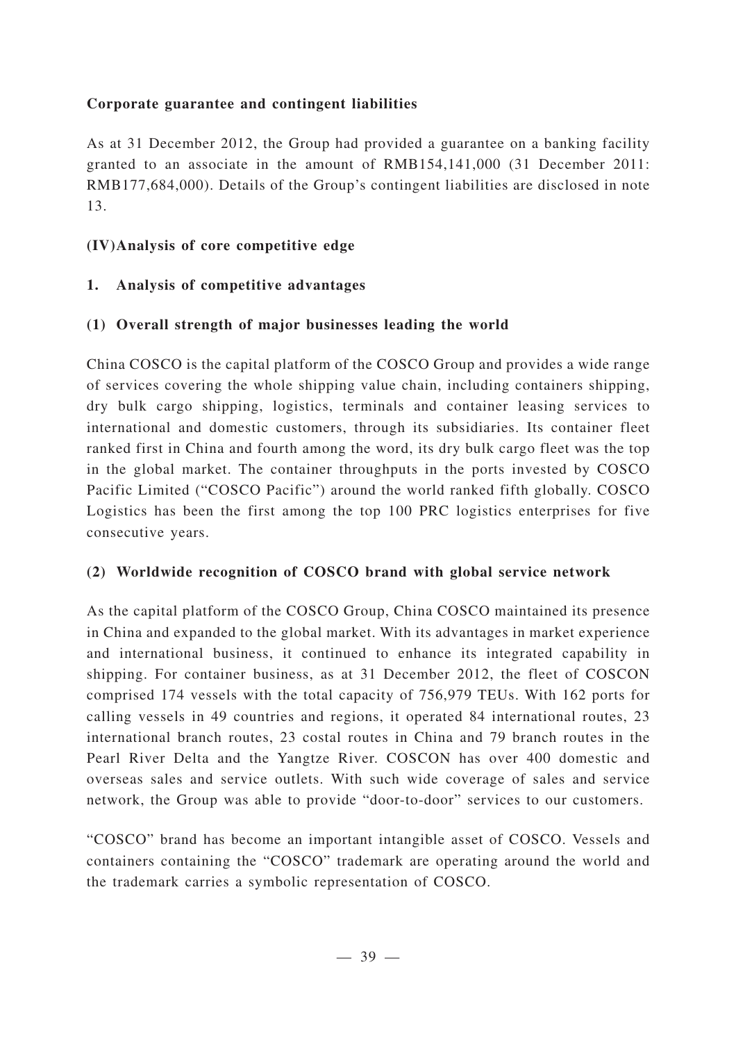## **Corporate guarantee and contingent liabilities**

As at 31 December 2012, the Group had provided a guarantee on a banking facility granted to an associate in the amount of RMB154,141,000 (31 December 2011: RMB177,684,000). Details of the Group's contingent liabilities are disclosed in note 13.

## **(IV)Analysis of core competitive edge**

## **1. Analysis of competitive advantages**

## **(1) Overall strength of major businesses leading the world**

China COSCO is the capital platform of the COSCO Group and provides a wide range of services covering the whole shipping value chain, including containers shipping, dry bulk cargo shipping, logistics, terminals and container leasing services to international and domestic customers, through its subsidiaries. Its container fleet ranked first in China and fourth among the word, its dry bulk cargo fleet was the top in the global market. The container throughputs in the ports invested by COSCO Pacific Limited ("COSCO Pacific") around the world ranked fifth globally. COSCO Logistics has been the first among the top 100 PRC logistics enterprises for five consecutive years.

## **(2) Worldwide recognition of COSCO brand with global service network**

As the capital platform of the COSCO Group, China COSCO maintained its presence in China and expanded to the global market. With its advantages in market experience and international business, it continued to enhance its integrated capability in shipping. For container business, as at 31 December 2012, the fleet of COSCON comprised 174 vessels with the total capacity of 756,979 TEUs. With 162 ports for calling vessels in 49 countries and regions, it operated 84 international routes, 23 international branch routes, 23 costal routes in China and 79 branch routes in the Pearl River Delta and the Yangtze River. COSCON has over 400 domestic and overseas sales and service outlets. With such wide coverage of sales and service network, the Group was able to provide "door-to-door" services to our customers.

"COSCO" brand has become an important intangible asset of COSCO. Vessels and containers containing the "COSCO" trademark are operating around the world and the trademark carries a symbolic representation of COSCO.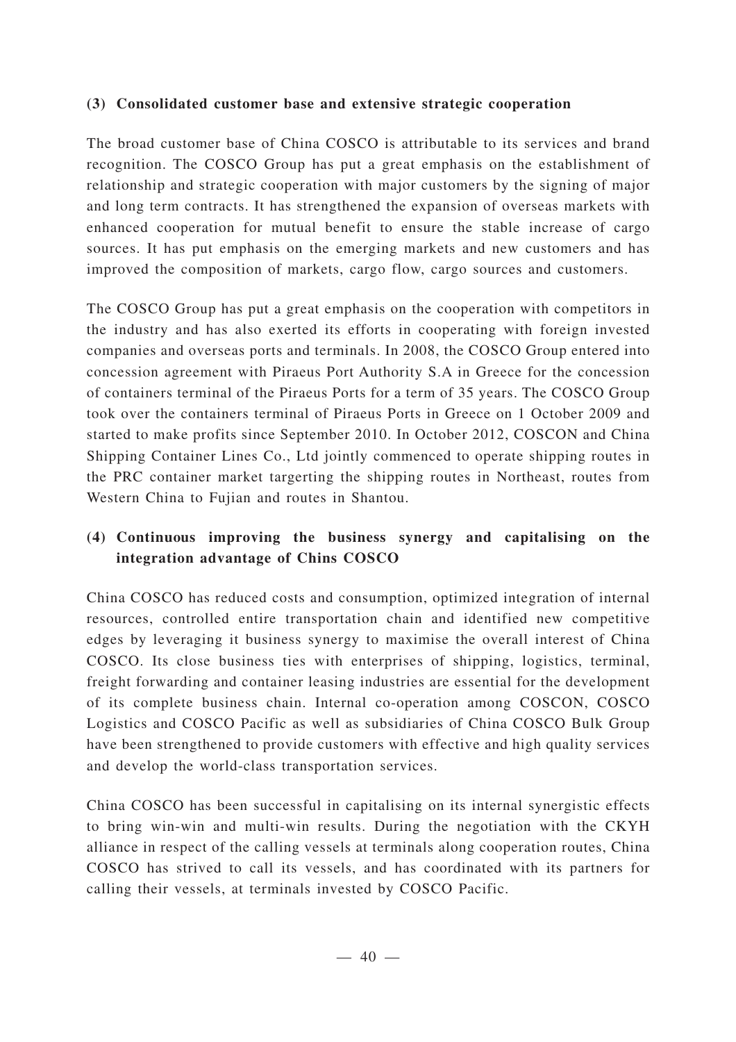## **(3) Consolidated customer base and extensive strategic cooperation**

The broad customer base of China COSCO is attributable to its services and brand recognition. The COSCO Group has put a great emphasis on the establishment of relationship and strategic cooperation with major customers by the signing of major and long term contracts. It has strengthened the expansion of overseas markets with enhanced cooperation for mutual benefit to ensure the stable increase of cargo sources. It has put emphasis on the emerging markets and new customers and has improved the composition of markets, cargo flow, cargo sources and customers.

The COSCO Group has put a great emphasis on the cooperation with competitors in the industry and has also exerted its efforts in cooperating with foreign invested companies and overseas ports and terminals. In 2008, the COSCO Group entered into concession agreement with Piraeus Port Authority S.A in Greece for the concession of containers terminal of the Piraeus Ports for a term of 35 years. The COSCO Group took over the containers terminal of Piraeus Ports in Greece on 1 October 2009 and started to make profits since September 2010. In October 2012, COSCON and China Shipping Container Lines Co., Ltd jointly commenced to operate shipping routes in the PRC container market targerting the shipping routes in Northeast, routes from Western China to Fujian and routes in Shantou.

## **(4) Continuous improving the business synergy and capitalising on the integration advantage of Chins COSCO**

China COSCO has reduced costs and consumption, optimized integration of internal resources, controlled entire transportation chain and identified new competitive edges by leveraging it business synergy to maximise the overall interest of China COSCO. Its close business ties with enterprises of shipping, logistics, terminal, freight forwarding and container leasing industries are essential for the development of its complete business chain. Internal co-operation among COSCON, COSCO Logistics and COSCO Pacific as well as subsidiaries of China COSCO Bulk Group have been strengthened to provide customers with effective and high quality services and develop the world-class transportation services.

China COSCO has been successful in capitalising on its internal synergistic effects to bring win-win and multi-win results. During the negotiation with the CKYH alliance in respect of the calling vessels at terminals along cooperation routes, China COSCO has strived to call its vessels, and has coordinated with its partners for calling their vessels, at terminals invested by COSCO Pacific.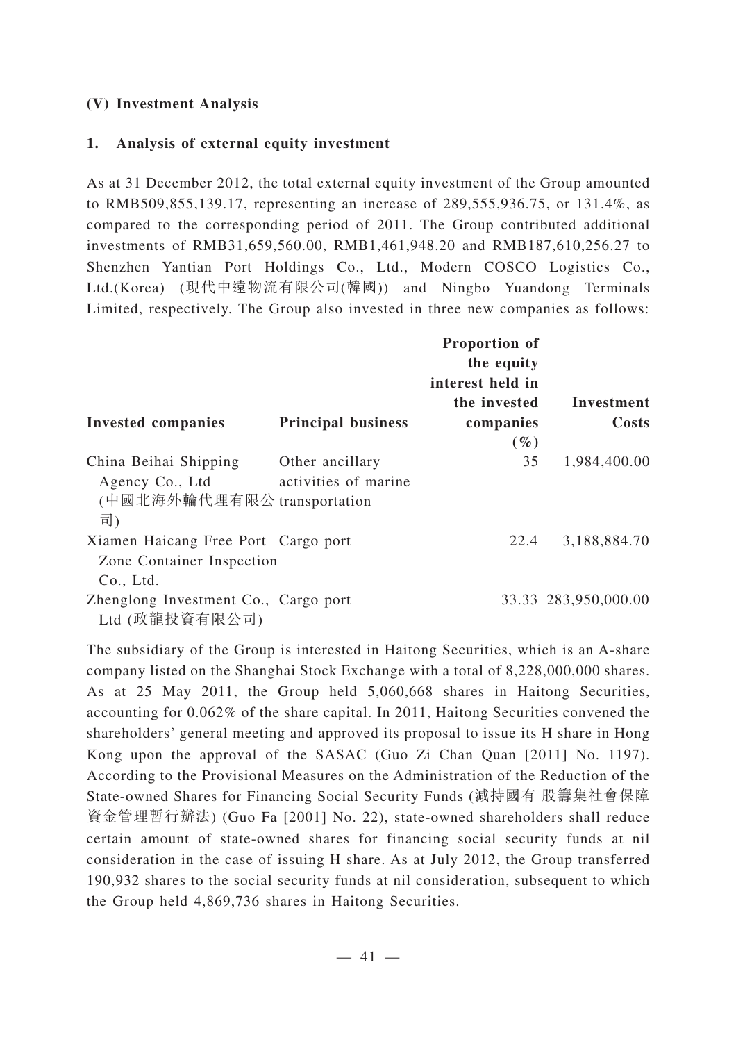### **(V) Investment Analysis**

### **1. Analysis of external equity investment**

As at 31 December 2012, the total external equity investment of the Group amounted to RMB509,855,139.17, representing an increase of 289,555,936.75, or 131.4%, as compared to the corresponding period of 2011. The Group contributed additional investments of RMB31,659,560.00, RMB1,461,948.20 and RMB187,610,256.27 to Shenzhen Yantian Port Holdings Co., Ltd., Modern COSCO Logistics Co., Ltd.(Korea) (現代中遠物流有限公司(韓國)) and Ningbo Yuandong Terminals Limited, respectively. The Group also invested in three new companies as follows:

|                                                                               |                                         | Proportion of<br>the equity<br>interest held in |                      |
|-------------------------------------------------------------------------------|-----------------------------------------|-------------------------------------------------|----------------------|
|                                                                               |                                         | the invested                                    | Investment           |
| <b>Invested companies</b>                                                     | <b>Principal business</b>               | companies                                       | Costs                |
|                                                                               |                                         | $(\%)$                                          |                      |
| China Beihai Shipping<br>Agency Co., Ltd<br>(中國北海外輪代理有限公 transportation<br>司) | Other ancillary<br>activities of marine | 35                                              | 1,984,400.00         |
| Xiamen Haicang Free Port Cargo port<br>Zone Container Inspection<br>Co., Ltd. |                                         | 22.4                                            | 3,188,884.70         |
| Zhenglong Investment Co., Cargo port<br>Ltd (政龍投資有限公司)                        |                                         |                                                 | 33.33 283,950,000.00 |

The subsidiary of the Group is interested in Haitong Securities, which is an A-share company listed on the Shanghai Stock Exchange with a total of 8,228,000,000 shares. As at 25 May 2011, the Group held 5,060,668 shares in Haitong Securities, accounting for 0.062% of the share capital. In 2011, Haitong Securities convened the shareholders' general meeting and approved its proposal to issue its H share in Hong Kong upon the approval of the SASAC (Guo Zi Chan Quan [2011] No. 1197). According to the Provisional Measures on the Administration of the Reduction of the State-owned Shares for Financing Social Security Funds (減持國有 股籌集社會保障 資金管理暫行辦法) (Guo Fa [2001] No. 22), state-owned shareholders shall reduce certain amount of state-owned shares for financing social security funds at nil consideration in the case of issuing H share. As at July 2012, the Group transferred 190,932 shares to the social security funds at nil consideration, subsequent to which the Group held 4,869,736 shares in Haitong Securities.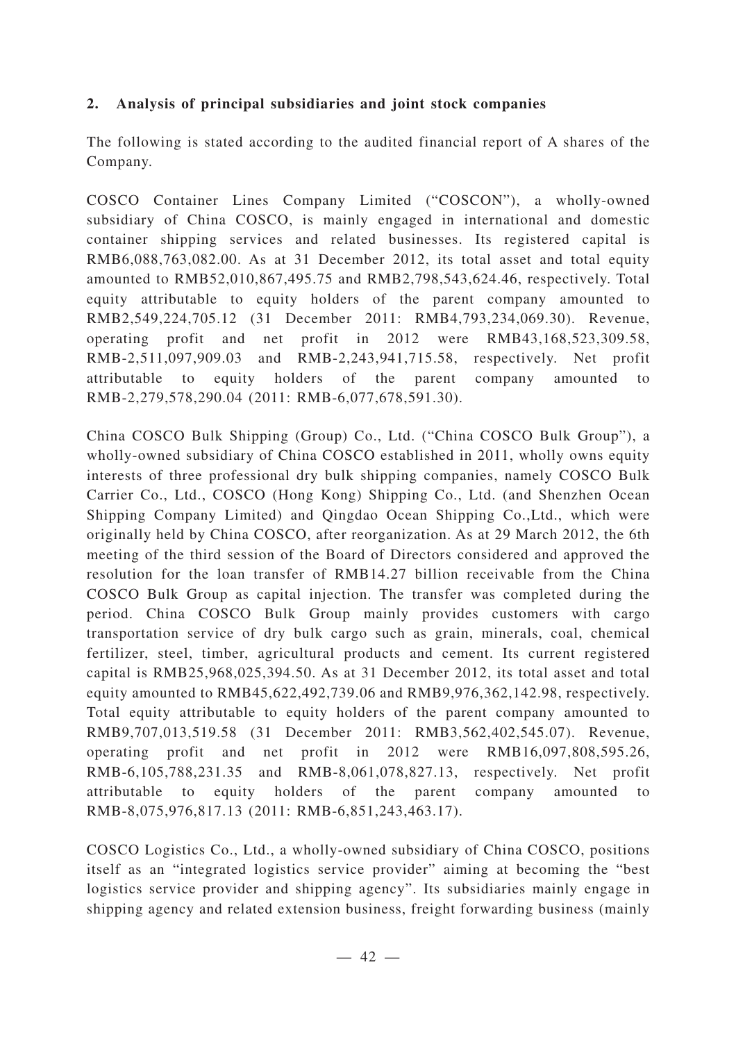## **2. Analysis of principal subsidiaries and joint stock companies**

The following is stated according to the audited financial report of A shares of the Company.

COSCO Container Lines Company Limited ("COSCON"), a wholly-owned subsidiary of China COSCO, is mainly engaged in international and domestic container shipping services and related businesses. Its registered capital is RMB6,088,763,082.00. As at 31 December 2012, its total asset and total equity amounted to RMB52,010,867,495.75 and RMB2,798,543,624.46, respectively. Total equity attributable to equity holders of the parent company amounted to RMB2,549,224,705.12 (31 December 2011: RMB4,793,234,069.30). Revenue, operating profit and net profit in 2012 were RMB43,168,523,309.58, RMB-2,511,097,909.03 and RMB-2,243,941,715.58, respectively. Net profit attributable to equity holders of the parent company amounted to RMB-2,279,578,290.04 (2011: RMB-6,077,678,591.30).

China COSCO Bulk Shipping (Group) Co., Ltd. ("China COSCO Bulk Group"), a wholly-owned subsidiary of China COSCO established in 2011, wholly owns equity interests of three professional dry bulk shipping companies, namely COSCO Bulk Carrier Co., Ltd., COSCO (Hong Kong) Shipping Co., Ltd. (and Shenzhen Ocean Shipping Company Limited) and Qingdao Ocean Shipping Co.,Ltd., which were originally held by China COSCO, after reorganization. As at 29 March 2012, the 6th meeting of the third session of the Board of Directors considered and approved the resolution for the loan transfer of RMB14.27 billion receivable from the China COSCO Bulk Group as capital injection. The transfer was completed during the period. China COSCO Bulk Group mainly provides customers with cargo transportation service of dry bulk cargo such as grain, minerals, coal, chemical fertilizer, steel, timber, agricultural products and cement. Its current registered capital is RMB25,968,025,394.50. As at 31 December 2012, its total asset and total equity amounted to RMB45,622,492,739.06 and RMB9,976,362,142.98, respectively. Total equity attributable to equity holders of the parent company amounted to RMB9,707,013,519.58 (31 December 2011: RMB3,562,402,545.07). Revenue, operating profit and net profit in 2012 were RMB16,097,808,595.26, RMB-6,105,788,231.35 and RMB-8,061,078,827.13, respectively. Net profit attributable to equity holders of the parent company amounted to RMB-8,075,976,817.13 (2011: RMB-6,851,243,463.17).

COSCO Logistics Co., Ltd., a wholly-owned subsidiary of China COSCO, positions itself as an "integrated logistics service provider" aiming at becoming the "best logistics service provider and shipping agency". Its subsidiaries mainly engage in shipping agency and related extension business, freight forwarding business (mainly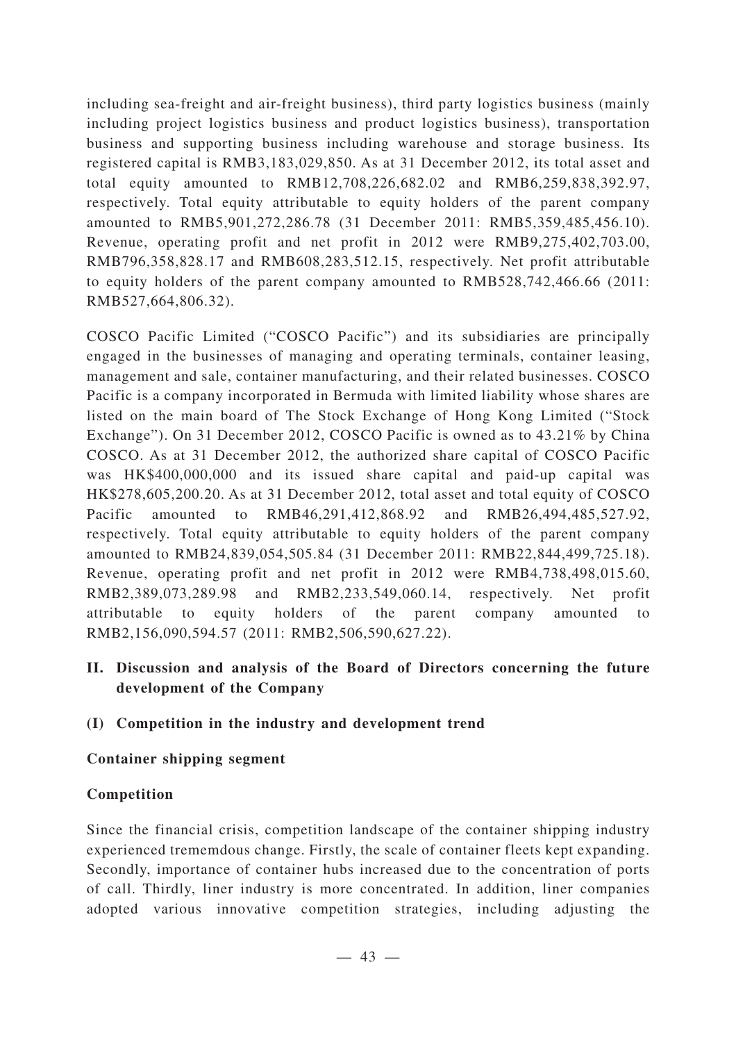including sea-freight and air-freight business), third party logistics business (mainly including project logistics business and product logistics business), transportation business and supporting business including warehouse and storage business. Its registered capital is RMB3,183,029,850. As at 31 December 2012, its total asset and total equity amounted to RMB12,708,226,682.02 and RMB6,259,838,392.97, respectively. Total equity attributable to equity holders of the parent company amounted to RMB5,901,272,286.78 (31 December 2011: RMB5,359,485,456.10). Revenue, operating profit and net profit in 2012 were RMB9,275,402,703.00, RMB796,358,828.17 and RMB608,283,512.15, respectively. Net profit attributable to equity holders of the parent company amounted to RMB528,742,466.66 (2011: RMB527,664,806.32).

COSCO Pacific Limited ("COSCO Pacific") and its subsidiaries are principally engaged in the businesses of managing and operating terminals, container leasing, management and sale, container manufacturing, and their related businesses. COSCO Pacific is a company incorporated in Bermuda with limited liability whose shares are listed on the main board of The Stock Exchange of Hong Kong Limited ("Stock Exchange"). On 31 December 2012, COSCO Pacific is owned as to 43.21% by China COSCO. As at 31 December 2012, the authorized share capital of COSCO Pacific was HK\$400,000,000 and its issued share capital and paid-up capital was HK\$278,605,200.20. As at 31 December 2012, total asset and total equity of COSCO Pacific amounted to RMB46,291,412,868.92 and RMB26,494,485,527.92, respectively. Total equity attributable to equity holders of the parent company amounted to RMB24,839,054,505.84 (31 December 2011: RMB22,844,499,725.18). Revenue, operating profit and net profit in 2012 were RMB4,738,498,015.60, RMB2,389,073,289.98 and RMB2,233,549,060.14, respectively. Net profit attributable to equity holders of the parent company amounted to RMB2,156,090,594.57 (2011: RMB2,506,590,627.22).

- **II. Discussion and analysis of the Board of Directors concerning the future development of the Company**
- **(I) Competition in the industry and development trend**

## **Container shipping segment**

## **Competition**

Since the financial crisis, competition landscape of the container shipping industry experienced trememdous change. Firstly, the scale of container fleets kept expanding. Secondly, importance of container hubs increased due to the concentration of ports of call. Thirdly, liner industry is more concentrated. In addition, liner companies adopted various innovative competition strategies, including adjusting the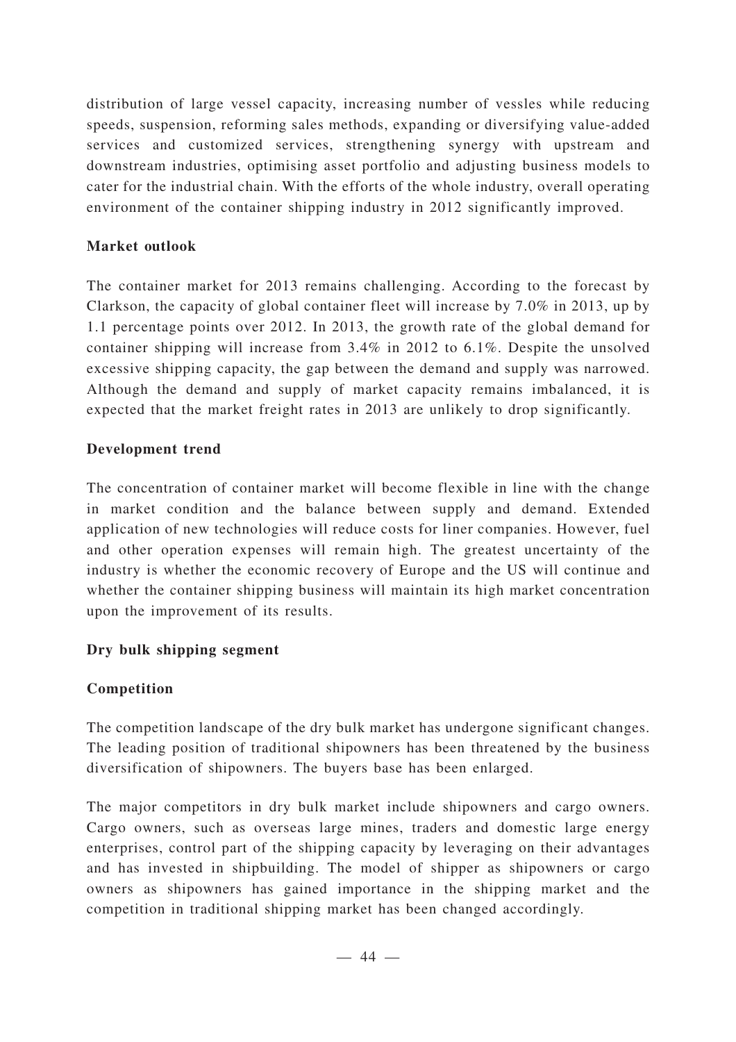distribution of large vessel capacity, increasing number of vessles while reducing speeds, suspension, reforming sales methods, expanding or diversifying value-added services and customized services, strengthening synergy with upstream and downstream industries, optimising asset portfolio and adjusting business models to cater for the industrial chain. With the efforts of the whole industry, overall operating environment of the container shipping industry in 2012 significantly improved.

## **Market outlook**

The container market for 2013 remains challenging. According to the forecast by Clarkson, the capacity of global container fleet will increase by 7.0% in 2013, up by 1.1 percentage points over 2012. In 2013, the growth rate of the global demand for container shipping will increase from 3.4% in 2012 to 6.1%. Despite the unsolved excessive shipping capacity, the gap between the demand and supply was narrowed. Although the demand and supply of market capacity remains imbalanced, it is expected that the market freight rates in 2013 are unlikely to drop significantly.

## **Development trend**

The concentration of container market will become flexible in line with the change in market condition and the balance between supply and demand. Extended application of new technologies will reduce costs for liner companies. However, fuel and other operation expenses will remain high. The greatest uncertainty of the industry is whether the economic recovery of Europe and the US will continue and whether the container shipping business will maintain its high market concentration upon the improvement of its results.

## **Dry bulk shipping segment**

## **Competition**

The competition landscape of the dry bulk market has undergone significant changes. The leading position of traditional shipowners has been threatened by the business diversification of shipowners. The buyers base has been enlarged.

The major competitors in dry bulk market include shipowners and cargo owners. Cargo owners, such as overseas large mines, traders and domestic large energy enterprises, control part of the shipping capacity by leveraging on their advantages and has invested in shipbuilding. The model of shipper as shipowners or cargo owners as shipowners has gained importance in the shipping market and the competition in traditional shipping market has been changed accordingly.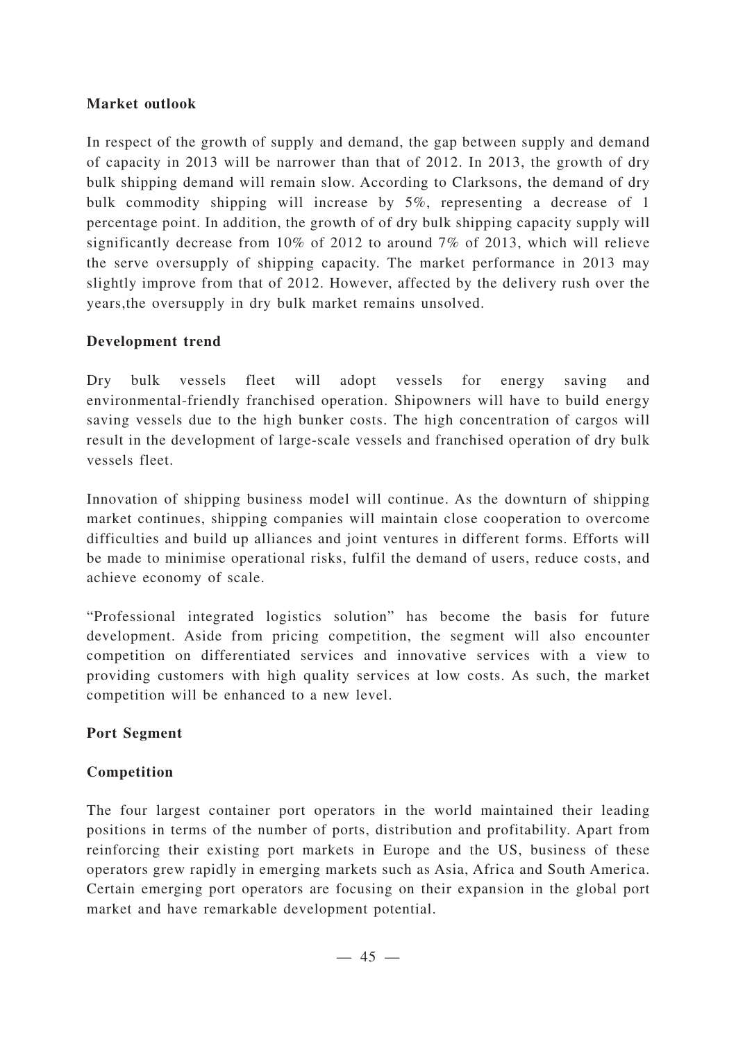### **Market outlook**

In respect of the growth of supply and demand, the gap between supply and demand of capacity in 2013 will be narrower than that of 2012. In 2013, the growth of dry bulk shipping demand will remain slow. According to Clarksons, the demand of dry bulk commodity shipping will increase by 5%, representing a decrease of 1 percentage point. In addition, the growth of of dry bulk shipping capacity supply will significantly decrease from 10% of 2012 to around 7% of 2013, which will relieve the serve oversupply of shipping capacity. The market performance in 2013 may slightly improve from that of 2012. However, affected by the delivery rush over the years,the oversupply in dry bulk market remains unsolved.

## **Development trend**

Dry bulk vessels fleet will adopt vessels for energy saving and environmental-friendly franchised operation. Shipowners will have to build energy saving vessels due to the high bunker costs. The high concentration of cargos will result in the development of large-scale vessels and franchised operation of dry bulk vessels fleet.

Innovation of shipping business model will continue. As the downturn of shipping market continues, shipping companies will maintain close cooperation to overcome difficulties and build up alliances and joint ventures in different forms. Efforts will be made to minimise operational risks, fulfil the demand of users, reduce costs, and achieve economy of scale.

"Professional integrated logistics solution" has become the basis for future development. Aside from pricing competition, the segment will also encounter competition on differentiated services and innovative services with a view to providing customers with high quality services at low costs. As such, the market competition will be enhanced to a new level.

## **Port Segment**

## **Competition**

The four largest container port operators in the world maintained their leading positions in terms of the number of ports, distribution and profitability. Apart from reinforcing their existing port markets in Europe and the US, business of these operators grew rapidly in emerging markets such as Asia, Africa and South America. Certain emerging port operators are focusing on their expansion in the global port market and have remarkable development potential.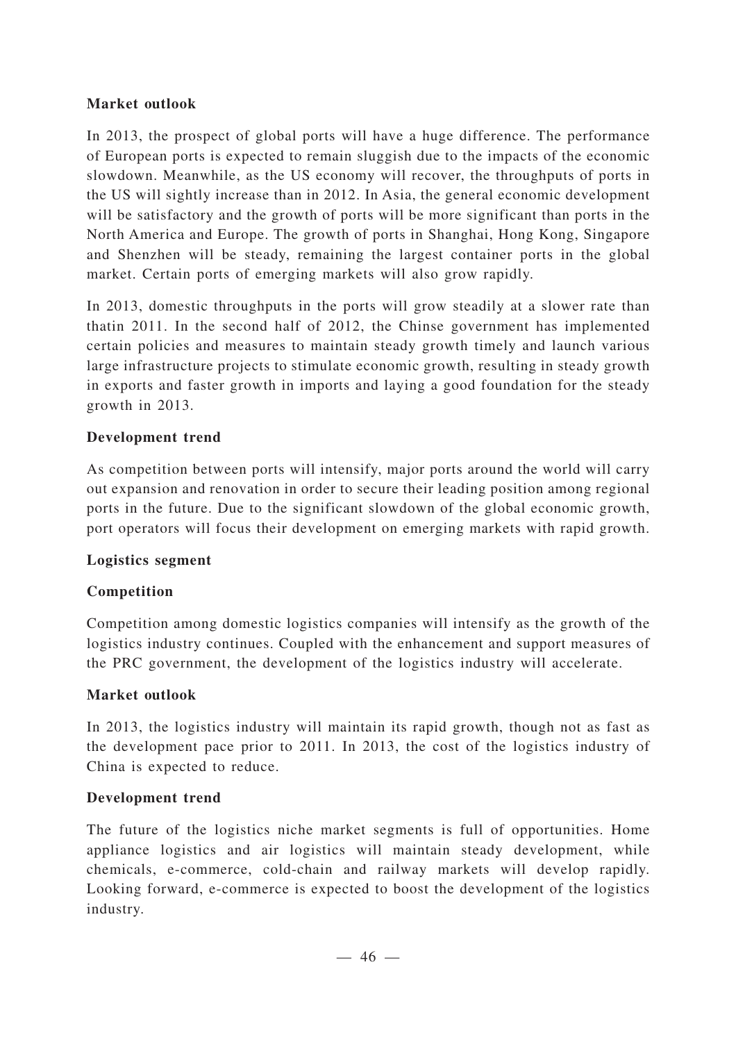## **Market outlook**

In 2013, the prospect of global ports will have a huge difference. The performance of European ports is expected to remain sluggish due to the impacts of the economic slowdown. Meanwhile, as the US economy will recover, the throughputs of ports in the US will sightly increase than in 2012. In Asia, the general economic development will be satisfactory and the growth of ports will be more significant than ports in the North America and Europe. The growth of ports in Shanghai, Hong Kong, Singapore and Shenzhen will be steady, remaining the largest container ports in the global market. Certain ports of emerging markets will also grow rapidly.

In 2013, domestic throughputs in the ports will grow steadily at a slower rate than thatin 2011. In the second half of 2012, the Chinse government has implemented certain policies and measures to maintain steady growth timely and launch various large infrastructure projects to stimulate economic growth, resulting in steady growth in exports and faster growth in imports and laying a good foundation for the steady growth in 2013.

## **Development trend**

As competition between ports will intensify, major ports around the world will carry out expansion and renovation in order to secure their leading position among regional ports in the future. Due to the significant slowdown of the global economic growth, port operators will focus their development on emerging markets with rapid growth.

## **Logistics segment**

## **Competition**

Competition among domestic logistics companies will intensify as the growth of the logistics industry continues. Coupled with the enhancement and support measures of the PRC government, the development of the logistics industry will accelerate.

### **Market outlook**

In 2013, the logistics industry will maintain its rapid growth, though not as fast as the development pace prior to 2011. In 2013, the cost of the logistics industry of China is expected to reduce.

### **Development trend**

The future of the logistics niche market segments is full of opportunities. Home appliance logistics and air logistics will maintain steady development, while chemicals, e-commerce, cold-chain and railway markets will develop rapidly. Looking forward, e-commerce is expected to boost the development of the logistics industry.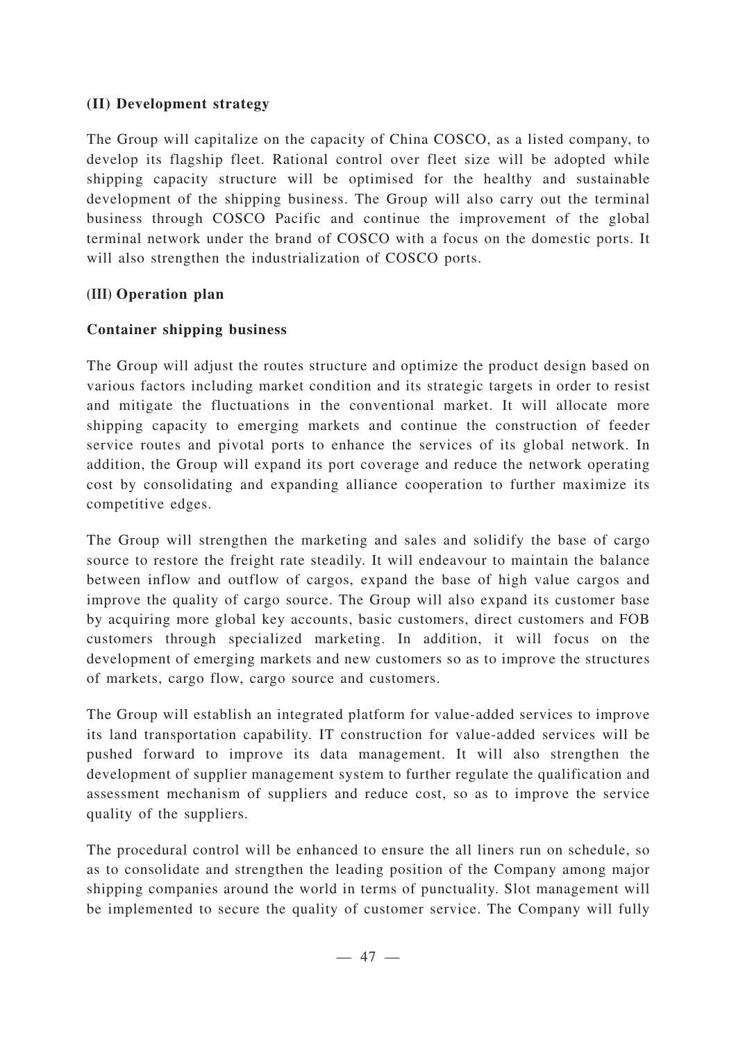## **(II) Development strategy**

The Group will capitalize on the capacity of China COSCO, as a listed company, to develop its flagship fleet. Rational control over fleet size will be adopted while shipping capacity structure will be optimised for the healthy and sustainable development of the shipping business. The Group will also carry out the terminal business through COSCO Pacific and continue the improvement of the global terminal network under the brand of COSCO with a focus on the domestic ports. It will also strengthen the industrialization of COSCO ports.

## **(III) Operation plan**

## **Container shipping business**

The Group will adjust the routes structure and optimize the product design based on various factors including market condition and its strategic targets in order to resist and mitigate the fluctuations in the conventional market. It will allocate more shipping capacity to emerging markets and continue the construction of feeder service routes and pivotal ports to enhance the services of its global network. In addition, the Group will expand its port coverage and reduce the network operating cost by consolidating and expanding alliance cooperation to further maximize its competitive edges.

The Group will strengthen the marketing and sales and solidify the base of cargo source to restore the freight rate steadily. It will endeavour to maintain the balance between inflow and outflow of cargos, expand the base of high value cargos and improve the quality of cargo source. The Group will also expand its customer base by acquiring more global key accounts, basic customers, direct customers and FOB customers through specialized marketing. In addition, it will focus on the development of emerging markets and new customers so as to improve the structures of markets, cargo flow, cargo source and customers.

The Group will establish an integrated platform for value-added services to improve its land transportation capability. IT construction for value-added services will be pushed forward to improve its data management. It will also strengthen the development of supplier management system to further regulate the qualification and assessment mechanism of suppliers and reduce cost, so as to improve the service quality of the suppliers.

The procedural control will be enhanced to ensure the all liners run on schedule, so as to consolidate and strengthen the leading position of the Company among major shipping companies around the world in terms of punctuality. Slot management will be implemented to secure the quality of customer service. The Company will fully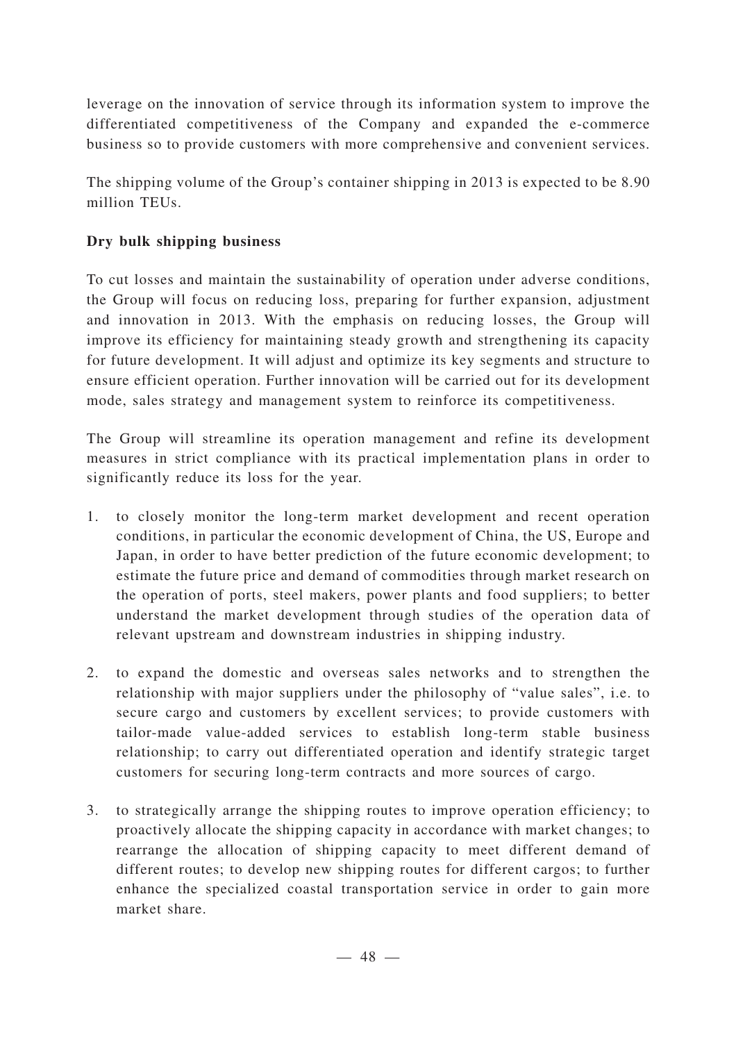leverage on the innovation of service through its information system to improve the differentiated competitiveness of the Company and expanded the e-commerce business so to provide customers with more comprehensive and convenient services.

The shipping volume of the Group's container shipping in 2013 is expected to be 8.90 million TEUs.

## **Dry bulk shipping business**

To cut losses and maintain the sustainability of operation under adverse conditions, the Group will focus on reducing loss, preparing for further expansion, adjustment and innovation in 2013. With the emphasis on reducing losses, the Group will improve its efficiency for maintaining steady growth and strengthening its capacity for future development. It will adjust and optimize its key segments and structure to ensure efficient operation. Further innovation will be carried out for its development mode, sales strategy and management system to reinforce its competitiveness.

The Group will streamline its operation management and refine its development measures in strict compliance with its practical implementation plans in order to significantly reduce its loss for the year.

- 1. to closely monitor the long-term market development and recent operation conditions, in particular the economic development of China, the US, Europe and Japan, in order to have better prediction of the future economic development; to estimate the future price and demand of commodities through market research on the operation of ports, steel makers, power plants and food suppliers; to better understand the market development through studies of the operation data of relevant upstream and downstream industries in shipping industry.
- 2. to expand the domestic and overseas sales networks and to strengthen the relationship with major suppliers under the philosophy of "value sales", i.e. to secure cargo and customers by excellent services; to provide customers with tailor-made value-added services to establish long-term stable business relationship; to carry out differentiated operation and identify strategic target customers for securing long-term contracts and more sources of cargo.
- 3. to strategically arrange the shipping routes to improve operation efficiency; to proactively allocate the shipping capacity in accordance with market changes; to rearrange the allocation of shipping capacity to meet different demand of different routes; to develop new shipping routes for different cargos; to further enhance the specialized coastal transportation service in order to gain more market share.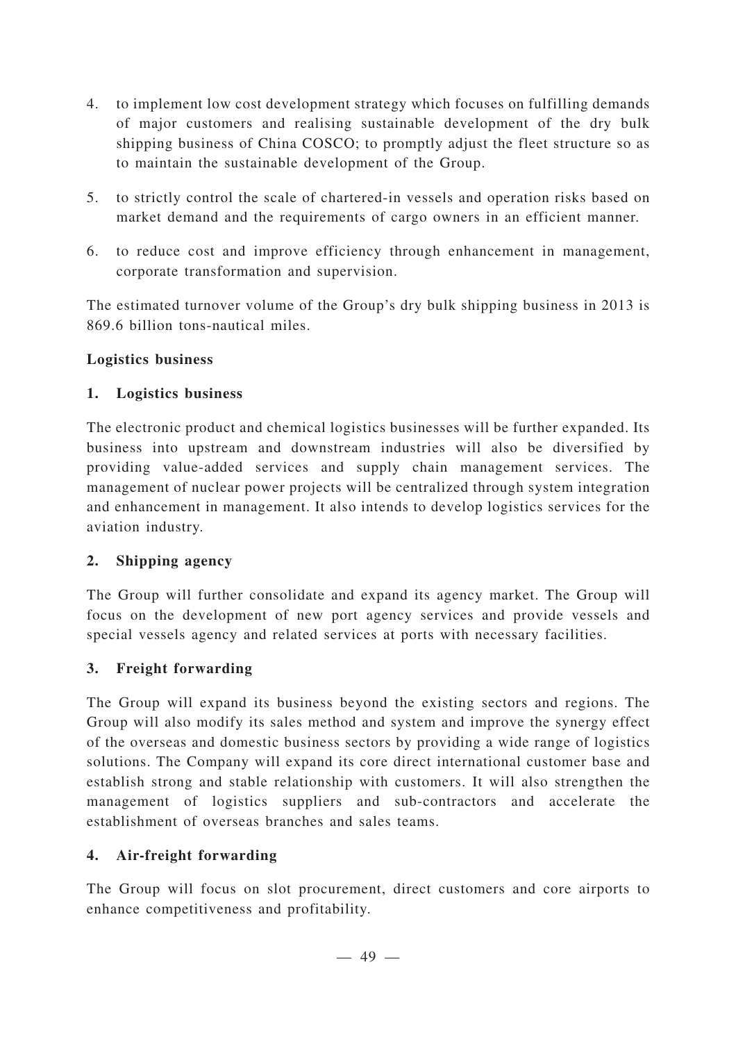- 4. to implement low cost development strategy which focuses on fulfilling demands of major customers and realising sustainable development of the dry bulk shipping business of China COSCO; to promptly adjust the fleet structure so as to maintain the sustainable development of the Group.
- 5. to strictly control the scale of chartered-in vessels and operation risks based on market demand and the requirements of cargo owners in an efficient manner.
- 6. to reduce cost and improve efficiency through enhancement in management, corporate transformation and supervision.

The estimated turnover volume of the Group's dry bulk shipping business in 2013 is 869.6 billion tons-nautical miles.

## **Logistics business**

## **1. Logistics business**

The electronic product and chemical logistics businesses will be further expanded. Its business into upstream and downstream industries will also be diversified by providing value-added services and supply chain management services. The management of nuclear power projects will be centralized through system integration and enhancement in management. It also intends to develop logistics services for the aviation industry.

## **2. Shipping agency**

The Group will further consolidate and expand its agency market. The Group will focus on the development of new port agency services and provide vessels and special vessels agency and related services at ports with necessary facilities.

## **3. Freight forwarding**

The Group will expand its business beyond the existing sectors and regions. The Group will also modify its sales method and system and improve the synergy effect of the overseas and domestic business sectors by providing a wide range of logistics solutions. The Company will expand its core direct international customer base and establish strong and stable relationship with customers. It will also strengthen the management of logistics suppliers and sub-contractors and accelerate the establishment of overseas branches and sales teams.

## **4. Air-freight forwarding**

The Group will focus on slot procurement, direct customers and core airports to enhance competitiveness and profitability.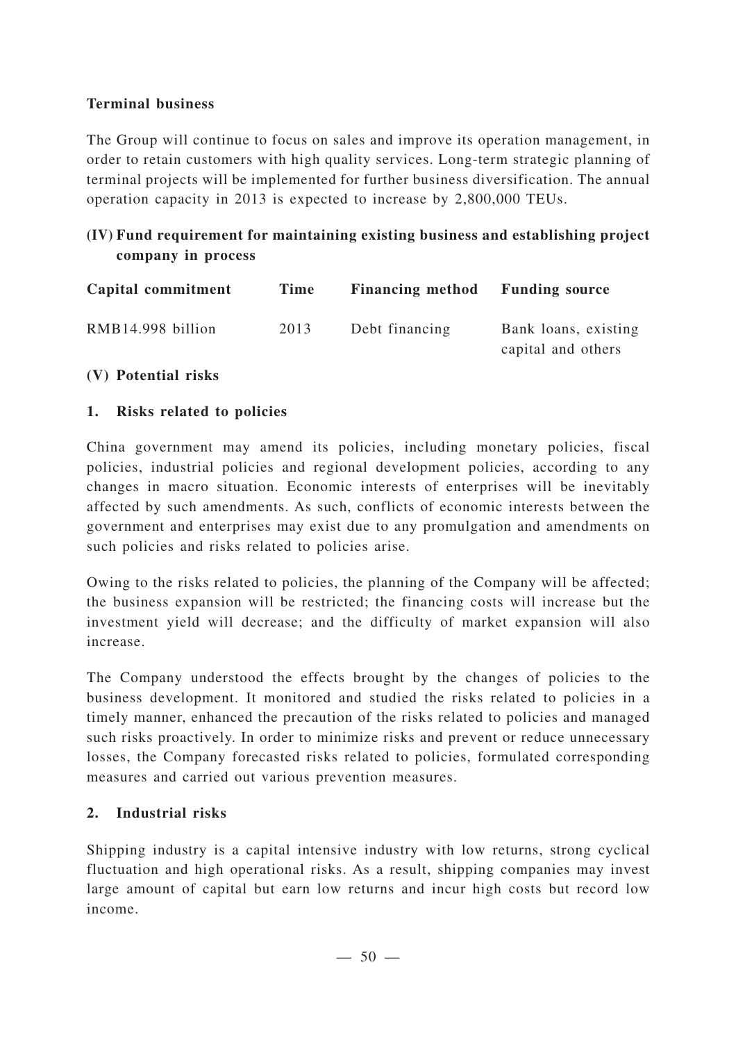## **Terminal business**

The Group will continue to focus on sales and improve its operation management, in order to retain customers with high quality services. Long-term strategic planning of terminal projects will be implemented for further business diversification. The annual operation capacity in 2013 is expected to increase by 2,800,000 TEUs.

## **(IV) Fund requirement for maintaining existing business and establishing project company in process**

| Capital commitment | Time | <b>Financing method</b> | <b>Funding source</b>                      |
|--------------------|------|-------------------------|--------------------------------------------|
| RMB14.998 billion  | 2013 | Debt financing          | Bank loans, existing<br>capital and others |

## **(V) Potential risks**

## **1. Risks related to policies**

China government may amend its policies, including monetary policies, fiscal policies, industrial policies and regional development policies, according to any changes in macro situation. Economic interests of enterprises will be inevitably affected by such amendments. As such, conflicts of economic interests between the government and enterprises may exist due to any promulgation and amendments on such policies and risks related to policies arise.

Owing to the risks related to policies, the planning of the Company will be affected; the business expansion will be restricted; the financing costs will increase but the investment yield will decrease; and the difficulty of market expansion will also increase.

The Company understood the effects brought by the changes of policies to the business development. It monitored and studied the risks related to policies in a timely manner, enhanced the precaution of the risks related to policies and managed such risks proactively. In order to minimize risks and prevent or reduce unnecessary losses, the Company forecasted risks related to policies, formulated corresponding measures and carried out various prevention measures.

### **2. Industrial risks**

Shipping industry is a capital intensive industry with low returns, strong cyclical fluctuation and high operational risks. As a result, shipping companies may invest large amount of capital but earn low returns and incur high costs but record low income.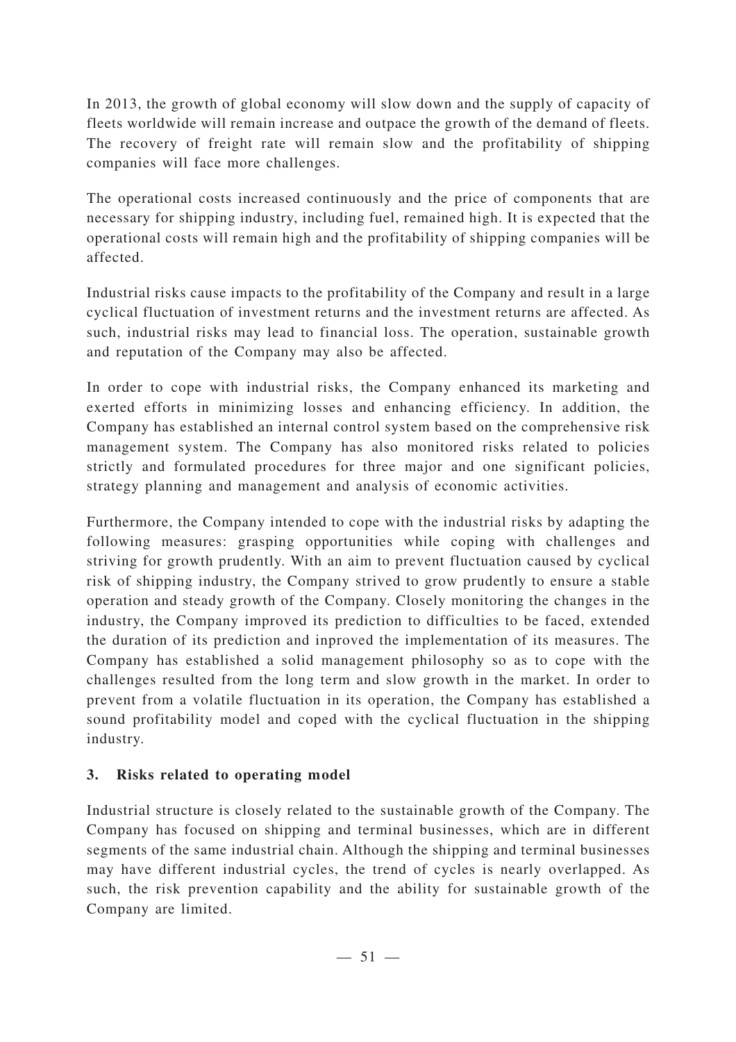In 2013, the growth of global economy will slow down and the supply of capacity of fleets worldwide will remain increase and outpace the growth of the demand of fleets. The recovery of freight rate will remain slow and the profitability of shipping companies will face more challenges.

The operational costs increased continuously and the price of components that are necessary for shipping industry, including fuel, remained high. It is expected that the operational costs will remain high and the profitability of shipping companies will be affected.

Industrial risks cause impacts to the profitability of the Company and result in a large cyclical fluctuation of investment returns and the investment returns are affected. As such, industrial risks may lead to financial loss. The operation, sustainable growth and reputation of the Company may also be affected.

In order to cope with industrial risks, the Company enhanced its marketing and exerted efforts in minimizing losses and enhancing efficiency. In addition, the Company has established an internal control system based on the comprehensive risk management system. The Company has also monitored risks related to policies strictly and formulated procedures for three major and one significant policies, strategy planning and management and analysis of economic activities.

Furthermore, the Company intended to cope with the industrial risks by adapting the following measures: grasping opportunities while coping with challenges and striving for growth prudently. With an aim to prevent fluctuation caused by cyclical risk of shipping industry, the Company strived to grow prudently to ensure a stable operation and steady growth of the Company. Closely monitoring the changes in the industry, the Company improved its prediction to difficulties to be faced, extended the duration of its prediction and inproved the implementation of its measures. The Company has established a solid management philosophy so as to cope with the challenges resulted from the long term and slow growth in the market. In order to prevent from a volatile fluctuation in its operation, the Company has established a sound profitability model and coped with the cyclical fluctuation in the shipping industry.

## **3. Risks related to operating model**

Industrial structure is closely related to the sustainable growth of the Company. The Company has focused on shipping and terminal businesses, which are in different segments of the same industrial chain. Although the shipping and terminal businesses may have different industrial cycles, the trend of cycles is nearly overlapped. As such, the risk prevention capability and the ability for sustainable growth of the Company are limited.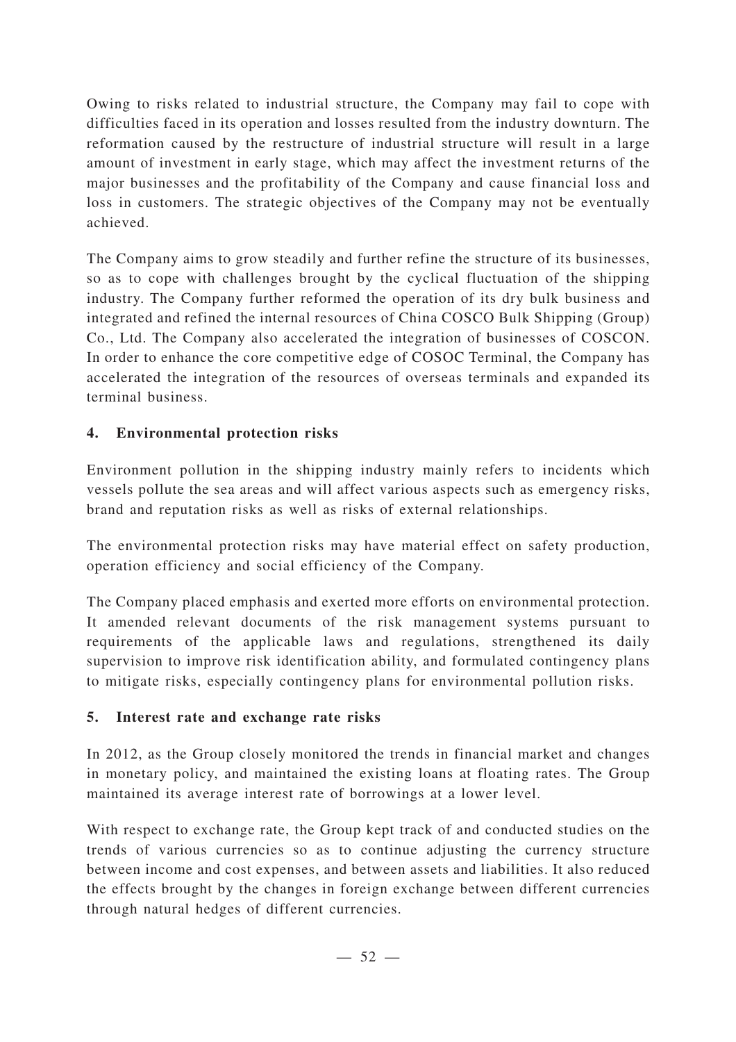Owing to risks related to industrial structure, the Company may fail to cope with difficulties faced in its operation and losses resulted from the industry downturn. The reformation caused by the restructure of industrial structure will result in a large amount of investment in early stage, which may affect the investment returns of the major businesses and the profitability of the Company and cause financial loss and loss in customers. The strategic objectives of the Company may not be eventually achieved.

The Company aims to grow steadily and further refine the structure of its businesses, so as to cope with challenges brought by the cyclical fluctuation of the shipping industry. The Company further reformed the operation of its dry bulk business and integrated and refined the internal resources of China COSCO Bulk Shipping (Group) Co., Ltd. The Company also accelerated the integration of businesses of COSCON. In order to enhance the core competitive edge of COSOC Terminal, the Company has accelerated the integration of the resources of overseas terminals and expanded its terminal business.

## **4. Environmental protection risks**

Environment pollution in the shipping industry mainly refers to incidents which vessels pollute the sea areas and will affect various aspects such as emergency risks, brand and reputation risks as well as risks of external relationships.

The environmental protection risks may have material effect on safety production, operation efficiency and social efficiency of the Company.

The Company placed emphasis and exerted more efforts on environmental protection. It amended relevant documents of the risk management systems pursuant to requirements of the applicable laws and regulations, strengthened its daily supervision to improve risk identification ability, and formulated contingency plans to mitigate risks, especially contingency plans for environmental pollution risks.

## **5. Interest rate and exchange rate risks**

In 2012, as the Group closely monitored the trends in financial market and changes in monetary policy, and maintained the existing loans at floating rates. The Group maintained its average interest rate of borrowings at a lower level.

With respect to exchange rate, the Group kept track of and conducted studies on the trends of various currencies so as to continue adjusting the currency structure between income and cost expenses, and between assets and liabilities. It also reduced the effects brought by the changes in foreign exchange between different currencies through natural hedges of different currencies.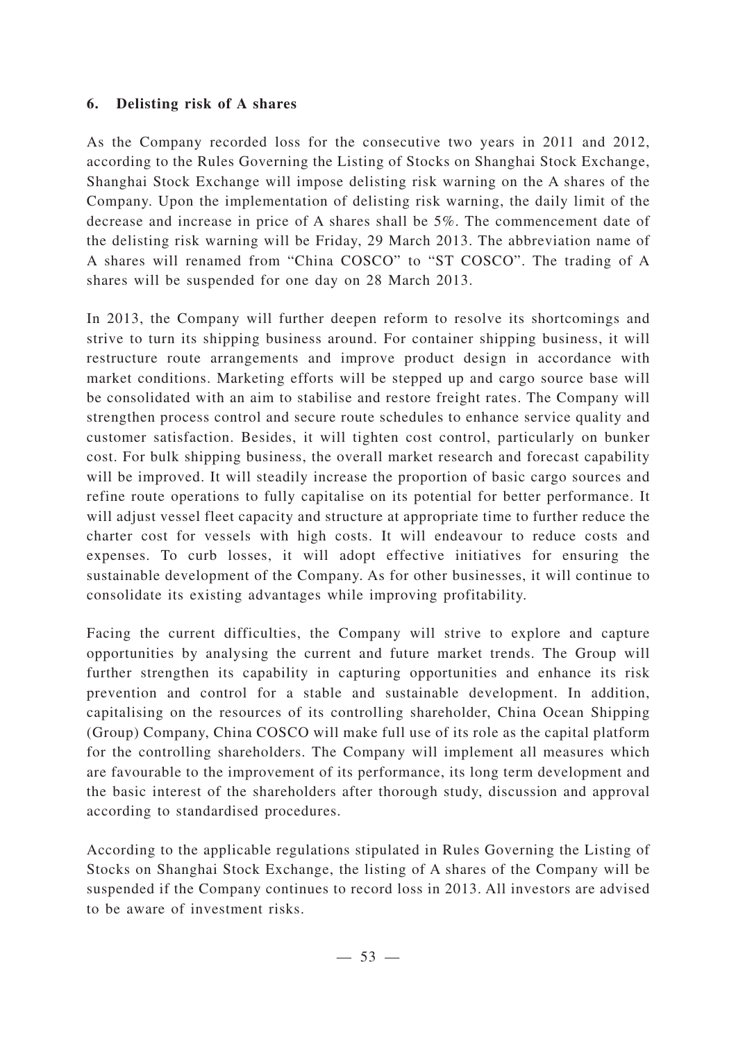## **6. Delisting risk of A shares**

As the Company recorded loss for the consecutive two years in 2011 and 2012, according to the Rules Governing the Listing of Stocks on Shanghai Stock Exchange, Shanghai Stock Exchange will impose delisting risk warning on the A shares of the Company. Upon the implementation of delisting risk warning, the daily limit of the decrease and increase in price of A shares shall be 5%. The commencement date of the delisting risk warning will be Friday, 29 March 2013. The abbreviation name of A shares will renamed from "China COSCO" to "ST COSCO". The trading of A shares will be suspended for one day on 28 March 2013.

In 2013, the Company will further deepen reform to resolve its shortcomings and strive to turn its shipping business around. For container shipping business, it will restructure route arrangements and improve product design in accordance with market conditions. Marketing efforts will be stepped up and cargo source base will be consolidated with an aim to stabilise and restore freight rates. The Company will strengthen process control and secure route schedules to enhance service quality and customer satisfaction. Besides, it will tighten cost control, particularly on bunker cost. For bulk shipping business, the overall market research and forecast capability will be improved. It will steadily increase the proportion of basic cargo sources and refine route operations to fully capitalise on its potential for better performance. It will adjust vessel fleet capacity and structure at appropriate time to further reduce the charter cost for vessels with high costs. It will endeavour to reduce costs and expenses. To curb losses, it will adopt effective initiatives for ensuring the sustainable development of the Company. As for other businesses, it will continue to consolidate its existing advantages while improving profitability.

Facing the current difficulties, the Company will strive to explore and capture opportunities by analysing the current and future market trends. The Group will further strengthen its capability in capturing opportunities and enhance its risk prevention and control for a stable and sustainable development. In addition, capitalising on the resources of its controlling shareholder, China Ocean Shipping (Group) Company, China COSCO will make full use of its role as the capital platform for the controlling shareholders. The Company will implement all measures which are favourable to the improvement of its performance, its long term development and the basic interest of the shareholders after thorough study, discussion and approval according to standardised procedures.

According to the applicable regulations stipulated in Rules Governing the Listing of Stocks on Shanghai Stock Exchange, the listing of A shares of the Company will be suspended if the Company continues to record loss in 2013. All investors are advised to be aware of investment risks.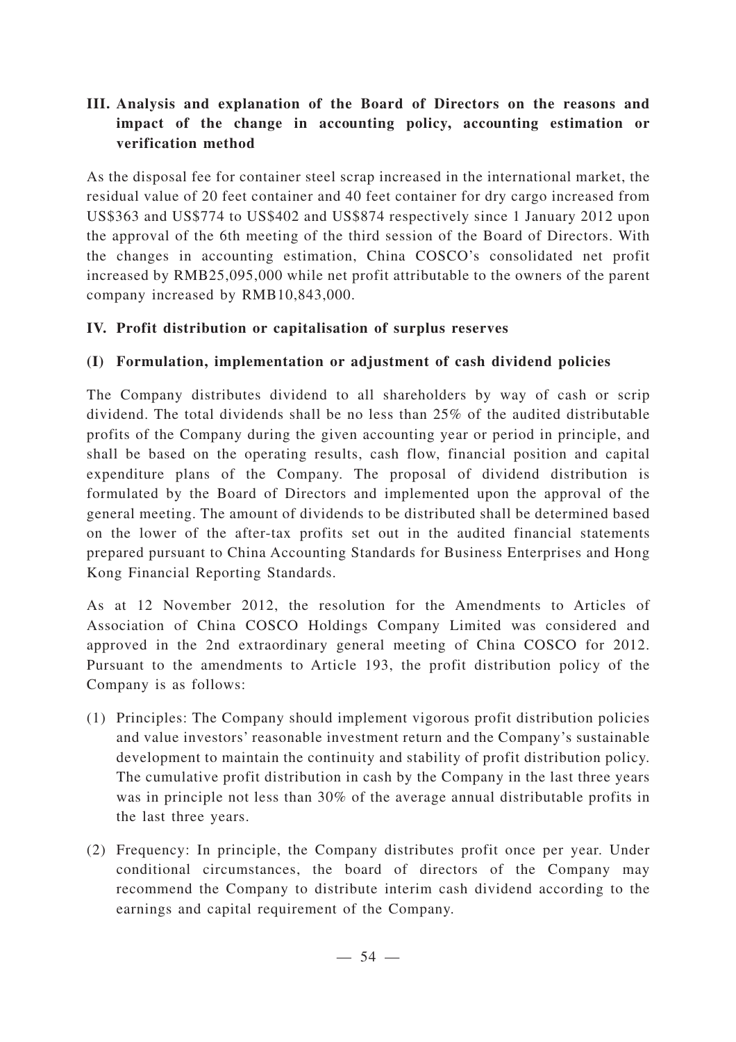## **III. Analysis and explanation of the Board of Directors on the reasons and impact of the change in accounting policy, accounting estimation or verification method**

As the disposal fee for container steel scrap increased in the international market, the residual value of 20 feet container and 40 feet container for dry cargo increased from US\$363 and US\$774 to US\$402 and US\$874 respectively since 1 January 2012 upon the approval of the 6th meeting of the third session of the Board of Directors. With the changes in accounting estimation, China COSCO's consolidated net profit increased by RMB25,095,000 while net profit attributable to the owners of the parent company increased by RMB10,843,000.

## **IV. Profit distribution or capitalisation of surplus reserves**

## **(I) Formulation, implementation or adjustment of cash dividend policies**

The Company distributes dividend to all shareholders by way of cash or scrip dividend. The total dividends shall be no less than 25% of the audited distributable profits of the Company during the given accounting year or period in principle, and shall be based on the operating results, cash flow, financial position and capital expenditure plans of the Company. The proposal of dividend distribution is formulated by the Board of Directors and implemented upon the approval of the general meeting. The amount of dividends to be distributed shall be determined based on the lower of the after-tax profits set out in the audited financial statements prepared pursuant to China Accounting Standards for Business Enterprises and Hong Kong Financial Reporting Standards.

As at 12 November 2012, the resolution for the Amendments to Articles of Association of China COSCO Holdings Company Limited was considered and approved in the 2nd extraordinary general meeting of China COSCO for 2012. Pursuant to the amendments to Article 193, the profit distribution policy of the Company is as follows:

- (1) Principles: The Company should implement vigorous profit distribution policies and value investors' reasonable investment return and the Company's sustainable development to maintain the continuity and stability of profit distribution policy. The cumulative profit distribution in cash by the Company in the last three years was in principle not less than 30% of the average annual distributable profits in the last three years.
- (2) Frequency: In principle, the Company distributes profit once per year. Under conditional circumstances, the board of directors of the Company may recommend the Company to distribute interim cash dividend according to the earnings and capital requirement of the Company.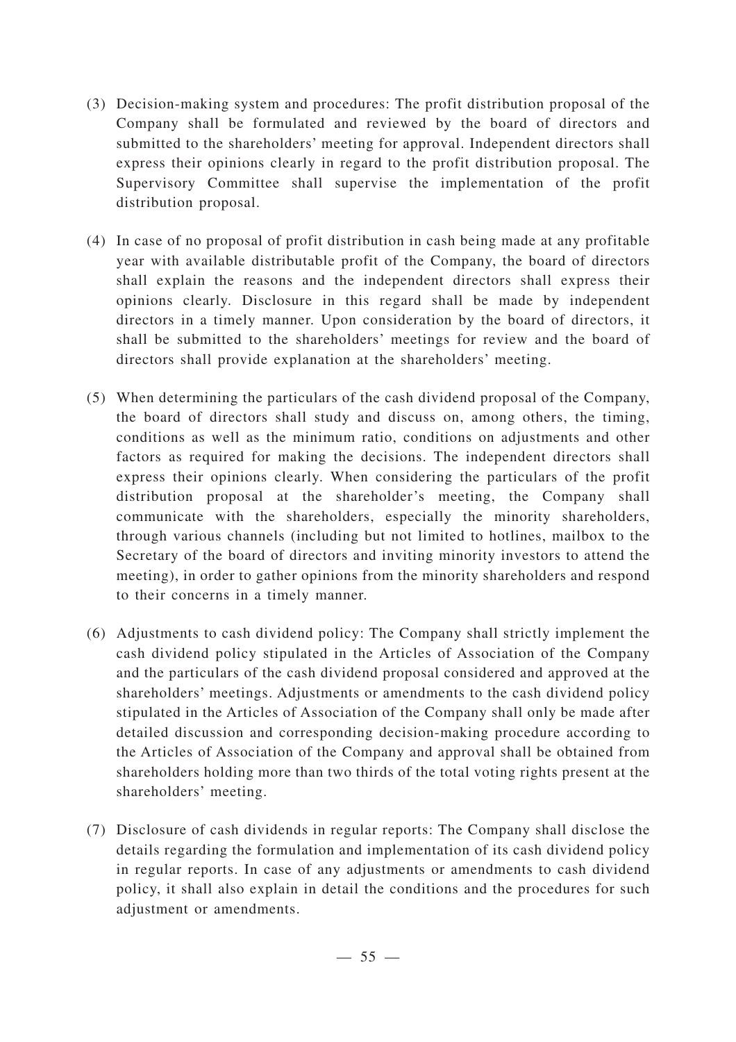- (3) Decision-making system and procedures: The profit distribution proposal of the Company shall be formulated and reviewed by the board of directors and submitted to the shareholders' meeting for approval. Independent directors shall express their opinions clearly in regard to the profit distribution proposal. The Supervisory Committee shall supervise the implementation of the profit distribution proposal.
- (4) In case of no proposal of profit distribution in cash being made at any profitable year with available distributable profit of the Company, the board of directors shall explain the reasons and the independent directors shall express their opinions clearly. Disclosure in this regard shall be made by independent directors in a timely manner. Upon consideration by the board of directors, it shall be submitted to the shareholders' meetings for review and the board of directors shall provide explanation at the shareholders' meeting.
- (5) When determining the particulars of the cash dividend proposal of the Company, the board of directors shall study and discuss on, among others, the timing, conditions as well as the minimum ratio, conditions on adjustments and other factors as required for making the decisions. The independent directors shall express their opinions clearly. When considering the particulars of the profit distribution proposal at the shareholder's meeting, the Company shall communicate with the shareholders, especially the minority shareholders, through various channels (including but not limited to hotlines, mailbox to the Secretary of the board of directors and inviting minority investors to attend the meeting), in order to gather opinions from the minority shareholders and respond to their concerns in a timely manner.
- (6) Adjustments to cash dividend policy: The Company shall strictly implement the cash dividend policy stipulated in the Articles of Association of the Company and the particulars of the cash dividend proposal considered and approved at the shareholders' meetings. Adjustments or amendments to the cash dividend policy stipulated in the Articles of Association of the Company shall only be made after detailed discussion and corresponding decision-making procedure according to the Articles of Association of the Company and approval shall be obtained from shareholders holding more than two thirds of the total voting rights present at the shareholders' meeting.
- (7) Disclosure of cash dividends in regular reports: The Company shall disclose the details regarding the formulation and implementation of its cash dividend policy in regular reports. In case of any adjustments or amendments to cash dividend policy, it shall also explain in detail the conditions and the procedures for such adjustment or amendments.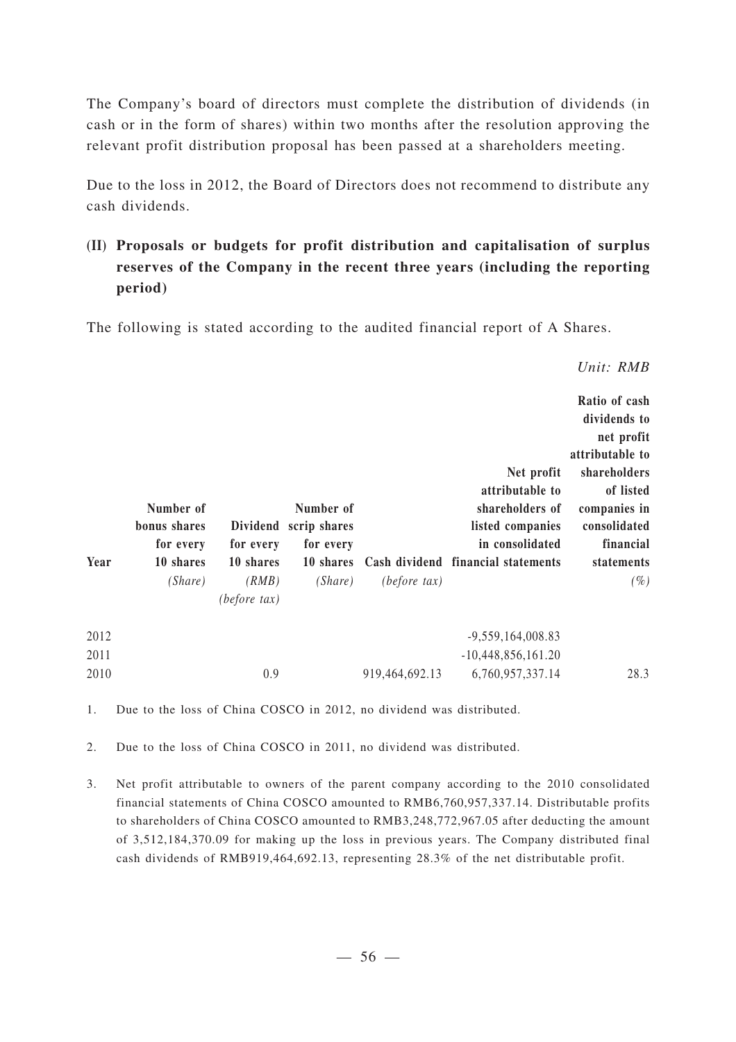The Company's board of directors must complete the distribution of dividends (in cash or in the form of shares) within two months after the resolution approving the relevant profit distribution proposal has been passed at a shareholders meeting.

Due to the loss in 2012, the Board of Directors does not recommend to distribute any cash dividends.

**(II) Proposals or budgets for profit distribution and capitalisation of surplus reserves of the Company in the recent three years (including the reporting period)**

The following is stated according to the audited financial report of A Shares.

| Ratio of cash<br>dividends to<br>net profit<br>attributable to<br>shareholders<br>of listed<br>companies in<br>consolidated<br>financial<br>statements<br>$(\%)$ | Net profit<br>attributable to<br>shareholders of<br>listed companies<br>in consolidated<br>Cash dividend financial statements | (before tax)   | Number of<br>scrip shares<br>for every<br>10 shares<br>(Share) | Dividend<br>for every<br>10 shares<br>(RMB)<br>(before tax) | Number of<br>bonus shares<br>for every<br>10 shares<br>(Share) | Year |
|------------------------------------------------------------------------------------------------------------------------------------------------------------------|-------------------------------------------------------------------------------------------------------------------------------|----------------|----------------------------------------------------------------|-------------------------------------------------------------|----------------------------------------------------------------|------|
|                                                                                                                                                                  | $-9,559,164,008.83$                                                                                                           |                |                                                                |                                                             |                                                                | 2012 |
|                                                                                                                                                                  | $-10,448,856,161.20$                                                                                                          |                |                                                                |                                                             |                                                                | 2011 |
| 28.3                                                                                                                                                             | 6,760,957,337.14                                                                                                              | 919,464,692.13 |                                                                | 0.9                                                         |                                                                | 2010 |

1. Due to the loss of China COSCO in 2012, no dividend was distributed.

2. Due to the loss of China COSCO in 2011, no dividend was distributed.

3. Net profit attributable to owners of the parent company according to the 2010 consolidated financial statements of China COSCO amounted to RMB6,760,957,337.14. Distributable profits to shareholders of China COSCO amounted to RMB3,248,772,967.05 after deducting the amount of 3,512,184,370.09 for making up the loss in previous years. The Company distributed final cash dividends of RMB919,464,692.13, representing 28.3% of the net distributable profit.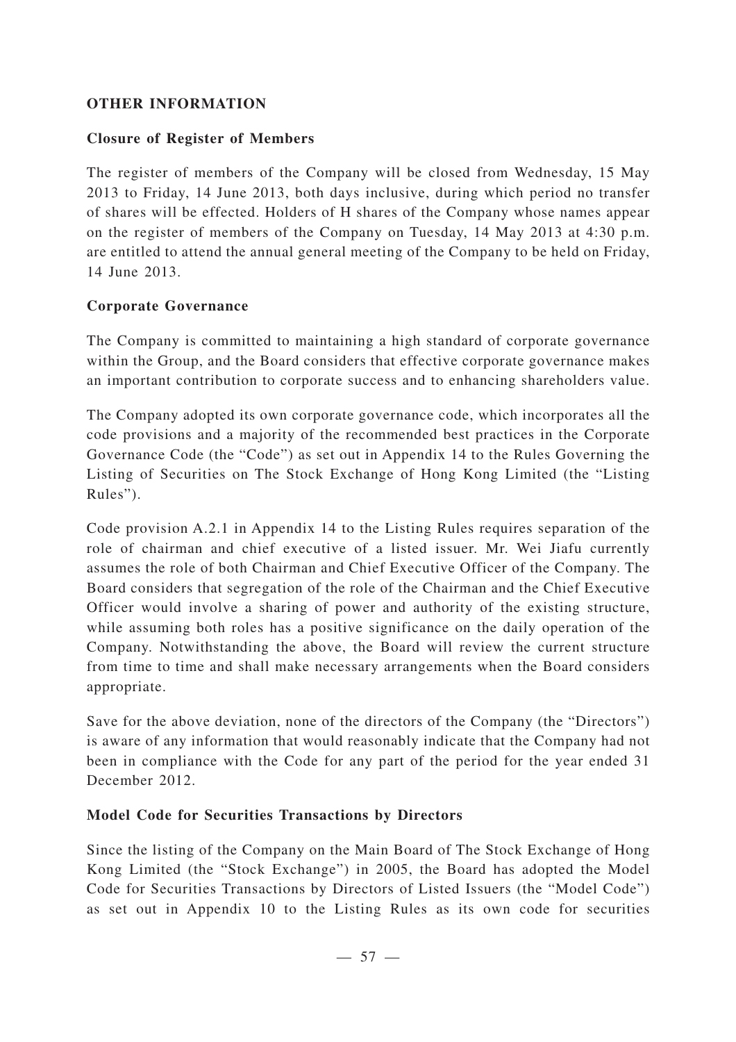## **OTHER INFORMATION**

## **Closure of Register of Members**

The register of members of the Company will be closed from Wednesday, 15 May 2013 to Friday, 14 June 2013, both days inclusive, during which period no transfer of shares will be effected. Holders of H shares of the Company whose names appear on the register of members of the Company on Tuesday, 14 May 2013 at 4:30 p.m. are entitled to attend the annual general meeting of the Company to be held on Friday, 14 June 2013.

## **Corporate Governance**

The Company is committed to maintaining a high standard of corporate governance within the Group, and the Board considers that effective corporate governance makes an important contribution to corporate success and to enhancing shareholders value.

The Company adopted its own corporate governance code, which incorporates all the code provisions and a majority of the recommended best practices in the Corporate Governance Code (the "Code") as set out in Appendix 14 to the Rules Governing the Listing of Securities on The Stock Exchange of Hong Kong Limited (the "Listing Rules").

Code provision A.2.1 in Appendix 14 to the Listing Rules requires separation of the role of chairman and chief executive of a listed issuer. Mr. Wei Jiafu currently assumes the role of both Chairman and Chief Executive Officer of the Company. The Board considers that segregation of the role of the Chairman and the Chief Executive Officer would involve a sharing of power and authority of the existing structure, while assuming both roles has a positive significance on the daily operation of the Company. Notwithstanding the above, the Board will review the current structure from time to time and shall make necessary arrangements when the Board considers appropriate.

Save for the above deviation, none of the directors of the Company (the "Directors") is aware of any information that would reasonably indicate that the Company had not been in compliance with the Code for any part of the period for the year ended 31 December 2012.

## **Model Code for Securities Transactions by Directors**

Since the listing of the Company on the Main Board of The Stock Exchange of Hong Kong Limited (the "Stock Exchange") in 2005, the Board has adopted the Model Code for Securities Transactions by Directors of Listed Issuers (the "Model Code") as set out in Appendix 10 to the Listing Rules as its own code for securities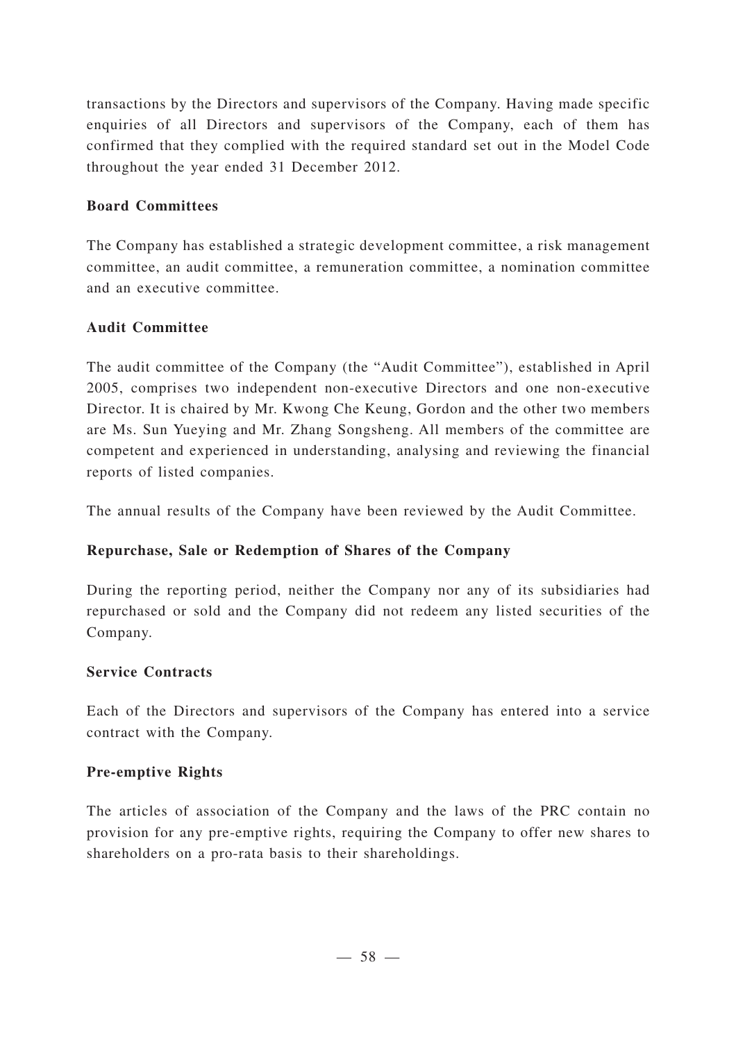transactions by the Directors and supervisors of the Company. Having made specific enquiries of all Directors and supervisors of the Company, each of them has confirmed that they complied with the required standard set out in the Model Code throughout the year ended 31 December 2012.

## **Board Committees**

The Company has established a strategic development committee, a risk management committee, an audit committee, a remuneration committee, a nomination committee and an executive committee.

## **Audit Committee**

The audit committee of the Company (the "Audit Committee"), established in April 2005, comprises two independent non-executive Directors and one non-executive Director. It is chaired by Mr. Kwong Che Keung, Gordon and the other two members are Ms. Sun Yueying and Mr. Zhang Songsheng. All members of the committee are competent and experienced in understanding, analysing and reviewing the financial reports of listed companies.

The annual results of the Company have been reviewed by the Audit Committee.

## **Repurchase, Sale or Redemption of Shares of the Company**

During the reporting period, neither the Company nor any of its subsidiaries had repurchased or sold and the Company did not redeem any listed securities of the Company.

## **Service Contracts**

Each of the Directors and supervisors of the Company has entered into a service contract with the Company.

## **Pre-emptive Rights**

The articles of association of the Company and the laws of the PRC contain no provision for any pre-emptive rights, requiring the Company to offer new shares to shareholders on a pro-rata basis to their shareholdings.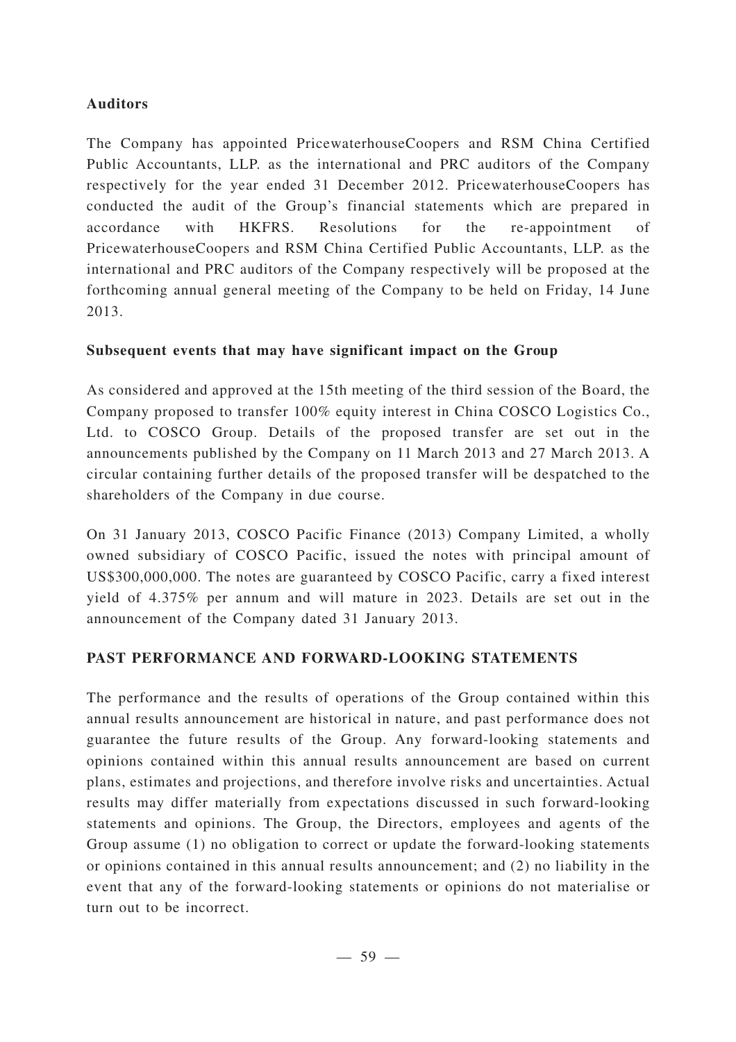## **Auditors**

The Company has appointed PricewaterhouseCoopers and RSM China Certified Public Accountants, LLP. as the international and PRC auditors of the Company respectively for the year ended 31 December 2012. PricewaterhouseCoopers has conducted the audit of the Group's financial statements which are prepared in accordance with HKFRS. Resolutions for the re-appointment of PricewaterhouseCoopers and RSM China Certified Public Accountants, LLP. as the international and PRC auditors of the Company respectively will be proposed at the forthcoming annual general meeting of the Company to be held on Friday, 14 June 2013.

## **Subsequent events that may have significant impact on the Group**

As considered and approved at the 15th meeting of the third session of the Board, the Company proposed to transfer 100% equity interest in China COSCO Logistics Co., Ltd. to COSCO Group. Details of the proposed transfer are set out in the announcements published by the Company on 11 March 2013 and 27 March 2013. A circular containing further details of the proposed transfer will be despatched to the shareholders of the Company in due course.

On 31 January 2013, COSCO Pacific Finance (2013) Company Limited, a wholly owned subsidiary of COSCO Pacific, issued the notes with principal amount of US\$300,000,000. The notes are guaranteed by COSCO Pacific, carry a fixed interest yield of 4.375% per annum and will mature in 2023. Details are set out in the announcement of the Company dated 31 January 2013.

## **PAST PERFORMANCE AND FORWARD-LOOKING STATEMENTS**

The performance and the results of operations of the Group contained within this annual results announcement are historical in nature, and past performance does not guarantee the future results of the Group. Any forward-looking statements and opinions contained within this annual results announcement are based on current plans, estimates and projections, and therefore involve risks and uncertainties. Actual results may differ materially from expectations discussed in such forward-looking statements and opinions. The Group, the Directors, employees and agents of the Group assume (1) no obligation to correct or update the forward-looking statements or opinions contained in this annual results announcement; and (2) no liability in the event that any of the forward-looking statements or opinions do not materialise or turn out to be incorrect.